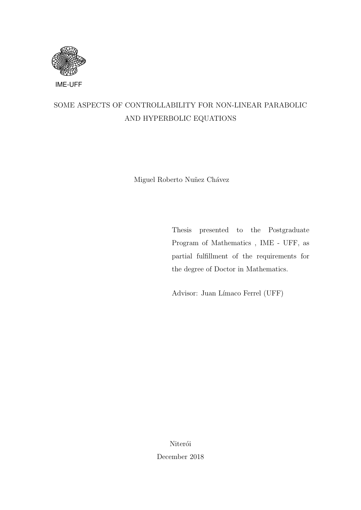

## SOME ASPECTS OF CONTROLLABILITY FOR NON-LINEAR PARABOLIC AND HYPERBOLIC EQUATIONS

Miguel Roberto Nuñez Chávez

Thesis presented to the Postgraduate Program of Mathematics , IME - UFF, as partial fulfillment of the requirements for the degree of Doctor in Mathematics.

Advisor: Juan Límaco Ferrel (UFF)

Niterói December 2018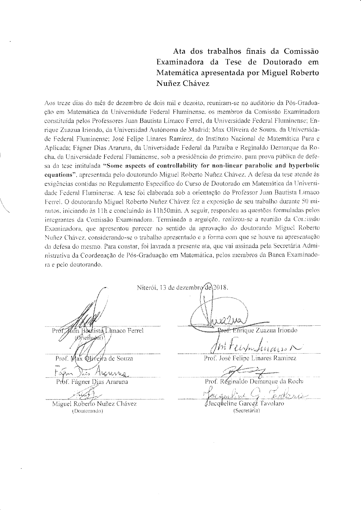#### Ata dos trabalhos finais da Comissão Examinadora da Tese de Doutorado em Matemática apresentada por Miguel Roberto Nuñez Chávez

Aos treze dias do mês de dezembro de dois mil e dezoito, reuniram-se no auditorio da Pós-Graduação em Matemática da Universidade Federal Fluminense, os membros da Comissão Examinadora constituída pelos Professores Juan Bautista Límaco Ferrel, da Universidade Federal Fluminense; Enrique Zuazua Iriondo, da Universidad Autónoma de Madrid; Max Oliveira de Souza, da Universidade Federal Fluminense; José Felipe Linares Ramirez, do Instituto Nacional de Matemática Pura e Aplicada: Fágner Dias Araruna, da Universidade Federal da Paraíba e Reginaldo Demarque da Rocha, da Universidade Federal Fluminense, sob a presidência do prímeiro, para prova pública de defesa da tese intitulada "Some aspects of controllability for non-linear parabolic and hyperbolic equations", apresentada pelo doutorando Miguel Roberto Nuñez Chávez. A defesa da tese atende às exigências contidas no Regulamento Específico do Curso de Doutorado em Matemática da Universidade Federal Fluminense. A tese foi elaborada sob a orientação do Professor Juan Bautista Limaco Ferrel. O doutorando Miguel Roberto Nuñez Chávez fez a exposição de seu trabalho durante 50 minutos, iniciando às 11h e concluindo às 11h50min. A seguir, respondeu as questões formuladas pelos integrantes da Comissão Examinadora. Terminada a arguição, realizou-se a reunião da Concissão Examinadora, que apresentou parecer no sentido da aprovação do doutorando Miguel Roberto Nuñez Chávez, considerando-se o trabalho apresentado e a forma com que se houve na apresentação da defesa do mesmo. Para constar, foi lavrada a presente ata, que vai assinada pela Secretária Administrativa da Coordenação de Pós-Graduação em Matemática, pelos membros da Banca Examinadora e pelo doutorando.

ían Bàutista Limaco Ferrel (Orienigeor)

ax Ф⊔́∝éи́a de Souza Prof.

Thomas Prof. Fágner Dias Araruna

Niterói, 13 de dezembro de 2018.

Prof. Enrique Zuazua Iriondo

Internfularison

Prof. José Felipe Linares Ramirez

Prof. Réginaldo Demarque da Rocha

Miguel Roberto Nuñez Chávez (Doutorando)

∄Jacqûeline Garce≇ Ta∨olaro (Secretária)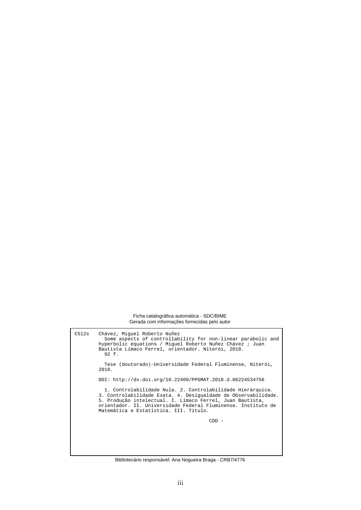Ficha catalográfica automática - SDC/BIME Gerada com informações fornecidas pelo autor

C512s Chávez, Miguel Roberto Nuñez Some aspects of controllability for non-linear parabolic and hyperbolic equations / Miguel Roberto Nuñez Chávez ; Juan Bautista Límaco Ferrel, orientador. Niterói, 2018. 92 f. Tese (doutorado)-Universidade Federal Fluminense, Niterói, 2018. DOI: http://dx.doi.org/10.22409/PPGMAT.2018.d.06224534756 1. Controlabilidade Nula. 2. Controlabilidade Hierárquica. 3. Controlabilidade Exata. 4. Desigualdade de Observabilidade. 5. Produção intelectual. I. Límaco Ferrel, Juan Bautista, orientador. II. Universidade Federal Fluminense. Instituto de Matemática e Estatística. III. Título. CDD -

Bibliotecário responsável: Ana Nogueira Braga - CRB7/4776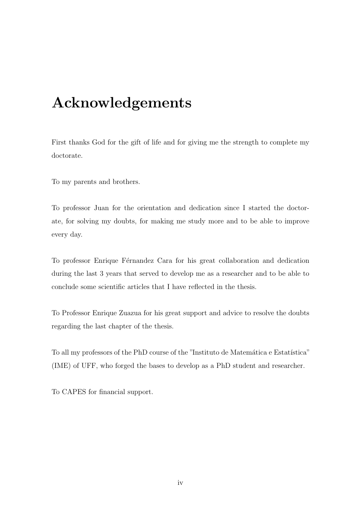## Acknowledgements

First thanks God for the gift of life and for giving me the strength to complete my doctorate.

To my parents and brothers.

To professor Juan for the orientation and dedication since I started the doctorate, for solving my doubts, for making me study more and to be able to improve every day.

To professor Enrique Férnandez Cara for his great collaboration and dedication during the last 3 years that served to develop me as a researcher and to be able to conclude some scientific articles that I have reflected in the thesis.

To Professor Enrique Zuazua for his great support and advice to resolve the doubts regarding the last chapter of the thesis.

To all my professors of the PhD course of the "Instituto de Matemática e Estatística" (IME) of UFF, who forged the bases to develop as a PhD student and researcher.

To CAPES for financial support.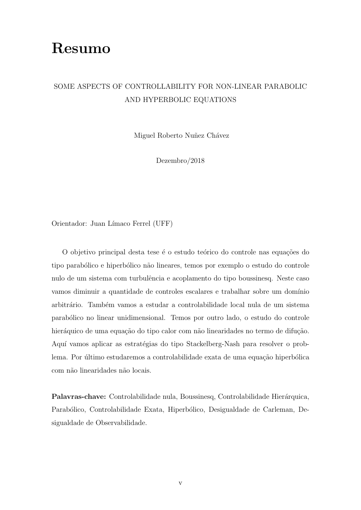## Resumo

#### SOME ASPECTS OF CONTROLLABILITY FOR NON-LINEAR PARABOLIC AND HYPERBOLIC EQUATIONS

Miguel Roberto Nuñez Chávez

Dezembro/2018

Orientador: Juan Límaco Ferrel (UFF)

O objetivo principal desta tese é o estudo teórico do controle nas equações do tipo parabólico e hiperbólico não lineares, temos por exemplo o estudo do controle nulo de um sistema com turbulência e acoplamento do tipo boussinesq. Neste caso vamos diminuir a quantidade de controles escalares e trabalhar sobre um domínio arbitrário. Também vamos a estudar a controlabilidade local nula de um sistema parab´olico no linear unidimensional. Temos por outro lado, o estudo do controle hieráquico de uma equação do tipo calor com não linearidades no termo de difução. Aquí vamos aplicar as estratégias do tipo Stackelberg-Nash para resolver o problema. Por último estudaremos a controlabilidade exata de uma equação hiperbólica com n˜ao linearidades n˜ao locais.

Palavras-chave: Controlabilidade nula, Boussinesq, Controlabilidade Hierárquica, Parabólico, Controlabilidade Exata, Hiperbólico, Desigualdade de Carleman, Desigualdade de Observabilidade.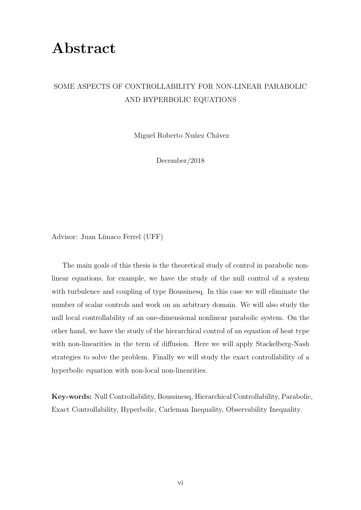## Abstract

#### SOME ASPECTS OF CONTROLLABILITY FOR NON-LINEAR PARABOLIC AND HYPERBOLIC EQUATIONS

Miguel Roberto Nuñez Chávez

December/2018

Advisor: Juan Límaco Ferrel (UFF)

The main goals of this thesis is the theoretical study of control in parabolic nonlinear equations, for example, we have the study of the null control of a system with turbulence and coupling of type Boussinesq. In this case we will eliminate the number of scalar controls and work on an arbitrary domain. We will also study the null local controllability of an one-dimensional nonlinear parabolic system. On the other hand, we have the study of the hierarchical control of an equation of heat type with non-linearities in the term of diffusion. Here we will apply Stackelberg-Nash strategies to solve the problem. Finally we will study the exact controllability of a hyperbolic equation with non-local non-linearities.

Key-words: Null Controllability, Boussinesq, Hierarchical Controllability, Parabolic, Exact Controllability, Hyperbolic, Carleman Inequality, Observability Inequality.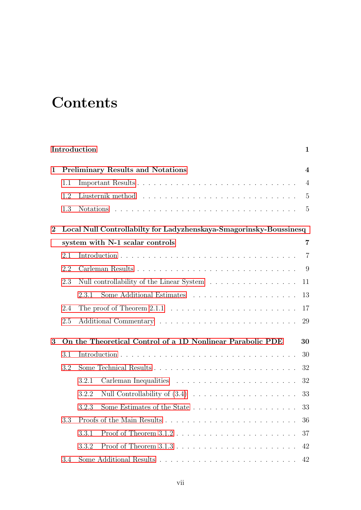# **Contents**

|          |     | Introduction                                                                   | $\mathbf{1}$             |
|----------|-----|--------------------------------------------------------------------------------|--------------------------|
| 1        |     | <b>Preliminary Results and Notations</b>                                       | $\overline{\mathcal{A}}$ |
|          | 1.1 |                                                                                | $\overline{4}$           |
|          | 1.2 |                                                                                | 5                        |
|          | 1.3 | <b>Notations</b>                                                               | 5                        |
| $\bf{2}$ |     | Local Null Controllabilty for Ladyzhenskaya-Smagorinsky-Boussinesq             |                          |
|          |     | system with N-1 scalar controls                                                | $\overline{7}$           |
|          | 2.1 |                                                                                | $\overline{7}$           |
|          | 2.2 |                                                                                | 9                        |
|          | 2.3 | Null controllability of the Linear System $\ldots \ldots \ldots \ldots \ldots$ | 11                       |
|          |     | 2.3.1                                                                          | 13                       |
|          | 2.4 | The proof of Theorem $2.1.1 \ldots \ldots \ldots \ldots \ldots \ldots \ldots$  | 17                       |
|          | 2.5 |                                                                                | 29                       |
| 3        |     | On the Theoretical Control of a 1D Nonlinear Parabolic PDE                     | 30                       |
|          | 3.1 |                                                                                | 30                       |
|          | 3.2 |                                                                                | 32                       |
|          |     | 3.2.1                                                                          | 32                       |
|          |     | 3.2.2                                                                          | 33                       |
|          |     | 3.2.3                                                                          | 33                       |
|          | 3.3 |                                                                                | 36                       |
|          |     | 3.3.1                                                                          | 37                       |
|          |     | 3.3.2                                                                          | 42                       |
|          | 3.4 |                                                                                | 42                       |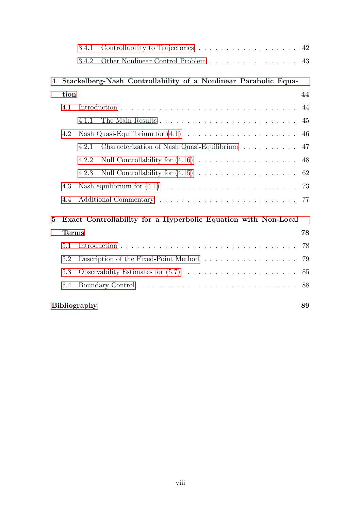| 3.4.1 Controllability to Trajectories 42 |  |
|------------------------------------------|--|
| 3.4.2 Other Nonlinear Control Problem 43 |  |

### [4 Stackelberg-Nash Controllability of a Nonlinear Parabolic Equa-](#page-51-0)

|    | tion         |                                                                                               | 44 |
|----|--------------|-----------------------------------------------------------------------------------------------|----|
|    | 4.1          |                                                                                               |    |
|    |              | 4.1.1                                                                                         |    |
|    | 4.2          | Nash Quasi-Equilibrium for $(4.1) \ldots \ldots \ldots \ldots \ldots \ldots \ldots \ldots 46$ |    |
|    |              | Characterization of Nash Quasi-Equilibrium $\ldots \ldots \ldots$ 47<br>4.2.1                 |    |
|    |              | 4.2.2                                                                                         |    |
|    |              | 4.2.3                                                                                         |    |
|    | 4.3          |                                                                                               |    |
|    | 4.4          |                                                                                               |    |
| 5. |              | Exact Controllability for a Hyperbolic Equation with Non-Local                                |    |
|    | <b>Terms</b> |                                                                                               | 78 |
|    | 5.1          |                                                                                               |    |
|    | 5.2          |                                                                                               |    |

### [Bibliography](#page-96-0) 89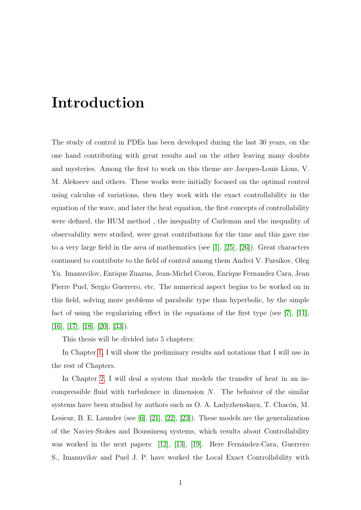## <span id="page-8-0"></span>Introduction

The study of control in PDEs has been developed during the last 30 years, on the one hand contributing with great results and on the other leaving many doubts and mysteries. Among the first to work on this theme are Jacques-Louis Lions, V. M. Alekseev and others. These works were initially focused on the optimal control using calculus of variations, then they work with the exact controllability in the equation of the wave, and later the heat equation, the first concepts of controllability were defined, the HUM method , the inequality of Carleman and the inequality of observability were studied, were great contributions for the time and this gave rise to a very large field in the area of mathematics (see [\[1\]](#page-96-1), [\[25\]](#page-98-0), [\[26\]](#page-98-1)). Great characters continued to contribute to the field of control among them Andrei V. Fursikov, Oleg Yu. Imanuvilov, Enrique Zuazua, Jean-Michel Coron, Enrique Fernandez Cara, Jean Pierre Puel, Sergio Guerrero, etc. The numerical aspect begins to be worked on in this field, solving more problems of parabolic type than hyperbolic, by the simple fact of using the regularizing effect in the equations of the first type (see [\[7\]](#page-96-2), [\[11\]](#page-97-0),  $[16]$ ,  $[17]$ ,  $[18]$ ,  $[20]$ ,  $[33]$ ).

This thesis will be divided into 5 chapters:

In Chapter [1,](#page-11-0) I will show the preliminary results and notations that I will use in the rest of Chapters.

In Chapter [2,](#page-14-0) I will deal a system that models the transfer of heat in an incompressible fluid with turbulence in dimension  $N$ . The behaivor of the similar systems have been studied by authors such as O. A. Ladyzhenskaya, T. Chacón, M. Lesieur, B. E. Launder (see [\[6\]](#page-96-3), [\[21\]](#page-98-5), [\[22\]](#page-98-6), [\[23\]](#page-98-7)). These models are the generalization of the Navier-Stokes and Boussinesq systems, which results about Controllability was worked in the next papers:  $[12]$ ,  $[13]$ ,  $[19]$ . Here Fernández-Cara, Guerrero S., Imanuvilov and Puel J. P. have worked the Local Exact Controllability with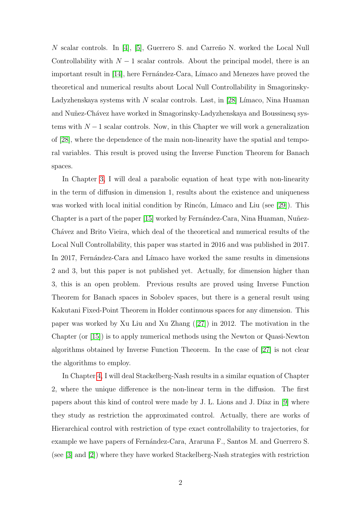$N$  scalar controls. In [\[4\]](#page-96-4), [\[5\]](#page-96-5), Guerrero S. and Carreño N. worked the Local Null Controllability with  $N-1$  scalar controls. About the principal model, there is an important result in [\[14\]](#page-97-4), here Fernández-Cara, Límaco and Menezes have proved the theoretical and numerical results about Local Null Controllability in Smagorinsky-Ladyzhenskaya systems with  $N$  scalar controls. Last, in [\[28\]](#page-98-9) Límaco, Nina Huaman and Nuñez-Chávez have worked in Smagorinsky-Ladyzhenskaya and Boussinesq systems with  $N-1$  scalar controls. Now, in this Chapter we will work a generalization of [\[28\]](#page-98-9), where the dependence of the main non-linearity have the spatial and temporal variables. This result is proved using the Inverse Function Theorem for Banach spaces.

In Chapter [3,](#page-37-0) I will deal a parabolic equation of heat type with non-linearity in the term of diffusion in dimension 1, results about the existence and uniqueness was worked with local initial condition by Rincón, Límaco and Liu (see [\[29\]](#page-99-1)). This Chapter is a part of the paper [\[15\]](#page-97-5) worked by Fernández-Cara, Nina Huaman, Nuñez-Chávez and Brito Vieira, which deal of the theoretical and numerical results of the Local Null Controllability, this paper was started in 2016 and was published in 2017. In 2017, Fernández-Cara and Límaco have worked the same results in dimensions 2 and 3, but this paper is not published yet. Actually, for dimension higher than 3, this is an open problem. Previous results are proved using Inverse Function Theorem for Banach spaces in Sobolev spaces, but there is a general result using Kakutani Fixed-Point Theorem in Holder continuous spaces for any dimension. This paper was worked by Xu Liu and Xu Zhang ([\[27\]](#page-98-10)) in 2012. The motivation in the Chapter (or [\[15\]](#page-97-5)) is to apply numerical methods using the Newton or Quasi-Newton algorithms obtained by Inverse Function Theorem. In the case of [\[27\]](#page-98-10) is not clear the algorithms to employ.

In Chapter [4,](#page-51-0) I will deal Stackelberg-Nash results in a similar equation of Chapter 2, where the unique difference is the non-linear term in the diffusion. The first papers about this kind of control were made by J. L. Lions and J. Díaz in  $[9]$  where they study as restriction the approximated control. Actually, there are works of Hierarchical control with restriction of type exact controllability to trajectories, for example we have papers of Fernández-Cara, Araruna F., Santos M. and Guerrero S. (see [\[3\]](#page-96-6) and [\[2\]](#page-96-7)) where they have worked Stackelberg-Nash strategies with restriction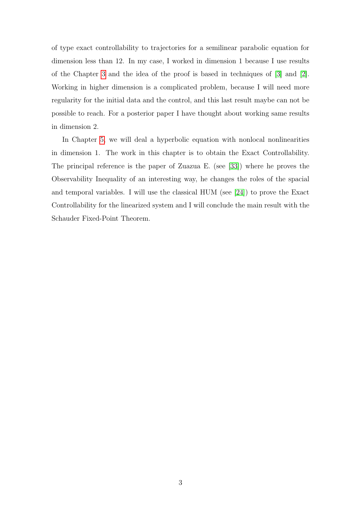of type exact controllability to trajectories for a semilinear parabolic equation for dimension less than 12. In my case, I worked in dimension 1 because I use results of the Chapter [3](#page-37-0) and the idea of the proof is based in techniques of [\[3\]](#page-96-6) and [\[2\]](#page-96-7). Working in higher dimension is a complicated problem, because I will need more regularity for the initial data and the control, and this last result maybe can not be possible to reach. For a posterior paper I have thought about working same results in dimension 2.

In Chapter [5,](#page-85-0) we will deal a hyperbolic equation with nonlocal nonlinearities in dimension 1. The work in this chapter is to obtain the Exact Controllability. The principal reference is the paper of Zuazua E. (see [\[33\]](#page-99-0)) where he proves the Observability Inequality of an interesting way, he changes the roles of the spacial and temporal variables. I will use the classical HUM (see [\[24\]](#page-98-11)) to prove the Exact Controllability for the linearized system and I will conclude the main result with the Schauder Fixed-Point Theorem.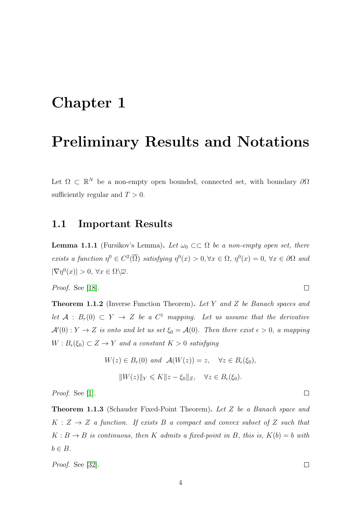## <span id="page-11-0"></span>Chapter 1

## Preliminary Results and Notations

Let  $\Omega \subset \mathbb{R}^N$  be a non-empty open bounded, connected set, with boundary  $\partial \Omega$ sufficiently regular and  $T > 0$ .

#### <span id="page-11-1"></span>1.1 Important Results

<span id="page-11-3"></span>**Lemma 1.1.1** (Fursikov's Lemma). Let  $\omega_0 \subset\subset \Omega$  be a non-empty open set, there exists a function  $\eta^0 \in C^2(\overline{\Omega})$  satisfying  $\eta^0(x) > 0, \forall x \in \Omega$ ,  $\eta^0(x) = 0, \forall x \in \partial\Omega$  and  $|\nabla \eta^{0}(x)| > 0, \,\forall x \in \Omega \backslash \overline{\omega}.$ 

Proof. See [\[18\]](#page-98-3).

<span id="page-11-2"></span>Theorem 1.1.2 (Inverse Function Theorem). Let Y and Z be Banach spaces and let  $A : B_r(0) \subset Y \to Z$  be a  $C^1$  mapping. Let us assume that the derivative  $\mathcal{A}'(0): Y \to Z$  is onto and let us set  $\xi_0 = \mathcal{A}(0)$ . Then there exist  $\epsilon > 0$ , a mapping  $W: B_{\epsilon}(\xi_0) \subset Z \to Y$  and a constant  $K > 0$  satisfying

$$
W(z) \in B_r(0) \text{ and } \mathcal{A}(W(z)) = z, \quad \forall z \in B_{\epsilon}(\xi_0),
$$
  

$$
||W(z)||_Y \leq K||z - \xi_0||_Z, \quad \forall z \in B_{\epsilon}(\xi_0).
$$

Proof. See [\[1\]](#page-96-1).

Theorem 1.1.3 (Schauder Fixed-Point Theorem). Let Z be a Banach space and  $K: Z \rightarrow Z$  a function. If exists B a compact and convex subset of Z such that  $K : B \to B$  is continuous, then K admits a fixed-point in B, this is,  $K(b) = b$  with  $b \in B$ .

Proof. See [\[32\]](#page-99-2).

 $\Box$ 

 $\Box$ 

 $\Box$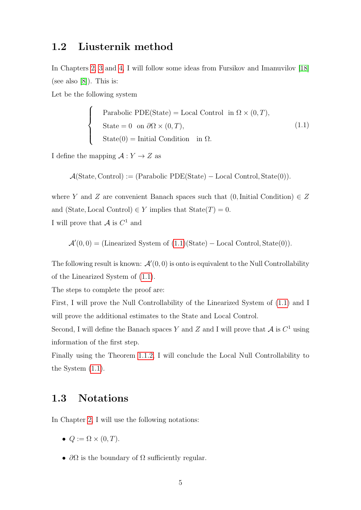#### <span id="page-12-0"></span>1.2 Liusternik method

In Chapters [2,](#page-14-0) [3](#page-37-0) and [4,](#page-51-0) I will follow some ideas from Fursikov and Imanuvilov [\[18\]](#page-98-3) (see also [\[8\]](#page-96-8)). This is:

Let be the following system

<span id="page-12-2"></span>
$$
\begin{cases}\n\text{Parabolic PDE}(State) = \text{Local Control in } \Omega \times (0, T), \\
\text{State} = 0 \text{ on } \partial\Omega \times (0, T), \\
\text{State}(0) = \text{Initial Condition in } \Omega.\n\end{cases}
$$
\n(1.1)

I define the mapping  $\mathcal{A}: Y \to Z$  as

 $\mathcal{A}(\text{State}, \text{Control}) := (\text{Parabolic PDE}(\text{State}) - \text{Local Control}, \text{State}(0)).$ 

where Y and Z are convenient Banach spaces such that  $(0,$ Initial Condition)  $\in Z$ and (State, Local Control)  $\in Y$  implies that  $State(T) = 0$ . I will prove that  $\mathcal A$  is  $C^1$  and

$$
\mathcal{A}'(0,0) = (Linearized System of (1.1)(State) - Local Control, State(0)).
$$

The following result is known:  $\mathcal{A}'(0,0)$  is onto is equivalent to the Null Controllability of the Linearized System of [\(1.1\)](#page-12-2).

The steps to complete the proof are:

First, I will prove the Null Controllability of the Linearized System of [\(1.1\)](#page-12-2) and I will prove the additional estimates to the State and Local Control.

Second, I will define the Banach spaces Y and Z and I will prove that  $\mathcal A$  is  $C^1$  using information of the first step.

Finally using the Theorem [1.1.2,](#page-11-2) I will conclude the Local Null Controllability to the System [\(1.1\)](#page-12-2).

#### <span id="page-12-1"></span>1.3 Notations

In Chapter [2,](#page-14-0) I will use the following notations:

- $Q := \Omega \times (0, T)$ .
- $\partial\Omega$  is the boundary of  $\Omega$  sufficiently regular.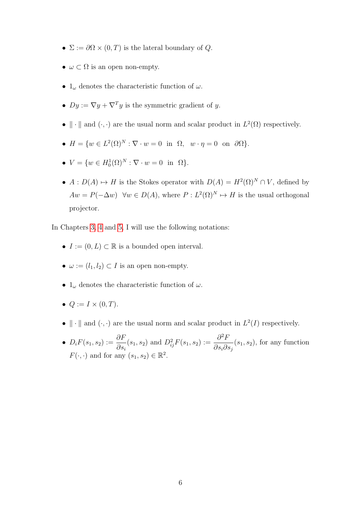- $\Sigma := \partial \Omega \times (0,T)$  is the lateral boundary of Q.
- $\omega \subset \Omega$  is an open non-empty.
- $1_{\omega}$  denotes the characteristic function of  $\omega$ .
- $Dy := \nabla y + \nabla^T y$  is the symmetric gradient of y.
- $\|\cdot\|$  and  $(\cdot, \cdot)$  are the usual norm and scalar product in  $L^2(\Omega)$  respectively.
- $H = \{w \in L^2(\Omega)^N : \nabla \cdot w = 0 \text{ in } \Omega, w \cdot \eta = 0 \text{ on } \partial \Omega\}.$
- $V = \{w \in H_0^1(\Omega)^N : \nabla \cdot w = 0 \text{ in } \Omega\}.$
- $A: D(A) \mapsto H$  is the Stokes operator with  $D(A) = H^2(\Omega)^N \cap V$ , defined by  $Aw = P(-\Delta w) \quad \forall w \in D(A),$  where  $P: L^2(\Omega)^N \mapsto H$  is the usual orthogonal projector.

In Chapters [3,](#page-37-0) [4](#page-51-0) and [5,](#page-85-0) I will use the following notations:

- $I := (0, L) \subset \mathbb{R}$  is a bounded open interval.
- $\omega := (l_1, l_2) \subset I$  is an open non-empty.
- $1_{\omega}$  denotes the characteristic function of  $\omega$ .
- $Q := I \times (0, T)$ .
- $\|\cdot\|$  and  $(\cdot, \cdot)$  are the usual norm and scalar product in  $L^2(I)$  respectively.
- $D_i F(s_1, s_2) := \frac{\partial F}{\partial s_1}$  $\partial s_i$  $(s_1, s_2)$  and  $D_{ij}^2 F(s_1, s_2) := \frac{\partial^2 F}{\partial s_1 \partial s_2}$  $\partial s_i\partial s_j$  $(s_1, s_2)$ , for any function  $F(\cdot, \cdot)$  and for any  $(s_1, s_2) \in \mathbb{R}^2$ .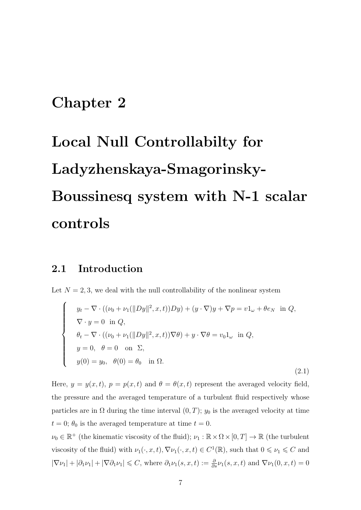## <span id="page-14-0"></span>Chapter 2

# Local Null Controllabilty for Ladyzhenskaya-Smagorinsky-Boussinesq system with N-1 scalar controls

#### <span id="page-14-1"></span>2.1 Introduction

Let  $N = 2, 3$ , we deal with the null controllability of the nonlinear system

<span id="page-14-2"></span>
$$
\begin{cases}\n y_t - \nabla \cdot ((\nu_0 + \nu_1(\|Dy\|^2, x, t))Dy) + (y \cdot \nabla)y + \nabla p = v1_\omega + \theta e_N \text{ in } Q, \\
 \nabla \cdot y = 0 \text{ in } Q, \\
 \theta_t - \nabla \cdot ((\nu_0 + \nu_1(\|Dy\|^2, x, t))\nabla \theta) + y \cdot \nabla \theta = v_01_\omega \text{ in } Q, \\
 y = 0, \quad \theta = 0 \text{ on } \Sigma, \\
 y(0) = y_0, \quad \theta(0) = \theta_0 \text{ in } \Omega.\n\end{cases}
$$
\n(2.1)

Here,  $y = y(x, t)$ ,  $p = p(x, t)$  and  $\theta = \theta(x, t)$  represent the averaged velocity field, the pressure and the averaged temperature of a turbulent fluid respectively whose particles are in  $\Omega$  during the time interval  $(0, T)$ ;  $y_0$  is the averaged velocity at time  $t = 0$ ;  $\theta_0$  is the averaged temperature at time  $t = 0$ .

 $\nu_0 \in \mathbb{R}^+$  (the kinematic viscosity of the fluid);  $\nu_1 : \mathbb{R} \times \Omega \times [0, T] \to \mathbb{R}$  (the turbulent viscosity of the fluid) with  $\nu_1(\cdot, x, t)$ ,  $\nabla \nu_1(\cdot, x, t) \in C^1(\mathbb{R})$ , such that  $0 \le \nu_1 \le C$  and  $|\nabla \nu_1| + |\partial_1 \nu_1| + |\nabla \partial_1 \nu_1| \leq C$ , where  $\partial_1 \nu_1(s, x, t) := \frac{\partial}{\partial s} \nu_1(s, x, t)$  and  $\nabla \nu_1(0, x, t) = 0$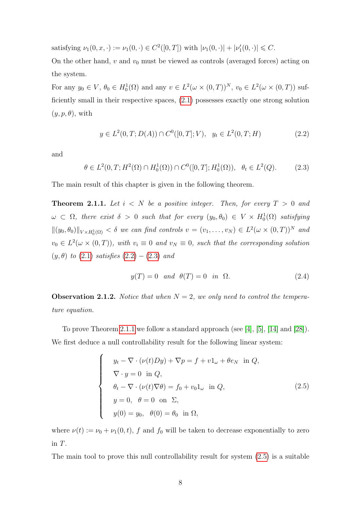satisfying  $\nu_1(0, x, \cdot) := \nu_1(0, \cdot) \in C^2([0, T])$  with  $|\nu_1(0, \cdot)| + |\nu'_1(0, \cdot)| \leq C$ .

On the other hand,  $v$  and  $v_0$  must be viewed as controls (averaged forces) acting on the system.

For any  $y_0 \in V$ ,  $\theta_0 \in H_0^1(\Omega)$  and any  $v \in L^2(\omega \times (0,T))^N$ ,  $v_0 \in L^2(\omega \times (0,T))$  sufficiently small in their respective spaces, [\(2](#page-14-2).1) possesses exactly one strong solution  $(y, p, \theta)$ , with

<span id="page-15-1"></span>
$$
y \in L^{2}(0, T; D(A)) \cap C^{0}([0, T]; V), \quad y_{t} \in L^{2}(0, T; H)
$$
\n
$$
(2.2)
$$

<span id="page-15-2"></span>and

$$
\theta \in L^2(0, T; H^2(\Omega) \cap H_0^1(\Omega)) \cap C^0([0, T]; H_0^1(\Omega)), \ \ \theta_t \in L^2(Q). \tag{2.3}
$$

The main result of this chapter is given in the following theorem.

<span id="page-15-0"></span>**Theorem 2.1.1.** Let  $i < N$  be a positive integer. Then, for every  $T > 0$  and  $\omega \subset \Omega$ , there exist  $\delta > 0$  such that for every  $(y_0, \theta_0) \in V \times H_0^1(\Omega)$  satisfying  $||(y_0, \theta_0)||_{V \times H_0^1(\Omega)} < \delta$  we can find controls  $v = (v_1, \ldots, v_N) \in L^2(\omega \times (0, T))^N$  and  $v_0 \in L^2(\omega \times (0,T))$ , with  $v_i \equiv 0$  and  $v_N \equiv 0$ , such that the corresponding solution  $(y, \theta)$  to  $(2.1)$  $(2.1)$  satisfies  $(2.2) - (2.3)$  $(2.2) - (2.3)$  and

<span id="page-15-3"></span>
$$
y(T) = 0 \quad and \quad \theta(T) = 0 \quad in \quad \Omega.
$$
 (2.4)

**Observation 2.1.2.** Notice that when  $N = 2$ , we only need to control the temperature equation.

To prove Theorem [2](#page-15-0).1.1 we follow a standard approach (see [\[4\]](#page-96-4), [\[5\]](#page-96-5), [\[14\]](#page-97-4) and [\[28\]](#page-98-9)). We first deduce a null controllability result for the following linear system:

$$
\begin{cases}\n y_t - \nabla \cdot (\nu(t)Dy) + \nabla p = f + v1_\omega + \theta e_N \text{ in } Q, \\
 \nabla \cdot y = 0 \text{ in } Q, \\
 \theta_t - \nabla \cdot (\nu(t)\nabla \theta) = f_0 + v_0 1_\omega \text{ in } Q, \\
 y = 0, \quad \theta = 0 \text{ on } \Sigma, \\
 y(0) = y_0, \quad \theta(0) = \theta_0 \text{ in } \Omega,\n\end{cases}
$$
\n(2.5)

where  $\nu(t) := \nu_0 + \nu_1(0, t)$ , f and f<sub>0</sub> will be taken to decrease exponentially to zero in T.

The main tool to prove this null controllability result for system (2.[5\)](#page-15-3) is a suitable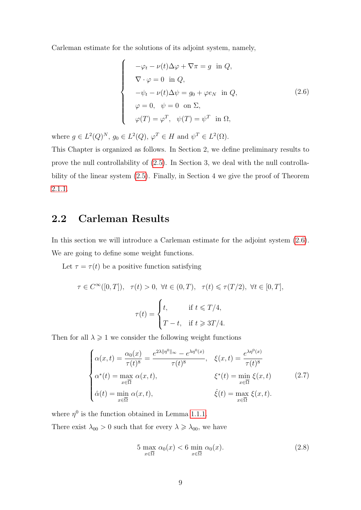Carleman estimate for the solutions of its adjoint system, namely,

<span id="page-16-1"></span>
$$
-\varphi_t - \nu(t)\Delta\varphi + \nabla\pi = g \text{ in } Q,
$$
  
\n
$$
\nabla \cdot \varphi = 0 \text{ in } Q,
$$
  
\n
$$
-\psi_t - \nu(t)\Delta\psi = g_0 + \varphi e_N \text{ in } Q,
$$
  
\n
$$
\varphi = 0, \quad \psi = 0 \text{ on } \Sigma,
$$
  
\n
$$
\varphi(T) = \varphi^T, \quad \psi(T) = \psi^T \text{ in } \Omega,
$$
\n(2.6)

where  $g \in L^2(Q)^N$ ,  $g_0 \in L^2(Q)$ ,  $\varphi^T \in H$  and  $\psi^T \in L^2(\Omega)$ .

 $\sqrt{ }$ 

 $\begin{array}{c} \hline \end{array}$ 

 $\begin{array}{c} \hline \end{array}$ 

This Chapter is organized as follows. In Section 2, we define preliminary results to prove the null controllability of (2.[5\)](#page-15-3). In Section 3, we deal with the null controllability of the linear system (2.[5\)](#page-15-3). Finally, in Section 4 we give the proof of Theorem 2.1.[1.](#page-15-0)

### <span id="page-16-0"></span>2.2 Carleman Results

In this section we will introduce a Carleman estimate for the adjoint system [\(2](#page-16-1).6). We are going to define some weight functions.

Let  $\tau = \tau(t)$  be a positive function satisfying

$$
\tau \in C^{\infty}([0, T]), \quad \tau(t) > 0, \ \forall t \in (0, T), \quad \tau(t) \leq \tau(T/2), \ \forall t \in [0, T],
$$

$$
\tau(t) = \begin{cases} t, & \text{if } t \leq T/4, \\ T - t, & \text{if } t \geq 3T/4. \end{cases}
$$

Then for all  $\lambda \geqslant 1$  we consider the following weight functions

$$
\begin{cases}\n\alpha(x,t) = \frac{\alpha_0(x)}{\tau(t)^8} = \frac{e^{2\lambda \|\eta^0\|_{\infty}} - e^{\lambda \eta^0(x)}}{\tau(t)^8}, & \xi(x,t) = \frac{e^{\lambda \eta^0(x)}}{\tau(t)^8} \\
\alpha^*(t) = \max_{x \in \overline{\Omega}} \alpha(x,t), & \xi^*(t) = \min_{x \in \overline{\Omega}} \xi(x,t) \\
\hat{\alpha}(t) = \min_{x \in \overline{\Omega}} \alpha(x,t), & \hat{\xi}(t) = \max_{x \in \overline{\Omega}} \xi(x,t).\n\end{cases} (2.7)
$$

where  $\eta^0$  is the function obtained in Lemma [1.1.1.](#page-11-3)

There exist  $\lambda_{00} > 0$  such that for every  $\lambda \geq \lambda_{00}$ , we have

<span id="page-16-2"></span>
$$
5 \max_{x \in \overline{\Omega}} \alpha_0(x) < 6 \min_{x \in \overline{\Omega}} \alpha_0(x). \tag{2.8}
$$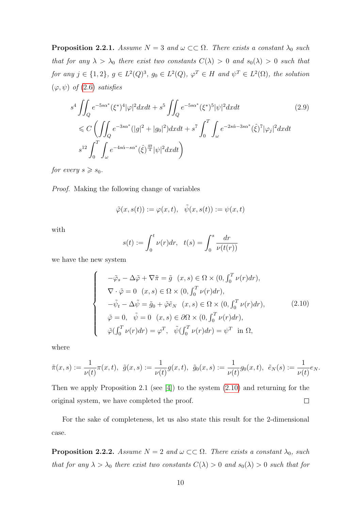<span id="page-17-1"></span>**Proposition 2.2.1.** Assume  $N = 3$  and  $\omega \subset\subset \Omega$ . There exists a constant  $\lambda_0$  such that for any  $\lambda > \lambda_0$  there exist two constants  $C(\lambda) > 0$  and  $s_0(\lambda) > 0$  such that for any  $j \in \{1,2\}$ ,  $g \in L^2(Q)^3$ ,  $g_0 \in L^2(Q)$ ,  $\varphi^T \in H$  and  $\psi^T \in L^2(\Omega)$ , the solution  $(\varphi, \psi)$  of (2.[6\)](#page-16-1) satisfies

$$
s^{4} \iint_{Q} e^{-5s\alpha^{*}} (\xi^{*})^{4} |\varphi|^{2} dxdt + s^{5} \iint_{Q} e^{-5s\alpha^{*}} (\xi^{*})^{5} |\psi|^{2} dxdt
$$
\n
$$
\leq C \left( \iint_{Q} e^{-3s\alpha^{*}} (|g|^{2} + |g_{0}|^{2}) dxdt + s^{7} \int_{0}^{T} \int_{\omega} e^{-2s\hat{\alpha} - 3s\alpha^{*}} (\hat{\xi})^{7} |\varphi_{j}|^{2} dxdt \right)
$$
\n
$$
s^{12} \int_{0}^{T} \int_{\omega} e^{-4s\hat{\alpha} - s\alpha^{*}} (\hat{\xi})^{\frac{49}{4}} |\psi|^{2} dxdt
$$
\n(2.9)

for every  $s \geq s_0$ .

Proof. Making the following change of variables

$$
\tilde{\varphi}(x,s(t)) := \varphi(x,t), \quad \tilde{\psi}(x,s(t)) := \psi(x,t)
$$

with

<span id="page-17-0"></span>
$$
s(t) := \int_0^t \nu(r) dr, \quad t(s) = \int_0^s \frac{dr}{\nu(t(r))}
$$

we have the new system

$$
\begin{cases}\n-\tilde{\varphi}_s - \Delta \tilde{\varphi} + \nabla \tilde{\pi} = \tilde{g} \quad (x, s) \in \Omega \times (0, \int_0^T \nu(r) dr), \\
\nabla \cdot \tilde{\varphi} = 0 \quad (x, s) \in \Omega \times (0, \int_0^T \nu(r) dr), \\
-\tilde{\psi}_t - \Delta \tilde{\psi} = \tilde{g}_0 + \tilde{\varphi} \tilde{e}_N \quad (x, s) \in \Omega \times (0, \int_0^T \nu(r) dr), \\
\tilde{\varphi} = 0, \quad \tilde{\psi} = 0 \quad (x, s) \in \partial \Omega \times (0, \int_0^T \nu(r) dr), \\
\tilde{\varphi}(\int_0^T \nu(r) dr) = \varphi^T, \quad \tilde{\psi}(\int_0^T \nu(r) dr) = \psi^T \quad \text{in } \Omega,\n\end{cases}
$$
\n(2.10)

where

$$
\tilde{\pi}(x,s) := \frac{1}{\nu(t)} \pi(x,t), \ \ \tilde{g}(x,s) := \frac{1}{\nu(t)} g(x,t), \ \ \tilde{g}_0(x,s) := \frac{1}{\nu(t)} g_0(x,t), \ \ \tilde{e}_N(s) := \frac{1}{\nu(t)} e_N.
$$

Then we apply Proposition 2.1 (see [\[4\]](#page-96-4)) to the system [\(2.10\)](#page-17-0) and returning for the original system, we have completed the proof.  $\Box$ 

For the sake of completeness, let us also state this result for the 2-dimensional case.

<span id="page-17-2"></span>**Proposition 2.2.2.** Assume  $N = 2$  and  $\omega \subset\subset \Omega$ . There exists a constant  $\lambda_0$ , such that for any  $\lambda > \lambda_0$  there exist two constants  $C(\lambda) > 0$  and  $s_0(\lambda) > 0$  such that for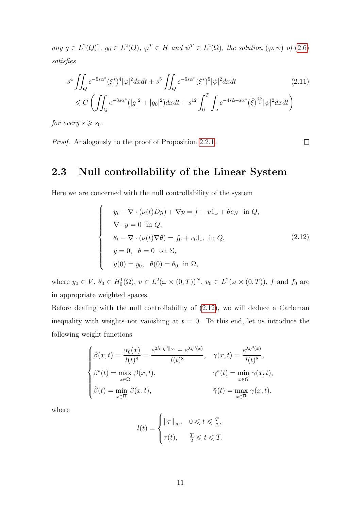any  $g \in L^2(Q)^2$ ,  $g_0 \in L^2(Q)$ ,  $\varphi^T \in H$  and  $\psi^T \in L^2(\Omega)$ , the solution  $(\varphi, \psi)$  of  $(2.6)$  $(2.6)$ satisfies

$$
s^{4} \iint_{Q} e^{-5s\alpha^{*}} (\xi^{*})^{4} |\varphi|^{2} dxdt + s^{5} \iint_{Q} e^{-5s\alpha^{*}} (\xi^{*})^{5} |\psi|^{2} dxdt
$$
\n
$$
\leq C \left( \iint_{Q} e^{-3s\alpha^{*}} (|g|^{2} + |g_{0}|^{2}) dxdt + s^{12} \int_{0}^{T} \int_{\omega} e^{-4s\hat{\alpha} - s\alpha^{*}} (\hat{\xi})^{\frac{49}{4}} |\psi|^{2} dxdt \right)
$$
\n(2.11)

for every  $s \geqslant s_0$ .

Proof. Analogously to the proof of Proposition [2](#page-17-1).2.1.

### <span id="page-18-0"></span>2.3 Null controllability of the Linear System

Here we are concerned with the null controllability of the system

$$
\begin{cases}\n y_t - \nabla \cdot (\nu(t)Dy) + \nabla p = f + v1_\omega + \theta e_N \text{ in } Q, \\
 \nabla \cdot y = 0 \text{ in } Q, \\
 \theta_t - \nabla \cdot (\nu(t)\nabla \theta) = f_0 + v_0 1_\omega \text{ in } Q, \\
 y = 0, \quad \theta = 0 \text{ on } \Sigma, \\
 y(0) = y_0, \quad \theta(0) = \theta_0 \text{ in } \Omega,\n\end{cases}
$$
\n(2.12)

<span id="page-18-1"></span> $\Box$ 

where  $y_0 \in V$ ,  $\theta_0 \in H_0^1(\Omega)$ ,  $v \in L^2(\omega \times (0,T))^N$ ,  $v_0 \in L^2(\omega \times (0,T))$ , f and  $f_0$  are in appropriate weighted spaces.

Before dealing with the null controllability of (2.[12\)](#page-18-1), we will deduce a Carleman inequality with weights not vanishing at  $t = 0$ . To this end, let us introduce the following weight functions

$$
\begin{cases}\n\beta(x,t) = \frac{\alpha_0(x)}{l(t)^8} = \frac{e^{2\lambda \|\eta^0\|_{\infty}} - e^{\lambda \eta^0(x)}}{l(t)^8}, & \gamma(x,t) = \frac{e^{\lambda \eta^0(x)}}{l(t)^8}, \\
\beta^*(t) = \max_{x \in \overline{\Omega}} \beta(x,t), & \gamma^*(t) = \min_{x \in \overline{\Omega}} \gamma(x,t), \\
\hat{\beta}(t) = \min_{x \in \overline{\Omega}} \beta(x,t), & \hat{\gamma}(t) = \max_{x \in \overline{\Omega}} \gamma(x,t).\n\end{cases}
$$

where

$$
l(t) = \begin{cases} \|\tau\|_{\infty}, & 0 \leqslant t \leqslant \frac{T}{2}, \\ \tau(t), & \frac{T}{2} \leqslant t \leqslant T. \end{cases}
$$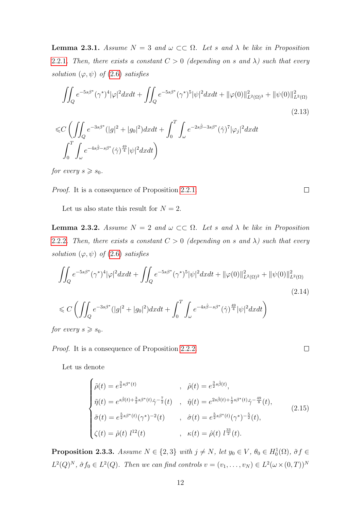**Lemma 2.3.1.** Assume  $N = 3$  and  $\omega \subset\subset \Omega$ . Let s and  $\lambda$  be like in Proposition [2](#page-17-1).2.1. Then, there exists a constant  $C > 0$  (depending on s and  $\lambda$ ) such that every solution  $(\varphi, \psi)$  of  $(2.6)$  $(2.6)$  satisfies

$$
\iint_{Q} e^{-5s\beta^*} (\gamma^*)^4 |\varphi|^2 dxdt + \iint_{Q} e^{-5s\beta^*} (\gamma^*)^5 |\psi|^2 dxdt + ||\varphi(0)||^2_{L^2(\Omega)^3} + ||\psi(0)||^2_{L^2(\Omega)}(2.13)
$$
\n
$$
\iint_{C} \left( \iint e^{-3s\beta^*} (|q|^2 + |q_0|^2) dxdt + \int^T \int e^{-2s\hat{\beta} - 3s\beta^*} (\hat{\gamma})^7 |\varphi|^2 dxdt \right)
$$

$$
\leq C \left( \iint_Q e^{-3s\beta^*} (|g|^2 + |g_0|^2) dx dt + \int_0 \int_\omega e^{-2s\beta - 3s\beta^*} (\hat{\gamma})^7 |\varphi_j|^2 dx dt \right)
$$
  

$$
\int_0^T \int_\omega e^{-4s\hat{\beta} - s\beta^*} (\hat{\gamma})^{\frac{49}{4}} |\psi|^2 dx dt \right)
$$

for every  $s \geqslant s_0$ .

Proof. It is a consequence of Proposition [2](#page-17-1).2.1.

Let us also state this result for  $N = 2$ .

**Lemma 2.3.2.** Assume  $N = 2$  and  $\omega \subset\subset \Omega$ . Let s and  $\lambda$  be like in Proposition [2](#page-17-2).2.2. Then, there exists a constant  $C > 0$  (depending on s and  $\lambda$ ) such that every solution  $(\varphi, \psi)$  of  $(2.6)$  $(2.6)$  satisfies

$$
\iint_{Q} e^{-5s\beta^*} (\gamma^*)^4 |\varphi|^2 dxdt + \iint_{Q} e^{-5s\beta^*} (\gamma^*)^5 |\psi|^2 dxdt + ||\varphi(0)||^2_{L^2(\Omega)^2} + ||\psi(0)||^2_{L^2(\Omega)}
$$
\n
$$
\leq C \left( \iint_{Q} e^{-3s\beta^*} (|g|^2 + |g_0|^2) dxdt + \int_0^T \int_{\omega} e^{-4s\hat{\beta} - s\beta^*} (\hat{\gamma})^{\frac{49}{4}} |\psi|^2 dxdt \right)
$$
\n(2.14)

for every  $s \geqslant s_0$ .

Proof. It is a consequence of Proposition [2](#page-17-2).2.2.

Let us denote

<span id="page-19-1"></span>
$$
\begin{cases}\n\tilde{\rho}(t) = e^{\frac{3}{2}s\beta^*(t)} & , \quad \hat{\rho}(t) = e^{\frac{3}{2}s\hat{\beta}(t)}, \\
\tilde{\eta}(t) = e^{s\hat{\beta}(t) + \frac{3}{2}s\beta^*(t)}\hat{\gamma}^{-\frac{7}{2}}(t) & , \quad \hat{\eta}(t) = e^{2s\hat{\beta}(t) + \frac{1}{2}s\beta^*(t)}\hat{\gamma}^{-\frac{49}{8}}(t), \\
\tilde{\sigma}(t) = e^{\frac{5}{2}s\beta^*(t)}(\gamma^*)^{-2}(t) & , \quad \hat{\sigma}(t) = e^{\frac{5}{2}s\beta^*(t)}(\gamma^*)^{-\frac{5}{2}}(t), \\
\zeta(t) = \hat{\rho}(t) l^{12}(t) & , \quad \kappa(t) = \hat{\rho}(t) l^{\frac{33}{2}}(t).\n\end{cases}
$$
\n(2.15)

<span id="page-19-0"></span>**Proposition 2.3.3.** Assume  $N \in \{2,3\}$  with  $j \neq N$ , let  $y_0 \in V$ ,  $\theta_0 \in H_0^1(\Omega)$ ,  $\tilde{\sigma} f \in$  $L^2(Q)^N$ ,  $\hat{\sigma} f_0 \in L^2(Q)$ . Then we can find controls  $v = (v_1, \ldots, v_N) \in L^2(\omega \times (0,T))^N$ 

 $\Box$ 

 $\Box$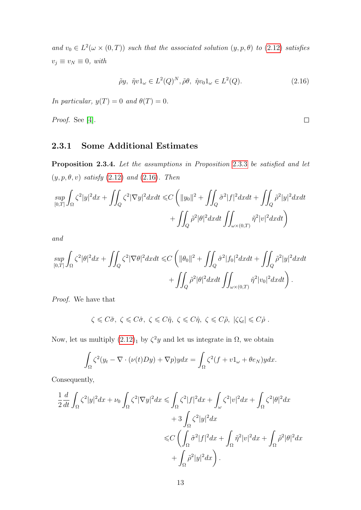and  $v_0 \in L^2(\omega \times (0,T))$  such that the associated solution  $(y, p, \theta)$  to  $(2.12)$  $(2.12)$  satisfies  $v_j \equiv v_N \equiv 0$ , with

$$
\tilde{\rho}y, \ \tilde{\eta}v1_{\omega} \in L^{2}(Q)^{N}, \tilde{\rho}\theta, \ \tilde{\eta}v_{0}1_{\omega} \in L^{2}(Q). \tag{2.16}
$$

<span id="page-20-1"></span> $\Box$ 

In particular,  $y(T) = 0$  and  $\theta(T) = 0$ .

Proof. See [\[4\]](#page-96-4).

#### <span id="page-20-0"></span>2.3.1 Some Additional Estimates

<span id="page-20-2"></span>Proposition [2](#page-19-0).3.4. Let the assumptions in Proposition 2.3.3 be satisfied and let  $(y, p, \theta, v)$  satisfy  $(2.12)$  $(2.12)$  and  $(2.16)$  $(2.16)$ . Then

$$
\sup_{[0,T]} \int_{\Omega} \zeta^2 |y|^2 dx + \iint_Q \zeta^2 |\nabla y|^2 dx dt \le C \left( \|y_0\|^2 + \iint_Q \tilde{\sigma}^2 |f|^2 dx dt + \iint_Q \tilde{\rho}^2 |y|^2 dx dt \right) + \iint_Q \tilde{\rho}^2 |\theta|^2 dx dt \iint_{\omega \times (0,T)} \tilde{\eta}^2 |v|^2 dx dt
$$

and

$$
\sup_{[0,T]} \int_{\Omega} \zeta^2 |\theta|^2 dx + \iint_Q \zeta^2 |\nabla \theta|^2 dx dt \leq C \left( \|\theta_0\|^2 + \iint_Q \hat{\sigma}^2 |f_0|^2 dx dt + \iint_Q \tilde{\rho}^2 |y|^2 dx dt \right. \\ \left. + \iint_Q \tilde{\rho}^2 |\theta|^2 dx dt \iint_{\omega \times (0,T)} \hat{\eta}^2 |v_0|^2 dx dt \right).
$$

Proof. We have that

$$
\zeta \leq C\tilde{\sigma}, \ \zeta \leq C\hat{\sigma}, \ \zeta \leq C\tilde{\eta}, \ \zeta \leq C\hat{\eta}, \ \zeta \leq C\tilde{\rho}, \ |\zeta \zeta_t| \leq C\hat{\rho}.
$$

Now, let us multiply  $(2.12)_1$  $(2.12)_1$  $(2.12)_1$  by  $\zeta^2 y$  and let us integrate in  $\Omega$ , we obtain

$$
\int_{\Omega} \zeta^2 (y_t - \nabla \cdot (\nu(t)Dy) + \nabla p) y dx = \int_{\Omega} \zeta^2 (f + v1_\omega + \theta e_N) y dx.
$$

Consequently,

$$
\frac{1}{2}\frac{d}{dt}\int_{\Omega}\zeta^{2}|y|^{2}dx + \nu_{0}\int_{\Omega}\zeta^{2}|\nabla y|^{2}dx \leq \int_{\Omega}\zeta^{2}|f|^{2}dx + \int_{\omega}\zeta^{2}|v|^{2}dx + \int_{\Omega}\zeta^{2}|\theta|^{2}dx
$$
  
+ 
$$
+ 3\int_{\Omega}\zeta^{2}|y|^{2}dx
$$
  

$$
\leq C\left(\int_{\Omega}\tilde{\sigma}^{2}|f|^{2}dx + \int_{\Omega}\tilde{\eta}^{2}|v|^{2}dx + \int_{\Omega}\tilde{\rho}^{2}|\theta|^{2}dx\right)
$$
  
+ 
$$
\int_{\Omega}\tilde{\rho}^{2}|y|^{2}dx\right).
$$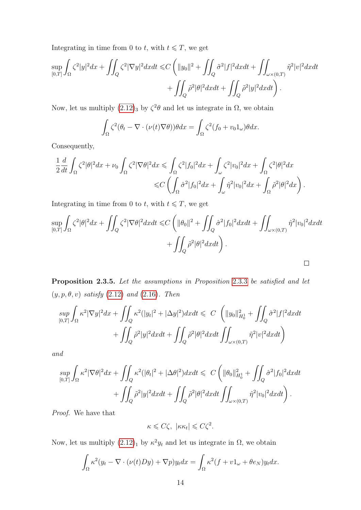Integrating in time from 0 to t, with  $t \leq T$ , we get

$$
\sup_{[0,T]} \int_{\Omega} \zeta^2 |y|^2 dx + \iint_Q \zeta^2 |\nabla y|^2 dx dt \le C \left( \|y_0\|^2 + \iint_Q \tilde{\sigma}^2 |f|^2 dx dt + \iint_{\omega \times (0,T)} \tilde{\eta}^2 |v|^2 dx dt + \iint_Q \tilde{\rho}^2 |\theta|^2 dx dt + \iint_Q \tilde{\rho}^2 |y|^2 dx dt \right).
$$

Now, let us multiply  $(2.12)_3$  $(2.12)_3$  $(2.12)_3$  by  $\zeta^2\theta$  and let us integrate in  $\Omega$ , we obtain

$$
\int_{\Omega} \zeta^2 (\theta_t - \nabla \cdot (\nu(t) \nabla \theta)) \theta dx = \int_{\Omega} \zeta^2 (f_0 + v_0 1_{\omega}) \theta dx.
$$

Consequently,

$$
\frac{1}{2}\frac{d}{dt}\int_{\Omega}\zeta^2|\theta|^2dx+\nu_0\int_{\Omega}\zeta^2|\nabla\theta|^2dx\leqslant\int_{\Omega}\zeta^2|f_0|^2dx+\int_{\omega}\zeta^2|\nu_0|^2dx+\int_{\Omega}\zeta^2|\theta|^2dx\\ \leqslant C\left(\int_{\Omega}\hat{\sigma}^2|f_0|^2dx+\int_{\omega}\hat{\eta}^2|\nu_0|^2dx+\int_{\Omega}\hat{\rho}^2|\theta|^2dx\right).
$$

Integrating in time from 0 to t, with  $t \leq T$ , we get

$$
\sup_{[0,T]} \int_{\Omega} \zeta^2 |\theta|^2 dx + \iint_Q \zeta^2 |\nabla \theta|^2 dx dt \le C \left( \|\theta_0\|^2 + \iint_Q \hat{\sigma}^2 |f_0|^2 dx dt + \iint_{\omega \times (0,T)} \hat{\eta}^2 |v_0|^2 dx dt + \iint_Q \tilde{\rho}^2 |\theta|^2 dx dt \right).
$$

<span id="page-21-0"></span>Proposition [2](#page-19-0).3.5. Let the assumptions in Proposition 2.3.3 be satisfied and let  $(y, p, \theta, v)$  satisfy  $(2.12)$  $(2.12)$  and  $(2.16)$  $(2.16)$ . Then

$$
\sup_{[0,T]} \int_{\Omega} \kappa^2 |\nabla y|^2 dx + \iint_Q \kappa^2 (|y_t|^2 + |\Delta y|^2) dx dt \leq C \left( ||y_0||_{H_0^1}^2 + \iint_Q \tilde{\sigma}^2 |f|^2 dx dt + \iint_Q \tilde{\rho}^2 |y|^2 dx dt + \iint_Q \tilde{\rho}^2 |\theta|^2 dx dt \iint_{\omega \times (0,T)} \tilde{\eta}^2 |v|^2 dx dt \right)
$$

and

$$
\sup_{[0,T]} \int_{\Omega} \kappa^2 |\nabla \theta|^2 dx + \iint_Q \kappa^2 (|\theta_t|^2 + |\Delta \theta|^2) dx dt \leq C \left( ||\theta_0||_{H_0^1}^2 + \iint_Q \hat{\sigma}^2 |f_0|^2 dx dt + \iint_Q \tilde{\rho}^2 |y|^2 dx dt + \iint_Q \tilde{\rho}^2 |\theta|^2 dx dt \iint_{\omega \times (0,T)} \hat{\eta}^2 |v_0|^2 dx dt \right).
$$

Proof. We have that

$$
\kappa \leqslant C\zeta, \ |\kappa \kappa_t| \leqslant C\zeta^2.
$$

Now, let us multiply  $(2.12)_1$  $(2.12)_1$  $(2.12)_1$  by  $\kappa^2 y_t$  and let us integrate in  $\Omega$ , we obtain

$$
\int_{\Omega} \kappa^2 (y_t - \nabla \cdot (\nu(t)Dy) + \nabla p) y_t dx = \int_{\Omega} \kappa^2 (f + v1_\omega + \theta e_N) y_t dx.
$$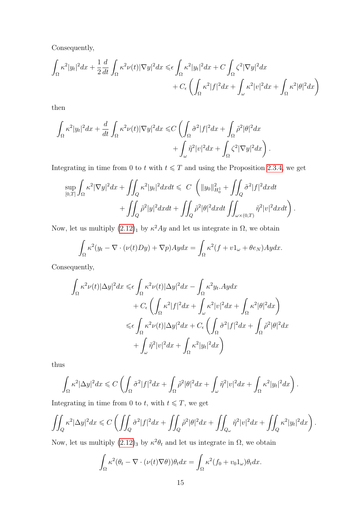Consequently,

$$
\int_{\Omega} \kappa^2 |y_t|^2 dx + \frac{1}{2} \frac{d}{dt} \int_{\Omega} \kappa^2 \nu(t) |\nabla y|^2 dx \leq \epsilon \int_{\Omega} \kappa^2 |y_t|^2 dx + C \int_{\Omega} \zeta^2 |\nabla y|^2 dx \n+ C_{\epsilon} \left( \int_{\Omega} \kappa^2 |f|^2 dx + \int_{\omega} \kappa^2 |v|^2 dx + \int_{\Omega} \kappa^2 |\theta|^2 dx \right)
$$

then

$$
\int_{\Omega} \kappa^2 |y_t|^2 dx + \frac{d}{dt} \int_{\Omega} \kappa^2 \nu(t) |\nabla y|^2 dx \leq C \left( \int_{\Omega} \tilde{\sigma}^2 |f|^2 dx + \int_{\Omega} \tilde{\rho}^2 |\theta|^2 dx \right. \\ \left. + \int_{\omega} \tilde{\eta}^2 |v|^2 dx + \int_{\Omega} \zeta^2 |\nabla y|^2 dx \right).
$$

Integrating in time from 0 to t with  $t \leq T$  and using the Proposition [2](#page-20-2).3.4, we get

$$
\sup_{[0,T]} \int_{\Omega} \kappa^2 |\nabla y|^2 dx + \iint_Q \kappa^2 |y_t|^2 dx dt \leq C \left( \|y_0\|_{H_0^1}^2 + \iint_Q \tilde{\sigma}^2 |f|^2 dx dt + \iint_Q \tilde{\rho}^2 |y|^2 dx dt + \iint_Q \tilde{\rho}^2 |\theta|^2 dx dt \iint_{\omega \times (0,T)} \tilde{\eta}^2 |v|^2 dx dt \right).
$$

Now, let us multiply  $(2.12)_1$  $(2.12)_1$  $(2.12)_1$  by  $\kappa^2 Ay$  and let us integrate in  $\Omega$ , we obtain

$$
\int_{\Omega} \kappa^2 (y_t - \nabla \cdot (\nu(t) Dy) + \nabla p) Ay dx = \int_{\Omega} \kappa^2 (f + v1_\omega + \theta e_N) Ay dx.
$$

Consequently,

$$
\int_{\Omega} \kappa^2 \nu(t) |\Delta y|^2 dx \leq \epsilon \int_{\Omega} \kappa^2 \nu(t) |\Delta y|^2 dx - \int_{\Omega} \kappa^2 y_t A y dx
$$
  
+  $C_{\epsilon} \left( \int_{\Omega} \kappa^2 |f|^2 dx + \int_{\omega} \kappa^2 |v|^2 dx + \int_{\Omega} \kappa^2 |\theta|^2 dx \right)$   
 $\leq \epsilon \int_{\Omega} \kappa^2 \nu(t) |\Delta y|^2 dx + C_{\epsilon} \left( \int_{\Omega} \tilde{\sigma}^2 |f|^2 dx + \int_{\Omega} \tilde{\rho}^2 |\theta|^2 dx \right)$   
+  $\int_{\omega} \tilde{\eta}^2 |v|^2 dx + \int_{\Omega} \kappa^2 |y_t|^2 dx \right)$ 

thus

$$
\int_{\Omega} \kappa^2 |\Delta y|^2 dx \leqslant C \left( \int_{\Omega} \tilde{\sigma}^2 |f|^2 dx + \int_{\Omega} \tilde{\rho}^2 |\theta|^2 dx + \int_{\omega} \tilde{\eta}^2 |v|^2 dx + \int_{\Omega} \kappa^2 |y_t|^2 dx \right).
$$

Integrating in time from 0 to  $t,$  with  $t \leqslant T,$  we get

$$
\iint_Q \kappa^2 |\Delta y|^2 dx \leqslant C \left( \iint_Q \tilde{\sigma}^2 |f|^2 dx + \iint_Q \tilde{\rho}^2 |\theta|^2 dx + \iint_{Q_\omega} \tilde{\eta}^2 |v|^2 dx + \iint_Q \kappa^2 |y_t|^2 dx \right).
$$

Now, let us multiply  $(2.12)_3$  $(2.12)_3$  $(2.12)_3$  by  $\kappa^2 \theta_t$  and let us integrate in  $\Omega$ , we obtain

$$
\int_{\Omega} \kappa^2 (\theta_t - \nabla \cdot (\nu(t) \nabla \theta)) \theta_t dx = \int_{\Omega} \kappa^2 (f_0 + v_0 1_{\omega}) \theta_t dx.
$$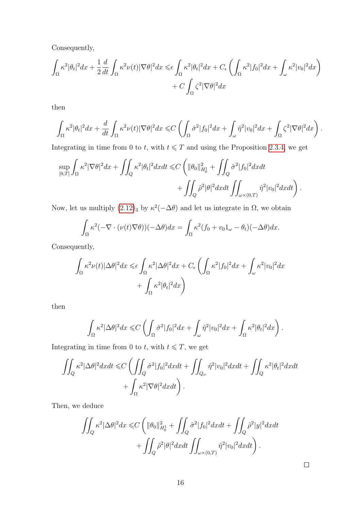Consequently,

$$
\int_{\Omega} \kappa^2 |\theta_t|^2 dx + \frac{1}{2} \frac{d}{dt} \int_{\Omega} \kappa^2 \nu(t) |\nabla \theta|^2 dx \leq \epsilon \int_{\Omega} \kappa^2 |\theta_t|^2 dx + C_{\epsilon} \left( \int_{\Omega} \kappa^2 |f_0|^2 dx + \int_{\omega} \kappa^2 |v_0|^2 dx \right) + C \int_{\Omega} \zeta^2 |\nabla \theta|^2 dx
$$

then

$$
\int_{\Omega} \kappa^2 |\theta_t|^2 dx + \frac{d}{dt} \int_{\Omega} \kappa^2 \nu(t) |\nabla \theta|^2 dx \leq C \left( \int_{\Omega} \hat{\sigma}^2 |f_0|^2 dx + \int_{\omega} \hat{\eta}^2 |v_0|^2 dx + \int_{\Omega} \zeta^2 |\nabla \theta|^2 dx \right).
$$

Integrating in time from 0 to t, with  $t \leq T$  and using the Proposition [2](#page-20-2).3.4, we get

$$
\sup_{[0,T]} \int_{\Omega} \kappa^2 |\nabla \theta|^2 dx + \iint_Q \kappa^2 |\theta_t|^2 dx dt \leq C \left( \|\theta_0\|_{H_0^1}^2 + \iint_Q \hat{\sigma}^2 |f_0|^2 dx dt \right. \\ \left. + \iint_Q \tilde{\rho}^2 |\theta|^2 dx dt \iint_{\omega \times (0,T)} \hat{\eta}^2 |v_0|^2 dx dt \right).
$$

Now, let us multiply  $(2.12)_3$  $(2.12)_3$  $(2.12)_3$  by  $\kappa^2(-\Delta\theta)$  and let us integrate in  $\Omega$ , we obtain

$$
\int_{\Omega} \kappa^2 (-\nabla \cdot (\nu(t)\nabla \theta))(-\Delta \theta) dx = \int_{\Omega} \kappa^2 (f_0 + v_0 1_{\omega} - \theta_t)(-\Delta \theta) dx.
$$

Consequently,

$$
\int_{\Omega} \kappa^2 \nu(t) |\Delta \theta|^2 dx \leq \epsilon \int_{\Omega} \kappa^2 |\Delta \theta|^2 dx + C_{\epsilon} \left( \int_{\Omega} \kappa^2 |f_0|^2 dx + \int_{\omega} \kappa^2 |v_0|^2 dx \right) + \int_{\Omega} \kappa^2 |\theta_t|^2 dx \right)
$$

then

$$
\int_{\Omega} \kappa^2 |\Delta \theta|^2 dx \leq C \left( \int_{\Omega} \hat{\sigma}^2 |f_0|^2 dx + \int_{\omega} \hat{\eta}^2 |v_0|^2 dx + \int_{\Omega} \kappa^2 |\theta_t|^2 dx \right).
$$

Integrating in time from 0 to  $t$ , with  $t \leq T$ , we get

$$
\iint_{Q} \kappa^{2} |\Delta \theta|^{2} dxdt \leq C \left( \iint_{Q} \hat{\sigma}^{2} |f_{0}|^{2} dxdt + \iint_{Q_{\omega}} \hat{\eta}^{2} |v_{0}|^{2} dxdt + \iint_{Q} \kappa^{2} |\theta_{t}|^{2} dxdt + \int_{\Omega} \kappa^{2} |\nabla \theta|^{2} dxdt \right).
$$

Then, we deduce

$$
\iint_{Q} \kappa^{2} |\Delta \theta|^{2} dx \leq C \left( \|\theta_{0}\|_{H_{0}^{1}}^{2} + \iint_{Q} \hat{\sigma}^{2} |f_{0}|^{2} dxdt + \iint_{Q} \tilde{\rho}^{2} |y|^{2} dxdt + \iint_{Q} \tilde{\rho}^{2} |\theta|^{2} dxdt \iint_{\omega \times (0,T)} \hat{\eta}^{2} |v_{0}|^{2} dxdt \right).
$$

 $\Box$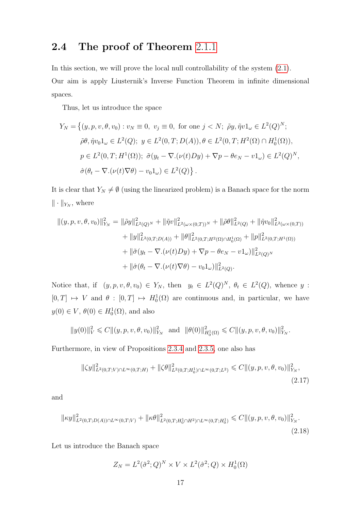### <span id="page-24-0"></span>2.4 The proof of Theorem [2](#page-15-0).1.1

In this section, we will prove the local null controllability of the system (2.[1\)](#page-14-2). Our aim is apply Liusternik's Inverse Function Theorem in infinite dimensional spaces.

Thus, let us introduce the space

$$
Y_N = \left\{ (y, p, v, \theta, v_0) : v_N \equiv 0, \ v_j \equiv 0, \text{ for one } j < N; \ \tilde{\rho}y, \tilde{\eta}v1_{\omega} \in L^2(Q)^N; \right\}
$$
\n
$$
\tilde{\rho}\theta, \hat{\eta}v_01_{\omega} \in L^2(Q); \ y \in L^2(0, T; D(A)), \theta \in L^2(0, T; H^2(\Omega) \cap H_0^1(\Omega)),
$$
\n
$$
p \in L^2(0, T; H^1(\Omega)); \ \tilde{\sigma}(y_t - \nabla \cdot (\nu(t)Dy) + \nabla p - \theta e_N - v1_{\omega}) \in L^2(Q)^N,
$$
\n
$$
\hat{\sigma}(\theta_t - \nabla \cdot (\nu(t)\nabla \theta) - v_01_{\omega}) \in L^2(Q) \}.
$$

It is clear that  $Y_N \neq \emptyset$  (using the linearized problem) is a Banach space for the norm  $\|\cdot\|_{Y_N}$ , where

$$
\begin{aligned} ||(y,p,v,\theta,v_0)||^2_{Y_N} &= ||\tilde{\rho}y||^2_{L^2(Q)^N} + ||\tilde{\eta}v||^2_{L^2(\omega \times (0,T))^N} + ||\tilde{\rho}\theta||^2_{L^2(Q)} + ||\hat{\eta}v_0||^2_{L^2(\omega \times (0,T))} \\ &+ ||y||^2_{L^2(0,T;D(A))} + ||\theta||^2_{L^2(0,T;H^2(\Omega) \cap H^1_0(\Omega)} + ||p||^2_{L^2(0,T;H^1(\Omega))} \\ &+ ||\tilde{\sigma}(y_t - \nabla.(v(t)Dy) + \nabla p - \theta e_N - v1_\omega)||^2_{L^2(Q)^N} \\ &+ ||\hat{\sigma}(\theta_t - \nabla.(v(t)\nabla \theta) - v_01_\omega)||^2_{L^2(Q)}. \end{aligned}
$$

Notice that, if  $(y, p, v, \theta, v_0) \in Y_N$ , then  $y_t \in L^2(Q)^N$ ,  $\theta_t \in L^2(Q)$ , whence y:  $[0, T] \mapsto V$  and  $\theta : [0, T] \mapsto H_0^1(\Omega)$  are continuous and, in particular, we have  $y(0) \in V$ ,  $\theta(0) \in H_0^1(\Omega)$ , and also

$$
||y(0)||_V^2 \leq C||(y, p, v, \theta, v_0)||_{Y_N}^2 \text{ and } ||\theta(0)||_{H_0^1(\Omega)}^2 \leq C||(y, p, v, \theta, v_0)||_{Y_N}^2.
$$

Furthermore, in view of Propositions [2](#page-20-2).3.4 and [2](#page-21-0).3.5, one also has

$$
\|\zeta y\|_{L^2(0,T;V)\cap L^\infty(0,T;H)}^2 + \|\zeta \theta\|_{L^2(0,T;H_0^1)\cap L^\infty(0,T;L^2)}^2 \leq C \|(y,p,v,\theta,v_0)\|_{Y_N}^2,
$$
\n(2.17)

and

$$
\|\kappa y\|_{L^2(0,T;D(A))\cap L^\infty(0,T;V)}^2 + \|\kappa \theta\|_{L^2(0,T;H_0^1\cap H^2)\cap L^\infty(0,T;H_0^1)}^2 \leq C \|(y,p,v,\theta,v_0)\|_{Y_N}^2.
$$
\n(2.18)

Let us introduce the Banach space

$$
Z_N = L^2(\tilde{\sigma}^2; Q)^N \times V \times L^2(\hat{\sigma}^2; Q) \times H_0^1(\Omega)
$$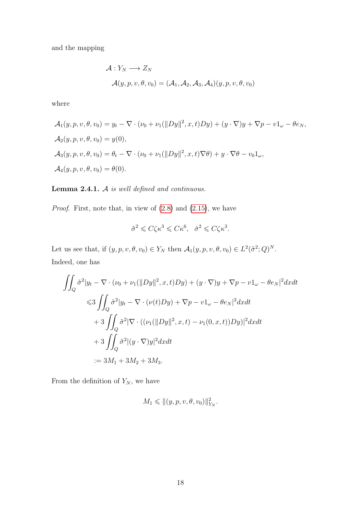and the mapping

$$
\mathcal{A}: Y_N \longrightarrow Z_N
$$
  

$$
\mathcal{A}(y, p, v, \theta, v_0) = (\mathcal{A}_1, \mathcal{A}_2, \mathcal{A}_3, \mathcal{A}_4)(y, p, v, \theta, v_0)
$$

where

$$
\mathcal{A}_1(y, p, v, \theta, v_0) = y_t - \nabla \cdot (\nu_0 + \nu_1(||Dy||^2, x, t)Dy) + (y \cdot \nabla)y + \nabla p - v1_\omega - \theta e_N,
$$
  
\n
$$
\mathcal{A}_2(y, p, v, \theta, v_0) = y(0),
$$
  
\n
$$
\mathcal{A}_3(y, p, v, \theta, v_0) = \theta_t - \nabla \cdot (\nu_0 + \nu_1(||Dy||^2, x, t) \nabla \theta) + y \cdot \nabla \theta - v_0 1_\omega,
$$
  
\n
$$
\mathcal{A}_4(y, p, v, \theta, v_0) = \theta(0).
$$

#### Lemma 2.4.1. A is well defined and continuous.

*Proof.* First, note that, in view of  $(2.8)$  and  $(2.15)$  $(2.15)$ , we have

$$
\tilde{\sigma}^2 \leqslant C \zeta \kappa^3 \leqslant C \kappa^6, \quad \hat{\sigma}^2 \leqslant C \zeta \kappa^3.
$$

Let us see that, if  $(y, p, v, \theta, v_0) \in Y_N$  then  $\mathcal{A}_1(y, p, v, \theta, v_0) \in L^2(\tilde{\sigma}^2; Q)^N$ . Indeed, one has

$$
\iint_{Q} \tilde{\sigma}^{2} |y_{t} - \nabla \cdot (\nu_{0} + \nu_{1}(\|Dy\|^{2}, x, t)Dy) + (y \cdot \nabla)y + \nabla p - v_{\omega} - \theta e_{N}|^{2} dxdt
$$
  
\n
$$
\leq 3 \iint_{Q} \tilde{\sigma}^{2} |y_{t} - \nabla \cdot (\nu(t)Dy) + \nabla p - v_{\omega} - \theta e_{N}|^{2} dxdt
$$
  
\n
$$
+ 3 \iint_{Q} \tilde{\sigma}^{2} |\nabla \cdot ((\nu_{1}(\|Dy\|^{2}, x, t) - \nu_{1}(0, x, t))Dy)|^{2} dxdt
$$
  
\n
$$
+ 3 \iint_{Q} \tilde{\sigma}^{2} |(y \cdot \nabla)y|^{2} dxdt
$$
  
\n
$$
:= 3M_{1} + 3M_{2} + 3M_{3}.
$$

From the definition of  $Y_N$ , we have

$$
M_1 \leqslant \|(y, p, v, \theta, v_0)\|_{Y_N}^2.
$$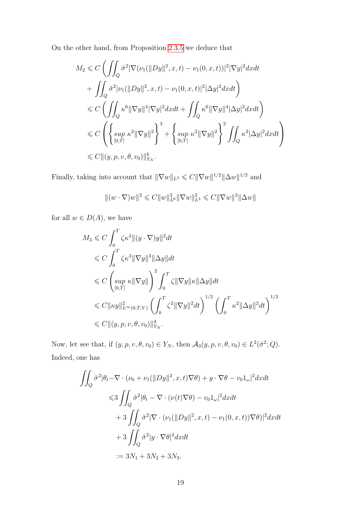On the other hand, from Proposition [2](#page-21-0).3.5 we deduce that

$$
M_2 \leq C \left( \iint_Q \tilde{\sigma}^2 |\nabla(\nu_1(||Dy||^2, x, t) - \nu_1(0, x, t))|^2 |\nabla y|^2 dx dt + \iint_Q \tilde{\sigma}^2 |\nu_1(||Dy||^2, x, t) - \nu_1(0, x, t)|^2 |\Delta y|^2 dx dt \right) \n\leq C \left( \iint_Q \kappa^6 ||\nabla y||^4 |\nabla y|^2 dx dt + \iint_Q \kappa^6 ||\nabla y||^4 |\Delta y|^2 dx dt \right) \n\leq C \left( \left\{ \sup_{[0,T]} \kappa^2 ||\nabla y||^2 \right\}^3 + \left\{ \sup_{[0,T]} \kappa^2 ||\nabla y||^2 \right\}^2 \iint_Q \kappa^2 |\Delta y|^2 dx dt \right) \n\leq C ||(y, p, v, \theta, v_0)||^6_{Y_N}.
$$

Finally, taking into account that  $\|\nabla w\|_{L^3} \leqslant C \|\nabla w\|^{1/2} \|\Delta w\|^{1/2}$  and

$$
\Vert (w\cdot\nabla)w\Vert^2\leqslant C \Vert w\Vert_{L^6}^2\Vert\nabla w\Vert_{L^3}^2\leqslant C \Vert\nabla w\Vert^3\Vert\Delta w\Vert
$$

for all  $w \in D(A)$ , we have

$$
M_3 \leq C \int_0^T \zeta \kappa^3 ||(y \cdot \nabla)y||^2 dt
$$
  
\n
$$
\leq C \int_0^T \zeta \kappa^3 ||\nabla y||^3 ||\Delta y|| dt
$$
  
\n
$$
\leq C \left( \sup_{[0,T]} \kappa ||\nabla y|| \right)^2 \int_0^T \zeta ||\nabla y|| \kappa ||\Delta y|| dt
$$
  
\n
$$
\leq C ||\kappa y||_{L^{\infty}(0,T;V)}^2 \left( \int_0^T \zeta^2 ||\nabla y||^2 dt \right)^{1/2} \left( \int_0^T \kappa^2 ||\Delta y||^2 dt \right)^{1/2}
$$
  
\n
$$
\leq C ||(y, p, v, \theta, v_0)||_{Y_N}^4.
$$

Now, let see that, if  $(y, p, v, \theta, v_0) \in Y_N$ , then  $\mathcal{A}_3(y, p, v, \theta, v_0) \in L^2(\hat{\sigma}^2; Q)$ . Indeed, one has

$$
\iint_{Q} \hat{\sigma}^{2} |\theta_{t} - \nabla \cdot (\nu_{0} + \nu_{1}(||Dy||^{2}, x, t) \nabla \theta) + y \cdot \nabla \theta - \nu_{0} 1_{\omega}|^{2} dx dt
$$
  
\n
$$
\leq 3 \iint_{Q} \hat{\sigma}^{2} |\theta_{t} - \nabla \cdot (\nu(t) \nabla \theta) - \nu_{0} 1_{\omega}|^{2} dx dt
$$
  
\n
$$
+ 3 \iint_{Q} \tilde{\sigma}^{2} |\nabla \cdot (\nu_{1} (||Dy||^{2}, x, t) - \nu_{1}(0, x, t)) \nabla \theta)|^{2} dx dt
$$
  
\n
$$
+ 3 \iint_{Q} \hat{\sigma}^{2} |y \cdot \nabla \theta|^{2} dx dt
$$
  
\n
$$
:= 3N_{1} + 3N_{2} + 3N_{3}.
$$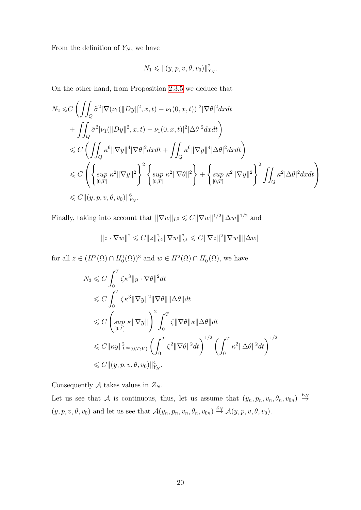From the definition of  $Y_N$ , we have

$$
N_1 \leqslant ||(y, p, v, \theta, v_0)||_{Y_N}^2.
$$

On the other hand, from Proposition [2](#page-21-0).3.5 we deduce that

$$
N_2 \leq C \left( \iint_Q \tilde{\sigma}^2 |\nabla (\nu_1 (||Dy||^2, x, t) - \nu_1(0, x, t))|^2 |\nabla \theta|^2 dx dt + \iint_Q \tilde{\sigma}^2 |\nu_1 (||Dy||^2, x, t) - \nu_1(0, x, t)|^2 |\Delta \theta|^2 dx dt \right) \n\leq C \left( \iint_Q \kappa^6 ||\nabla y||^4 |\nabla \theta|^2 dx dt + \iint_Q \kappa^6 ||\nabla y||^4 |\Delta \theta|^2 dx dt \right) \n\leq C \left( \left\{ \sup_{[0,T]} \kappa^2 ||\nabla y||^2 \right\}^2 \left\{ \sup_{[0,T]} \kappa^2 ||\nabla \theta||^2 \right\} + \left\{ \sup_{[0,T]} \kappa^2 ||\nabla y||^2 \right\}^2 \iint_Q \kappa^2 |\Delta \theta|^2 dx dt \right) \n\leq C ||(y, p, v, \theta, v_0)||_{Y_N}^6.
$$

Finally, taking into account that  $\|\nabla w\|_{L^3} \leqslant C \|\nabla w\|^{1/2} \|\Delta w\|^{1/2}$  and

$$
||z \cdot \nabla w||^{2} \leq C||z||_{L^{6}}^{2} ||\nabla w||_{L^{3}}^{2} \leq C||\nabla z||^{2} ||\nabla w|| ||\Delta w||
$$

for all  $z \in (H^2(\Omega) \cap H_0^1(\Omega))^3$  and  $w \in H^2(\Omega) \cap H_0^1(\Omega)$ , we have

$$
N_3 \leq C \int_0^T \zeta \kappa^3 \|y \cdot \nabla \theta\|^2 dt
$$
  
\n
$$
\leq C \int_0^T \zeta \kappa^3 \|\nabla y\|^2 \|\nabla \theta\| \|\Delta \theta\| dt
$$
  
\n
$$
\leq C \left( \sup_{[0,T]} \kappa \|\nabla y\| \right)^2 \int_0^T \zeta \|\nabla \theta\| \kappa \|\Delta \theta\| dt
$$
  
\n
$$
\leq C \|\kappa y\|_{L^\infty(0,T;V)}^2 \left( \int_0^T \zeta^2 \|\nabla \theta\|^2 dt \right)^{1/2} \left( \int_0^T \kappa^2 \|\Delta \theta\|^2 dt \right)^{1/2}
$$
  
\n
$$
\leq C \|(y, p, v, \theta, v_0)\|_{Y_N}^4.
$$

Consequently  $A$  takes values in  $Z_N$ .

Let us see that A is continuous, thus, let us assume that  $(y_n, p_n, v_n, \theta_n, v_{0n}) \stackrel{E_N}{\rightarrow}$  $(y, p, v, \theta, v_0)$  and let us see that  $\mathcal{A}(y_n, p_n, v_n, \theta_n, v_{0n}) \stackrel{Z_N}{\rightarrow} \mathcal{A}(y, p, v, \theta, v_0)$ .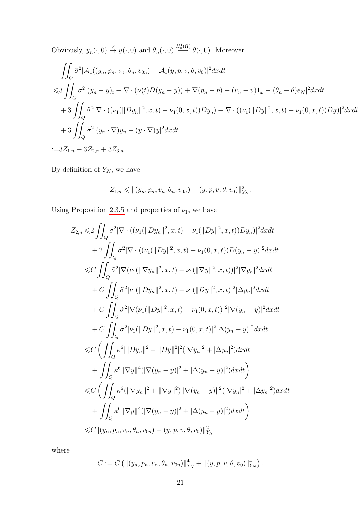Obviously,  $y_n(\cdot, 0) \stackrel{V}{\rightarrow} y(\cdot, 0)$  and  $\theta_n(\cdot, 0) \stackrel{H_0^1(\Omega)}{\rightarrow} \theta(\cdot, 0)$ . Moreover

$$
\iint_{Q} \tilde{\sigma}^{2} |\mathcal{A}_{1}((y_{n}, p_{n}, v_{n}, \theta_{n}, v_{0n}) - \mathcal{A}_{1}(y, p, v, \theta, v_{0})|^{2} dxdt
$$
  
\n
$$
\leq 3 \iint_{Q} \tilde{\sigma}^{2} |(y_{n} - y)_{t} - \nabla \cdot (\nu(t)D(y_{n} - y)) + \nabla(p_{n} - p) - (v_{n} - v)1_{\omega} - (\theta_{n} - \theta)e_{N}|^{2} dxdt
$$
  
\n
$$
+ 3 \iint_{Q} \tilde{\sigma}^{2} |\nabla \cdot ((\nu_{1}(\|Dy_{n}\|^{2}, x, t) - \nu_{1}(0, x, t))Dy_{n}) - \nabla \cdot ((\nu_{1}(\|Dy\|^{2}, x, t) - \nu_{1}(0, x, t))Dy)|^{2} dxdt
$$
  
\n
$$
+ 3 \iint_{Q} \tilde{\sigma}^{2} |(y_{n} \cdot \nabla) y_{n} - (y \cdot \nabla) y|^{2} dxdt
$$
  
\n:= 3Z<sub>1,n</sub> + 3Z<sub>2,n</sub> + 3Z<sub>3,n</sub>.

By definition of  $Y_N$ , we have

$$
Z_{1,n} \leq \left\| (y_n, p_n, v_n, \theta_n, v_{0n}) - (y, p, v, \theta, v_0) \right\|_{Y_N}^2.
$$

Using Proposition [2](#page-21-0).3.5 and properties of  $\nu_1$ , we have

$$
Z_{2,n} \leq 2 \iint_{Q} \tilde{\sigma}^{2} |\nabla \cdot ((\nu_{1}(\|Dy_{n}\|^{2}, x, t) - \nu_{1}(\|Dy\|^{2}, x, t))Dy_{n})|^{2} dxdt
$$
  
+2
$$
\iint_{Q} \tilde{\sigma}^{2} |\nabla \cdot ((\nu_{1}(\|Dy\|^{2}, x, t) - \nu_{1}(0, x, t))D(y_{n} - y)|^{2} dxdt
$$
  

$$
\leq C \iint_{Q} \tilde{\sigma}^{2} |\nabla (\nu_{1}(\| \nabla y_{n} \|^{2}, x, t) - \nu_{1}(\| \nabla y \|^{2}, x, t))|^{2} |\nabla y_{n}|^{2} dxdt
$$
  
+
$$
C \iint_{Q} \tilde{\sigma}^{2} |\nu_{1}(\|Dy_{n}\|^{2}, x, t) - \nu_{1}(\|Dy\|^{2}, x, t)|^{2} |\Delta y_{n}|^{2} dxdt
$$
  
+
$$
C \iint_{Q} \tilde{\sigma}^{2} |\nabla (\nu_{1}(\|Dy\|^{2}, x, t) - \nu_{1}(0, x, t))|^{2} |\nabla (y_{n} - y)|^{2} dxdt
$$
  
+
$$
C \iint_{Q} \tilde{\sigma}^{2} |\nu_{1}(\|Dy\|^{2}, x, t) - \nu_{1}(0, x, t)|^{2} |\Delta (y_{n} - y)|^{2} dxdt
$$
  

$$
\leq C \left( \iint_{Q} \kappa^{6} ||Dy_{n}||^{2} - ||Dy||^{2}||^{2} (|\nabla y_{n}|^{2} + |\Delta y_{n}|^{2}) dxdt \right)
$$
  

$$
\leq C \left( \iint_{Q} \kappa^{6} ||\nabla y||^{4} (|\nabla (y_{n} - y)|^{2} + |\Delta (y_{n} - y)|^{2}) dxdt \right)
$$
  

$$
\leq C \left( \iint_{Q} \kappa^{6} (||\nabla y_{n}||^{2} + ||\nabla y||^{2}) ||\nabla (y_{n} - y)||^{2} (|\nabla y_{n}|^{2} + |\Delta y_{n}|^{2}) dxdt \right)
$$
  

$$
\leq C \left( \iint_{Q} \kappa^{6}
$$

where

$$
C := C \left( \|(y_n, p_n, v_n, \theta_n, v_{0n})\|_{Y_N}^4 + \|(y, p, v, \theta, v_0)\|_{Y_N}^4 \right).
$$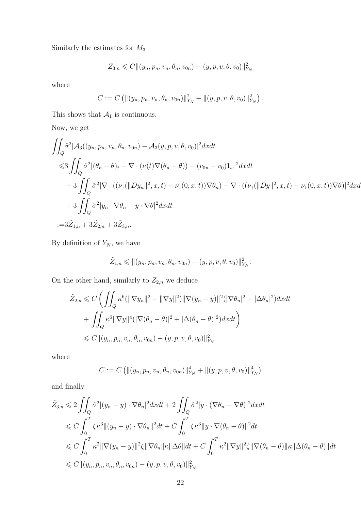Similarly the estimates for  $\mathcal{M}_3$ 

$$
Z_{3,n} \leqslant C \|(y_n, p_n, v_n, \theta_n, v_{0n}) - (y, p, v, \theta, v_0)\|_{Y_N}^2
$$

where

$$
C := C \left( \left\| (y_n, p_n, v_n, \theta_n, v_{0n}) \right\|_{Y_N}^2 + \left\| (y, p, v, \theta, v_0) \right\|_{Y_N}^2 \right).
$$

This shows that  $\mathcal{A}_1$  is continuous.

Now, we get

$$
\iint_{Q} \tilde{\sigma}^{2} |\mathcal{A}_{3}((y_{n}, p_{n}, v_{n}, \theta_{n}, v_{0n}) - \mathcal{A}_{3}(y, p, v, \theta, v_{0})|^{2} dxdt
$$
  
\n
$$
\leq 3 \iint_{Q} \hat{\sigma}^{2} |(\theta_{n} - \theta)_{t} - \nabla \cdot (\nu(t) \nabla(\theta_{n} - \theta)) - (v_{0n} - v_{0}) \mathbf{1}_{\omega}|^{2} dxdt
$$
  
\n
$$
+ 3 \iint_{Q} \tilde{\sigma}^{2} |\nabla \cdot ((\nu_{1}(\Vert Dy_{n} \Vert^{2}, x, t) - \nu_{1}(0, x, t)) \nabla \theta_{n}) - \nabla \cdot ((\nu_{1}(\Vert Dy \Vert^{2}, x, t) - \nu_{1}(0, x, t)) \nabla \theta)|^{2} dxdt
$$
  
\n
$$
+ 3 \iint_{Q} \hat{\sigma}^{2} |y_{n} \cdot \nabla \theta_{n} - y \cdot \nabla \theta|^{2} dxdt
$$
  
\n
$$
:= 3\tilde{Z}_{1,n} + 3\tilde{Z}_{2,n} + 3\tilde{Z}_{3,n}.
$$

By definition of  $Y_N$ , we have

$$
\tilde{Z}_{1,n} \leq \| (y_n, p_n, v_n, \theta_n, v_{0n}) - (y, p, v, \theta, v_0) \|_{Y_N}^2.
$$

On the other hand, similarly to  $Z_{2,n}$  we deduce

$$
\tilde{Z}_{2,n} \leq C \left( \iint_Q \kappa^6 (\|\nabla y_n\|^2 + \|\nabla y\|^2) \|\nabla (y_n - y)\|^2 (\|\nabla \theta_n\|^2 + |\Delta \theta_n|^2) dx dt \n+ \iint_Q \kappa^6 \|\nabla y\|^4 (\|\nabla (\theta_n - \theta)\|^2 + |\Delta (\theta_n - \theta)|^2) dx dt \right) \n\leq C \|(y_n, p_n, v_n, \theta_n, v_{0n}) - (y, p, v, \theta, v_0)\|_{Y_N}^2
$$

where

$$
C := C \left( ||(y_n, p_n, v_n, \theta_n, v_{0n})||_{Y_N}^4 + ||(y, p, v, \theta, v_0)||_{Y_N}^4 \right)
$$

and finally

$$
\tilde{Z}_{3,n} \leq 2 \iint_{Q} \hat{\sigma}^{2} |(y_{n}-y) \cdot \nabla \theta_{n}|^{2} dxdt + 2 \iint_{Q} \hat{\sigma}^{2} |y \cdot (\nabla \theta_{n} - \nabla \theta)|^{2} dxdt
$$
\n
$$
\leq C \int_{0}^{T} \zeta \kappa^{3} | |(y_{n}-y) \cdot \nabla \theta_{n}|^{2} dt + C \int_{0}^{T} \zeta \kappa^{3} |y \cdot \nabla (\theta_{n} - \theta)|^{2} dt
$$
\n
$$
\leq C \int_{0}^{T} \kappa^{2} | |\nabla (y_{n}-y)|^{2} \zeta | |\nabla \theta_{n}| |\kappa| |\Delta \theta| |dt + C \int_{0}^{T} \kappa^{2} | |\nabla y|^{2} \zeta | |\nabla (\theta_{n} - \theta)| |\kappa| |\Delta (\theta_{n} - \theta)| |dt
$$
\n
$$
\leq C ||(y_{n}, p_{n}, v_{n}, \theta_{n}, v_{0n}) - (y, p, v, \theta, v_{0}) ||_{Y_{N}}^{2}
$$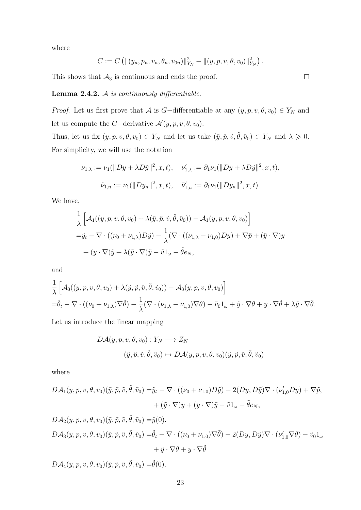where

$$
C := C \left( ||(y_n, p_n, v_n, \theta_n, v_{0n})||_{Y_N}^2 + ||(y, p, v, \theta, v_0)||_{Y_N}^2 \right).
$$

This shows that  $A_3$  is continuous and ends the proof.

#### **Lemma 2.4.2.**  $\mathcal A$  is continuously differentiable.

*Proof.* Let us first prove that A is G-differentiable at any  $(y, p, v, \theta, v_0) \in Y_N$  and let us compute the *G*-derivative  $\mathcal{A}'(y, p, v, \theta, v_0)$ .

Thus, let us fix  $(y, p, v, \theta, v_0) \in Y_N$  and let us take  $(\tilde{y}, \tilde{p}, \tilde{v}, \tilde{\theta}, \tilde{v}_0) \in Y_N$  and  $\lambda \geq 0$ . For simplicity, we will use the notation

$$
\nu_{1,\lambda} := \nu_1(||Dy + \lambda D\tilde{y}||^2, x, t), \quad \nu'_{1,\lambda} := \partial_1 \nu_1(||Dy + \lambda D\tilde{y}||^2, x, t),
$$

$$
\tilde{\nu}_{1,n} := \nu_1(||Dy_n||^2, x, t), \quad \tilde{\nu}'_{1,n} := \partial_1 \nu_1(||Dy_n||^2, x, t).
$$

We have,

$$
\frac{1}{\lambda} \left[ \mathcal{A}_1((y, p, v, \theta, v_0) + \lambda(\tilde{y}, \tilde{p}, \tilde{v}, \tilde{\theta}, \tilde{v}_0)) - \mathcal{A}_1(y, p, v, \theta, v_0) \right]
$$
  
=  $\tilde{y}_t - \nabla \cdot ((\nu_0 + \nu_{1,\lambda})D\tilde{y}) - \frac{1}{\lambda} (\nabla \cdot ((\nu_{1,\lambda} - \nu_{1,0})Dy) + \nabla \tilde{p} + (\tilde{y} \cdot \nabla)y + (y \cdot \nabla)\tilde{y} + \lambda(\tilde{y} \cdot \nabla)\tilde{y} - \tilde{v}1_{\omega} - \tilde{\theta}e_N,$ 

and

$$
\frac{1}{\lambda} \left[ \mathcal{A}_{3}((y, p, v, \theta, v_{0}) + \lambda(\tilde{y}, \tilde{p}, \tilde{v}, \tilde{\theta}, \tilde{v}_{0})) - \mathcal{A}_{3}(y, p, v, \theta, v_{0}) \right]
$$
  
=  $\tilde{\theta}_{t} - \nabla \cdot ((\nu_{0} + \nu_{1,\lambda}) \nabla \tilde{\theta}) - \frac{1}{\lambda} (\nabla \cdot (\nu_{1,\lambda} - \nu_{1,0}) \nabla \theta) - \tilde{v}_{0} 1_{\omega} + \tilde{y} \cdot \nabla \theta + y \cdot \nabla \tilde{\theta} + \lambda \tilde{y} \cdot \nabla \tilde{\theta}. \right)$ 

Let us introduce the linear mapping

$$
D\mathcal{A}(y, p, v, \theta, v_0) : Y_N \longrightarrow Z_N
$$
  

$$
(\tilde{y}, \tilde{p}, \tilde{v}, \tilde{\theta}, \tilde{v}_0) \mapsto D\mathcal{A}(y, p, v, \theta, v_0)(\tilde{y}, \tilde{p}, \tilde{v}, \tilde{\theta}, \tilde{v}_0)
$$

where

$$
D\mathcal{A}_1(y, p, v, \theta, v_0)(\tilde{y}, \tilde{p}, \tilde{v}, \tilde{\theta}, \tilde{v}_0) = \tilde{y}_t - \nabla \cdot ((\nu_0 + \nu_{1,0})D\tilde{y}) - 2(Dy, D\tilde{y})\nabla \cdot (\nu'_{1,0}Dy) + \nabla \tilde{p},
$$
  
+  $(\tilde{y} \cdot \nabla)y + (y \cdot \nabla)\tilde{y} - \tilde{v}1_\omega - \tilde{\theta}e_N,$ 

 $D\mathcal{A}_2(y, p, v, \theta, v_0)(\tilde{y}, \tilde{p}, \tilde{v}, \tilde{\theta}, \tilde{v}_0) = \tilde{y}(0),$  $D\mathcal{A}_3(y, p, v, \theta, v_0)(\tilde{y}, \tilde{p}, \tilde{v}, \tilde{\theta}, \tilde{v}_0) = \tilde{\theta}_t - \nabla \cdot ((\nu_0 + \nu_{1,0}) \nabla \tilde{\theta}) - 2(Dy, D\tilde{y}) \nabla \cdot (\nu_{1,0}' \nabla \theta) - \tilde{v}_0 \mathbb{1}_{\omega_t}$  $+ \tilde{u} \cdot \nabla \theta + u \cdot \nabla \tilde{\theta}$ 

 $D\mathcal{A}_4(y, p, v, \theta, v_0)(\tilde{y}, \tilde{p}, \tilde{v}, \tilde{\theta}, \tilde{v}_0) = \tilde{\theta}(0).$ 

 $\Box$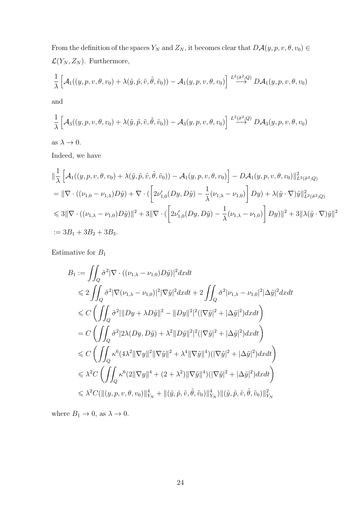From the definition of the spaces  $Y_N$  and  $Z_N$ , it becomes clear that  $D\mathcal{A}(y, p, v, \theta, v_0) \in$  $\mathcal{L}(Y_N, Z_N)$ . Furthermore,

$$
\frac{1}{\lambda} \left[ \mathcal{A}_1((y,p,v,\theta,v_0) + \lambda(\tilde{y},\tilde{p},\tilde{v},\tilde{\theta},\tilde{v}_0)) - \mathcal{A}_1(y,p,v,\theta,v_0) \right] \stackrel{L^2(\tilde{\sigma}^2;Q)}{\longrightarrow} D\mathcal{A}_1(y,p,v,\theta,v_0)
$$

and

$$
\frac{1}{\lambda} \left[ \mathcal{A}_3((y, p, v, \theta, v_0) + \lambda(\tilde{y}, \tilde{p}, \tilde{v}, \tilde{\theta}, \tilde{v}_0)) - \mathcal{A}_3(y, p, v, \theta, v_0) \right] \stackrel{L^2(\hat{\sigma}^2; Q)}{\longrightarrow} D\mathcal{A}_3(y, p, v, \theta, v_0)
$$

as  $\lambda \to 0$ .

Indeed, we have

$$
\begin{split}\n&\|\frac{1}{\lambda}\left[\mathcal{A}_{1}((y,p,v,\theta,v_{0})+\lambda(\tilde{y},\tilde{p},\tilde{v},\tilde{\theta},\tilde{v}_{0}))-\mathcal{A}_{1}(y,p,v,\theta,v_{0})\right]-D\mathcal{A}_{1}(y,p,v,\theta,v_{0})\|_{L^{2}(\tilde{\sigma}^{2};Q)}^{2} \\
&=\|\nabla\cdot((\nu_{1,0}-\nu_{1,\lambda})D\tilde{y})+\nabla\cdot(\left[2\nu'_{1,0}(Dy,D\tilde{y})-\frac{1}{\lambda}(\nu_{1,\lambda}-\nu_{1,0})\right]Dy)+\lambda(\tilde{y}\cdot\nabla)\tilde{y}\|_{L^{2}(\tilde{\sigma}^{2};Q)}^{2} \\
&\leq 3\|\nabla\cdot((\nu_{1,\lambda}-\nu_{1,0})D\tilde{y})\|^{2}+3\|\nabla\cdot(\left[2\nu'_{1,0}(Dy,D\tilde{y})-\frac{1}{\lambda}(\nu_{1,\lambda}-\nu_{1,0})\right]Dy)\|^{2}+3\|\lambda(\tilde{y}\cdot\nabla)\tilde{y}\|^{2} \\
&:=3B_{1}+3B_{2}+3B_{3}.\n\end{split}
$$

Estimative for  $\mathcal{B}_1$ 

$$
B_1 := \iint_Q \tilde{\sigma}^2 |\nabla \cdot ((\nu_{1,\lambda} - \nu_{1,0}) D\tilde{y})|^2 dxdt
$$
  
\n
$$
\leq 2 \iint_Q \tilde{\sigma}^2 |\nabla (\nu_{1,\lambda} - \nu_{1,0})|^2 |\nabla \tilde{y}|^2 dxdt + 2 \iint_Q \tilde{\sigma}^2 |\nu_{1,\lambda} - \nu_{1,0}|^2 |\Delta \tilde{y}|^2 dxdt
$$
  
\n
$$
\leq C \left( \iint_Q \tilde{\sigma}^2 |||Dy + \lambda D\tilde{y}||^2 - ||Dy||^2|^2 (|\nabla \tilde{y}|^2 + |\Delta \tilde{y}|^2) dxdt \right)
$$
  
\n
$$
= C \left( \iint_Q \tilde{\sigma}^2 |2\lambda (Dy, D\tilde{y}) + \lambda^2 ||D\tilde{y}||^2 |^2 (|\nabla \tilde{y}|^2 + |\Delta \tilde{y}|^2) dxdt \right)
$$
  
\n
$$
\leq C \left( \iint_Q \kappa^6 (4\lambda^2 ||\nabla y||^2 ||\nabla \tilde{y}||^2 + \lambda^4 ||\nabla \tilde{y}||^4) (|\nabla \tilde{y}|^2 + |\Delta \tilde{y}|^2) dxdt \right)
$$
  
\n
$$
\leq \lambda^2 C \left( \iint_Q \kappa^6 (2 ||\nabla y||^4 + (2 + \lambda^2) ||\nabla \tilde{y}||^4) (|\nabla \tilde{y}|^2 + |\Delta \tilde{y}|^2) dxdt \right)
$$
  
\n
$$
\leq \lambda^2 C (||(y, p, v, \theta, v_0)||_{Y_N}^4 + ||(\tilde{y}, \tilde{p}, \tilde{v}, \tilde{\theta}, \tilde{v}_0)||_{Y_N}^4) ||(\tilde{y}, \tilde{p}, \tilde{v}, \tilde{\theta}, \tilde{v}_0)||_{Y_N}^2
$$

where  $B_1 \to 0$ , as  $\lambda \to 0$ .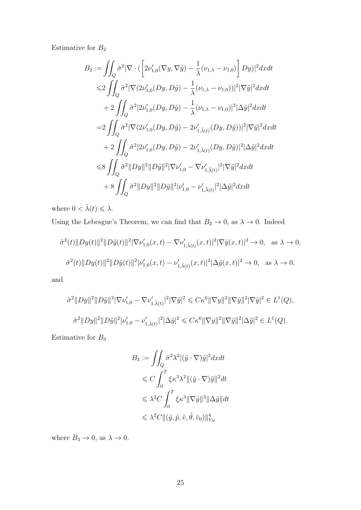Estimative for  $\mathcal{B}_2$ 

$$
B_2 := \iint_Q \tilde{\sigma}^2 |\nabla \cdot ( \left[ 2\nu'_{1,0} (\nabla y, \nabla \tilde{y}) - \frac{1}{\lambda} (\nu_{1,\lambda} - \nu_{1,0}) \right] Dy )|^2 dx dt
$$
  
\n
$$
\leq 2 \iint_Q \tilde{\sigma}^2 |\nabla (2\nu'_{1,0} (Dy, D\tilde{y}) - \frac{1}{\lambda} (\nu_{1,\lambda} - \nu_{1,0}) )|^2 |\nabla \tilde{y}|^2 dx dt
$$
  
\n
$$
+ 2 \iint_Q \tilde{\sigma}^2 |2\nu'_{1,0} (Dy, D\tilde{y}) - \frac{1}{\lambda} (\nu_{1,\lambda} - \nu_{1,0})|^2 |\Delta \tilde{y}|^2 dx dt
$$
  
\n
$$
= 2 \iint_Q \tilde{\sigma}^2 |\nabla (2\nu'_{1,0} (Dy, D\tilde{y}) - 2\nu'_{1,\tilde{\lambda}(t)} (Dy, D\tilde{y}) )|^2 |\nabla \tilde{y}|^2 dx dt
$$
  
\n
$$
+ 2 \iint_Q \tilde{\sigma}^2 |2\nu'_{1,0} (Dy, D\tilde{y}) - 2\nu'_{1,\tilde{\lambda}(t)} (Dy, D\tilde{y})|^2 |\Delta \tilde{y}|^2 dx dt
$$
  
\n
$$
\leq 8 \iint_Q \tilde{\sigma}^2 ||Dy||^2 ||D\tilde{y}||^2 |\nabla \nu'_{1,0} - \nabla \nu'_{1,\tilde{\lambda}(t)}|^2 |\nabla \tilde{y}|^2 dx dt
$$
  
\n
$$
+ 8 \iint_Q \tilde{\sigma}^2 ||Dy||^2 ||D\tilde{y}||^2 |\nu'_{1,0} - \nu'_{1,\tilde{\lambda}(t)}|^2 |\Delta \tilde{y}|^2 dx dt
$$

where  $0 < \tilde{\lambda}(t) \leqslant \lambda$ .

Using the Lebesgue's Theorem, we can find that  $B_2 \to 0$ , as  $\lambda \to 0$ . Indeed

$$
\tilde{\sigma}^{2}(t) \|Dy(t)\|^{2} \|D\tilde{y}(t)\|^{2} |\nabla \nu'_{1,0}(x,t) - \nabla \nu'_{1,\tilde{\lambda}(t)}(x,t)|^{2} |\nabla \tilde{y}(x,t)|^{2} \to 0, \text{ as } \lambda \to 0,
$$
  

$$
\tilde{\sigma}^{2}(t) \|Dy(t)\|^{2} \|D\tilde{y}(t)\|^{2} |\nu'_{1,0}(x,t) - \nu'_{1,\tilde{\lambda}(t)}(x,t)|^{2} |\Delta \tilde{y}(x,t)|^{2} \to 0, \text{ as } \lambda \to 0,
$$

and

$$
\tilde{\sigma}^{2}||Dy||^{2}||D\tilde{y}||^{2}|\nabla \nu'_{1,0} - \nabla \nu'_{1,\tilde{\lambda}(t)}|^{2}|\nabla \tilde{y}|^{2} \leq C\kappa^{6}||\nabla y||^{2}||\nabla \tilde{y}||^{2}|\nabla \tilde{y}|^{2} \in L^{1}(Q),
$$
  

$$
\tilde{\sigma}^{2}||Dy||^{2}||D\tilde{y}||^{2}|\nu'_{1,0} - \nu'_{1,\tilde{\lambda}(t)}|^{2}|\Delta \tilde{y}|^{2} \leq C\kappa^{6}||\nabla y||^{2}||\nabla \tilde{y}||^{2}|\Delta \tilde{y}|^{2} \in L^{1}(Q).
$$

Estimative for  $\mathcal{B}_3$ 

$$
B_3 := \iint_Q \tilde{\sigma}^2 \lambda^2 |(\tilde{y} \cdot \nabla) \tilde{y}|^2 dx dt
$$
  
\n
$$
\leq C \int_0^T \xi \kappa^3 \lambda^2 |(\tilde{y} \cdot \nabla) \tilde{y}|^2 dt
$$
  
\n
$$
\leq \lambda^2 C \int_0^T \xi \kappa^3 ||\nabla \tilde{y}||^3 ||\Delta \tilde{y}|| dt
$$
  
\n
$$
\leq \lambda^2 C ||(\tilde{y}, \tilde{p}, \tilde{v}, \tilde{\theta}, \tilde{v}_0)||_{Y_N}^4
$$

where  $B_3 \to 0$ , as  $\lambda \to 0$ .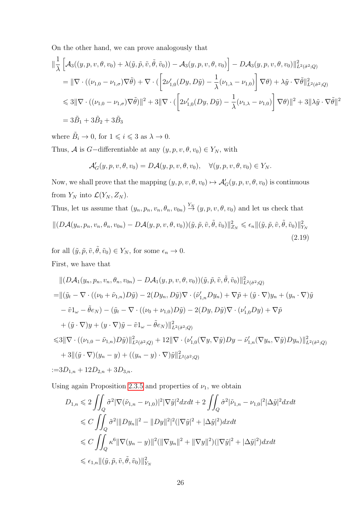On the other hand, we can prove analogously that

$$
\begin{split}\n&\|\frac{1}{\lambda}\left[\mathcal{A}_{3}((y,p,v,\theta,v_{0})+\lambda(\tilde{y},\tilde{p},\tilde{v},\tilde{\theta},\tilde{v}_{0}))-\mathcal{A}_{3}(y,p,v,\theta,v_{0})\right]-D\mathcal{A}_{3}(y,p,v,\theta,v_{0})\|_{L^{2}(\hat{\sigma}^{2};Q)}^{2} \\
&=\|\nabla\cdot((\nu_{1,0}-\nu_{1,\sigma})\nabla\tilde{\theta})+\nabla\cdot(\left[2\nu'_{1,0}(Dy,D\tilde{y})-\frac{1}{\lambda}(\nu_{1,\lambda}-\nu_{1,0})\right]\nabla\theta)+\lambda\tilde{y}\cdot\nabla\tilde{\theta}\|_{L^{2}(\hat{\sigma}^{2};Q)}^{2} \\
&\leq 3\|\nabla\cdot((\nu_{1,0}-\nu_{1,\sigma})\nabla\tilde{\theta})\|^{2}+3\|\nabla\cdot(\left[2\nu'_{1,0}(Dy,D\tilde{y})-\frac{1}{\lambda}(\nu_{1,\lambda}-\nu_{1,0})\right]\nabla\theta)\|^{2}+3\|\lambda\tilde{y}\cdot\nabla\tilde{\theta}\|^{2} \\
&=3\tilde{B}_{1}+3\tilde{B}_{2}+3\tilde{B}_{3}\n\end{split}
$$

where  $\tilde{B}_i \to 0$ , for  $1 \leq i \leq 3$  as  $\lambda \to 0$ .

Thus, A is G-differentiable at any  $(y, p, v, \theta, v_0) \in Y_N$ , with

<span id="page-33-0"></span>
$$
\mathcal{A}'_G(y, p, v, \theta, v_0) = D\mathcal{A}(y, p, v, \theta, v_0), \quad \forall (y, p, v, \theta, v_0) \in Y_N.
$$

Now, we shall prove that the mapping  $(y, p, v, \theta, v_0) \mapsto \mathcal{A}'_G(y, p, v, \theta, v_0)$  is continuous from  $Y_N$  into  $\mathcal{L}(Y_N, Z_N)$ .

Thus, let us assume that  $(y_n, p_n, v_n, \theta_n, v_{0n}) \stackrel{Y_N}{\rightarrow} (y, p, v, \theta, v_0)$  and let us check that  $\| (D\mathcal{A}(y_n, p_n, v_n, \theta_n, v_{0n}) - D\mathcal{A}(y, p, v, \theta, v_0)) (\tilde{y}, \tilde{p}, \tilde{v}, \tilde{\theta}, \tilde{v}_0) \|_{Z_N}^2 \leqslant \epsilon_n \|(\tilde{y}, \tilde{p}, \tilde{v}, \tilde{\theta}, \tilde{v}_0)\|_{Y_N}^2$  $(2.19)$ 

for all  $(\tilde{y}, \tilde{p}, \tilde{v}, \tilde{\theta}, \tilde{v}_0) \in Y_N$ , for some  $\epsilon_n \to 0$ . First, we have that

$$
\begin{split}\n&\| (D\mathcal{A}_1(y_n, p_n, v_n, \theta_n, v_{0n}) - D\mathcal{A}_1(y, p, v, \theta, v_0)) (\tilde{y}, \tilde{p}, \tilde{v}, \tilde{\theta}, \tilde{v}_0) \|_{L^2(\tilde{\sigma}^2; Q)}^2 \\
&= \|\left( \tilde{y}_t - \nabla \cdot ((\nu_0 + \tilde{\nu}_{1,n}) D\tilde{y}) - 2(Dy_n, D\tilde{y}) \nabla \cdot (\tilde{\nu}_{1,n}' Dy_n) + \nabla \tilde{p} + (\tilde{y} \cdot \nabla) y_n + (y_n \cdot \nabla) \tilde{y} \right. \\
&\quad - \tilde{v} 1_\omega - \tilde{\theta} e_N) - (\tilde{y}_t - \nabla \cdot ((\nu_0 + \nu_{1,0}) D\tilde{y}) - 2(Dy, D\tilde{y}) \nabla \cdot (\nu_{1,0}' Dy) + \nabla \tilde{p} \\
&\quad + (\tilde{y} \cdot \nabla) y + (y \cdot \nabla) \tilde{y} - \tilde{v} 1_\omega - \tilde{\theta} e_N) \|_{L^2(\tilde{\sigma}^2; Q)}^2 \\
&\leq 3 \|\nabla \cdot ((\nu_{1,0} - \tilde{\nu}_{1,n}) D\tilde{y}) \|_{L^2(\tilde{\sigma}^2; Q)}^2 + 12 \|\nabla \cdot (\nu_{1,0}' (\nabla y, \nabla \tilde{y}) Dy - \tilde{\nu}_{1,n}' (\nabla y_n, \nabla \tilde{y}) Dy_n) \|_{L^2(\tilde{\sigma}^2; Q)}^2 \\
&\quad + 3 \|\left( \tilde{y} \cdot \nabla)(y_n - y) + ((y_n - y) \cdot \nabla) \tilde{y} \|_{L^2(\tilde{\sigma}^2; Q)}^2 \\
&\coloneq 3D_{1,n} + 12D_{2,n} + 3D_{3,n}.\n\end{split}
$$

Using again Proposition [2](#page-21-0).3.5 and properties of  $\nu_1$ , we obtain

$$
D_{1,n} \leqslant 2 \iint_Q \tilde{\sigma}^2 |\nabla(\tilde{\nu}_{1,n} - \nu_{1,0})|^2 |\nabla \tilde{y}|^2 dxdt + 2 \iint_Q \hat{\sigma}^2 |\tilde{\nu}_{1,n} - \nu_{1,0}|^2 |\Delta \tilde{y}|^2 dxdt
$$
  
\n
$$
\leqslant C \iint_Q \tilde{\sigma}^2 |||Dy_n||^2 - |||Dy||^2 |^2 (|\nabla \tilde{y}|^2 + |\Delta \tilde{y}|^2) dxdt
$$
  
\n
$$
\leqslant C \iint_Q \kappa^6 ||\nabla (y_n - y)||^2 (||\nabla y_n||^2 + ||\nabla y||^2) (|\nabla \tilde{y}|^2 + |\Delta \tilde{y}|^2) dxdt
$$
  
\n
$$
\leqslant \epsilon_{1,n} ||(\tilde{y}, \tilde{p}, \tilde{v}, \tilde{\theta}, \tilde{v}_0)||^2_{Y_N}
$$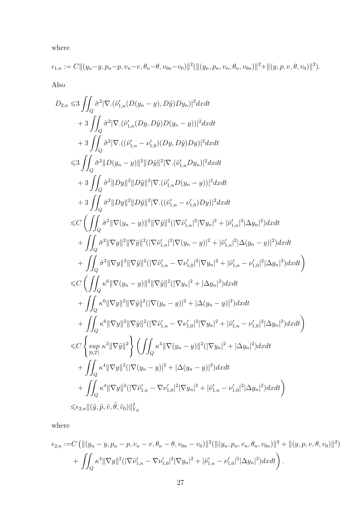where

$$
\epsilon_{1,n} := C ||(y_n - y, p_n - p, v_n - v, \theta_n - \theta, v_{0n} - v_0)||^2 (||(y_n, p_n, v_n, \theta_n, v_{0n})||^2 + ||(y, p, v, \theta, v_0)||^2).
$$

Also

$$
D_{2,n} \leq 3 \iint_{Q} \tilde{\sigma}^{2} |\nabla \cdot (\tilde{\nu}_{1,n}'(D(y_{n}-y), D\tilde{y})Dy_{n})|^{2} dx dt + 3 \iint_{Q} \tilde{\sigma}^{2} |\nabla \cdot (\tilde{\nu}_{1,n}'(Dy, D\tilde{y})D(y_{n}-y))|^{2} dx dt + 3 \iint_{Q} \tilde{\sigma}^{2} |\nabla \cdot ((\tilde{\nu}_{1,n}' - \nu_{1,0}')(Dy, D\tilde{y})Dy)|^{2} dx dt 
$$
\leq 3 \iint_{Q} \tilde{\sigma}^{2} ||D(y_{n}-y)||^{2} ||D\tilde{y}||^{2} |\nabla \cdot (\tilde{\nu}_{1,n}'Dy_{n})|^{2} dx dt + 3 \iint_{Q} \tilde{\sigma}^{2} ||Dy||^{2} ||D\tilde{y}||^{2} |\nabla \cdot (\tilde{\nu}_{1,n}'D(y_{n}-y))|^{2} dx dt + 3 \iint_{Q} \tilde{\sigma}^{2} ||Dy||^{2} ||D\tilde{y}||^{2} |\nabla \cdot ((\tilde{\nu}_{1,n}' - \nu_{1,0}')Dy)|^{2} dx dt 
$$
\leq C \left( \iint_{Q} \tilde{\sigma}^{2} ||\nabla y||^{2} ||\nabla \tilde{y}||^{2} (|\nabla \tilde{\nu}_{1,n}'|^{2} |\nabla y_{n}|^{2} + |\tilde{\nu}_{1,n}'|^{2} |\Delta y_{n}|^{2}) dx dt + \iint_{Q} \tilde{\sigma}^{2} ||\nabla y||^{2} ||\nabla \tilde{y}||^{2} (|\nabla \tilde{\nu}_{1,n}'|^{2} |\nabla y_{n}|^{2} + |\tilde{\nu}_{1,n}'|^{2} |\Delta y_{n}|^{2}) dx dt + \iint_{Q} \tilde{\sigma}^{2} ||\nabla y||^{2} ||\nabla \tilde{y}||^{2} (|\nabla \tilde{\nu}_{1,n}'|^{2} |\nabla y_{n}|^{2} + |\tilde{\nu}_{1,n}'|^{2} |\Delta y_{n}|^{2}) dx dt + \iint_{Q} \tilde{\sigma}^{2} ||\nabla y||^{2} ||\nabla \tilde{y}||^{2} (|\nabla \tilde
$$
$$
$$

where

$$
\epsilon_{2,n} := C \left( \left\| (y_n - y, p_n - p, v_n - v, \theta_n - \theta, v_{0n} - v_0) \right\|^2 \left( \left\| (y_n, p_n, v_n, \theta_n, v_{0n}) \right\|^2 + \left\| (y, p, v, \theta, v_0) \right\|^2 \right) + \int_Q \kappa^4 \|\nabla y\|^2 \left( |\nabla \tilde{\nu}'_{1,n} - \nabla \nu'_{1,0}|^2 |\nabla y_n|^2 + |\tilde{\nu}'_{1,n} - \nu'_{1,0}|^2 |\Delta y_n|^2 \right) dx dt \right).
$$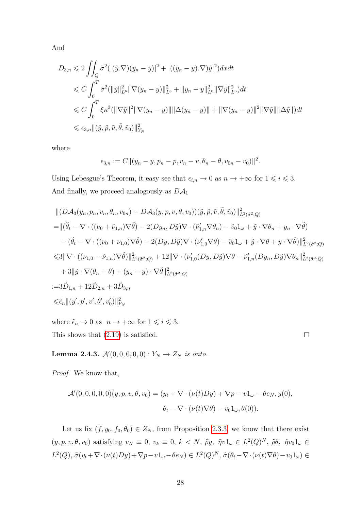And

$$
D_{3,n} \leq 2 \iint_Q \tilde{\sigma}^2 (|(\tilde{y}.\nabla)(y_n - y)|^2 + |((y_n - y).\nabla)\tilde{y}|^2) dx dt
$$
  
\n
$$
\leq C \int_0^T \tilde{\sigma}^2 (||\tilde{y}||_{L^6}^2 ||\nabla(y_n - y)||_{L^3}^2 + ||y_n - y||_{L^6}^2 ||\nabla \tilde{y}||_{L^3}^2) dt
$$
  
\n
$$
\leq C \int_0^T \xi \kappa^3 (||\nabla \tilde{y}||^2 ||\nabla(y_n - y)|| ||\Delta(y_n - y)|| + ||\nabla(y_n - y)||^2 ||\nabla \tilde{y}|| ||\Delta \tilde{y}||) dt
$$
  
\n
$$
\leq \epsilon_{3,n} ||(\tilde{y}, \tilde{p}, \tilde{v}, \tilde{\theta}, \tilde{v}_0)||_{Y_N}^2
$$

where

$$
\epsilon_{3,n} := C ||(y_n - y, p_n - p, v_n - v, \theta_n - \theta, v_{0n} - v_0)||^2.
$$

Using Lebesgue's Theorem, it easy see that  $\epsilon_{i,n} \to 0$  as  $n \to +\infty$  for  $1 \leq i \leq 3$ . And finally, we proceed analogously as  $D\mathcal{A}_1$ 

$$
\begin{split}\n&\| (D\mathcal{A}_{3}(y_{n},p_{n},v_{n},\theta_{n},v_{0n})-D\mathcal{A}_{3}(y,p,v,\theta,v_{0}))(\tilde{y},\tilde{p},\tilde{v},\tilde{\theta},\tilde{v}_{0})\|_{L^{2}(\hat{\sigma}^{2};Q)}^{2} \\
&=\| (\tilde{\theta}_{t}-\nabla\cdot((\nu_{0}+\tilde{\nu}_{1,n})\nabla\tilde{\theta})-2(Dy_{n},D\tilde{y})\nabla\cdot(\tilde{\nu}_{1,n}'\nabla\theta_{n})-\tilde{v}_{0}1_{\omega}+\tilde{y}\cdot\nabla\theta_{n}+y_{n}\cdot\nabla\tilde{\theta}) \\
&-(\tilde{\theta}_{t}-\nabla\cdot((\nu_{0}+\nu_{1,0})\nabla\tilde{\theta})-2(Dy,D\tilde{y})\nabla\cdot(\nu_{1,0}'\nabla\theta)-\tilde{v}_{0}1_{\omega}+\tilde{y}\cdot\nabla\theta+y\cdot\nabla\tilde{\theta})\|_{L^{2}(\hat{\sigma}^{2};Q)}^{2} \\
&\leq& 3\|\nabla\cdot((\nu_{1,0}-\tilde{\nu}_{1,n})\nabla\tilde{\theta})\|_{L^{2}(\tilde{\sigma}^{2};Q)}^{2}+12\|\nabla\cdot(\nu_{1,0}'(Dy,D\tilde{y})\nabla\theta-\tilde{\nu}_{1,n}'(Dy_{n},D\tilde{y})\nabla\theta_{n}\|_{L^{2}(\tilde{\sigma}^{2};Q)}^{2} \\
&+3\|\tilde{y}\cdot\nabla(\theta_{n}-\theta)+(y_{n}-y)\cdot\nabla\tilde{\theta}\|_{L^{2}(\hat{\sigma}^{2};Q)}^{2} \\
=&3\tilde{D}_{1,n}+12\tilde{D}_{2,n}+3\tilde{D}_{3,n} \\
&\leq&\tilde{\epsilon}_{n}\|(y',p',v',\theta',v'_{0})\|_{Y_{N}}^{2}\n\end{split}
$$

 $\Box$ 

where  $\tilde{\epsilon}_n \to 0$  as  $\ n \to +\infty$  for  $1 \leqslant i \leqslant 3.$ This shows that (2.[19\)](#page-33-0) is satisfied.

**Lemma 2.4.3.**  $\mathcal{A}'(0, 0, 0, 0, 0) : Y_N \to Z_N$  is onto.

Proof. We know that,

$$
\mathcal{A}'(0,0,0,0,0)(y,p,v,\theta,v_0)=(y_t+\nabla\cdot(\nu(t)Dy)+\nabla p-v1_\omega-\theta e_N,y(0),
$$
  

$$
\theta_t-\nabla\cdot(\nu(t)\nabla\theta)-v_01_\omega,\theta(0)).
$$

Let us fix  $(f, y_0, f_0, \theta_0) \in Z_N$ , from Proposition [2](#page-19-0).3.3, we know that there exist  $(y, p, v, \theta, v_0)$  satisfying  $v_N \equiv 0, v_k \equiv 0, k \langle N, \tilde{\rho}y, \tilde{\eta}v1_{\omega} \in L^2(Q)^N, \tilde{\rho}\theta, \tilde{\eta}v_01_{\omega} \in$  $L^2(Q)$ ,  $\tilde{\sigma}(y_t + \nabla \cdot (\nu(t)Dy) + \nabla p - v \mathbb{1}_{\omega} - \theta e_N) \in L^2(Q)^N$ ,  $\hat{\sigma}(\theta_t - \nabla \cdot (\nu(t) \nabla \theta) - v_0 \mathbb{1}_{\omega}) \in$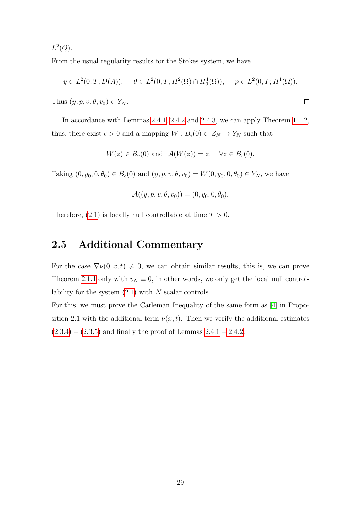$L^2(Q)$ .

From the usual regularity results for the Stokes system, we have

$$
y \in L^2(0, T; D(A)), \quad \theta \in L^2(0, T; H^2(\Omega) \cap H_0^1(\Omega)), \quad p \in L^2(0, T; H^1(\Omega)).
$$

 $\Box$ 

Thus  $(y, p, v, \theta, v_0) \in Y_N$ .

In accordance with Lemmas [2](#page-25-0).4.1, [2](#page-30-0).4.2 and [2](#page-35-0).4.3, we can apply Theorem [1](#page-11-0).1.2, thus, there exist  $\epsilon > 0$  and a mapping  $W : B_{\epsilon}(0) \subset Z_N \to Y_N$  such that

$$
W(z) \in B_r(0)
$$
 and  $\mathcal{A}(W(z)) = z, \quad \forall z \in B_{\epsilon}(0)$ .

Taking  $(0, y_0, 0, \theta_0) \in B_{\epsilon}(0)$  and  $(y, p, v, \theta, v_0) = W(0, y_0, 0, \theta_0) \in Y_N$ , we have

$$
\mathcal{A}((y,p,v,\theta,v_0))=(0,y_0,0,\theta_0).
$$

Therefore,  $(2.1)$  $(2.1)$  is locally null controllable at time  $T > 0$ .

# 2.5 Additional Commentary

For the case  $\nabla \nu(0, x, t) \neq 0$ , we can obtain similar results, this is, we can prove Theorem [2](#page-15-0).1.1 only with  $v_N \equiv 0$ , in other words, we only get the local null controllability for the system  $(2.1)$  $(2.1)$  with N scalar controls.

For this, we must prove the Carleman Inequality of the same form as [\[4\]](#page-96-0) in Proposition 2.1 with the additional term  $\nu(x, t)$ . Then we verify the additional estimates  $(2.3.4) - (2.3.5)$  $(2.3.4) - (2.3.5)$  $(2.3.4) - (2.3.5)$  $(2.3.4) - (2.3.5)$  $(2.3.4) - (2.3.5)$  and finally the proof of Lemmas  $2.4.1 - 2.4.2$  $2.4.1 - 2.4.2$  $2.4.1 - 2.4.2$ .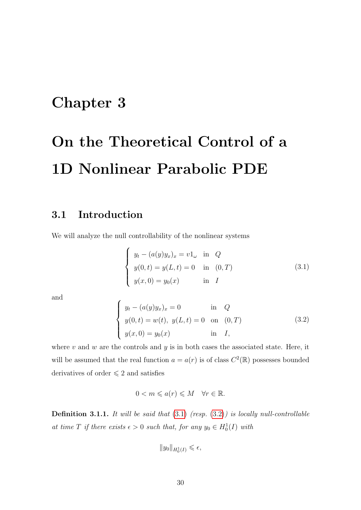# Chapter 3

# On the Theoretical Control of a 1D Nonlinear Parabolic PDE

# 3.1 Introduction

We will analyze the null controllability of the nonlinear systems

<span id="page-37-0"></span>
$$
\begin{cases}\n y_t - (a(y)y_x)_x = v1_\omega & \text{in } Q \\
 y(0, t) = y(L, t) = 0 & \text{in } (0, T) \\
 y(x, 0) = y_0(x) & \text{in } I\n\end{cases}
$$
\n(3.1)

<span id="page-37-1"></span>and

$$
\begin{cases}\n y_t - (a(y)y_x)_x = 0 & \text{in } Q \\
 y(0, t) = w(t), \ y(L, t) = 0 & \text{on } (0, T) \\
 y(x, 0) = y_0(x) & \text{in } I,\n\end{cases}
$$
\n(3.2)

where  $v$  and  $w$  are the controls and  $y$  is in both cases the associated state. Here, it will be assumed that the real function  $a = a(r)$  is of class  $C^2(\mathbb{R})$  possesses bounded derivatives of order  $\leq 2$  and satisfies

$$
0 < m \leqslant a(r) \leqslant M \quad \forall r \in \mathbb{R}.
$$

**Definition 3.1.1.** It will be said that  $(3.1)$  $(3.1)$  (resp.  $(3.2)$  $(3.2)$ ) is locally null-controllable at time T if there exists  $\epsilon > 0$  such that, for any  $y_0 \in H_0^1(I)$  with

$$
||y_0||_{H_0^1(I)} \leqslant \epsilon,
$$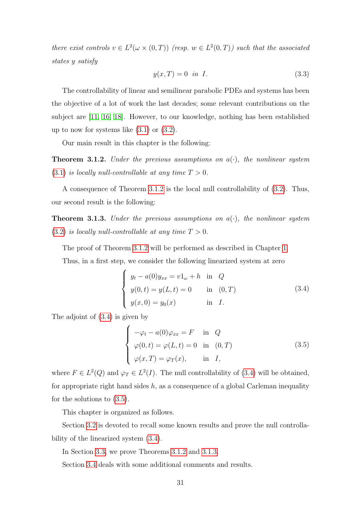there exist controls  $v \in L^2(\omega \times (0,T))$  (resp.  $w \in L^2(0,T)$ ) such that the associated states y satisfy

$$
y(x,T) = 0 \quad \text{in} \quad I. \tag{3.3}
$$

The controllability of linear and semilinear parabolic PDEs and systems has been the objective of a lot of work the last decades; some relevant contributions on the subject are [\[11,](#page-97-0) [16,](#page-97-1) [18\]](#page-98-0). However, to our knowledge, nothing has been established up to now for systems like  $(3.1)$  $(3.1)$  or  $(3.2)$ .

Our main result in this chapter is the following:

<span id="page-38-0"></span>**Theorem 3.1.2.** Under the previous assumptions on  $a(\cdot)$ , the nonlinear system  $(3.1)$  $(3.1)$  is locally null-controllable at any time  $T > 0$ .

A consequence of Theorem [3](#page-38-0).1.2 is the local null controllability of (3.[2\)](#page-37-1). Thus, our second result is the following:

<span id="page-38-3"></span>**Theorem 3.1.3.** Under the previous assumptions on  $a(\cdot)$ , the nonlinear system  $(3.2)$  $(3.2)$  is locally null-controllable at any time  $T > 0$ .

The proof of Theorem [3](#page-38-0).1.2 will be performed as described in Chapter [1.](#page-11-1)

Thus, in a first step, we consider the following linearized system at zero

<span id="page-38-1"></span>
$$
\begin{cases}\n y_t - a(0)y_{xx} = v1_\omega + h & \text{in } Q \\
 y(0, t) = y(L, t) = 0 & \text{in } (0, T) \\
 y(x, 0) = y_0(x) & \text{in } I.\n\end{cases}
$$
\n(3.4)

The adjoint of (3.[4\)](#page-38-1) is given by

<span id="page-38-2"></span>
$$
\begin{cases}\n-\varphi_t - a(0)\varphi_{xx} = F & \text{in } Q \\
\varphi(0, t) = \varphi(L, t) = 0 & \text{in } (0, T) \\
\varphi(x, T) = \varphi_T(x), & \text{in } I,\n\end{cases}
$$
\n(3.5)

where  $F \in L^2(Q)$  and  $\varphi_T \in L^2(I)$ . The null controllability of (3.[4\)](#page-38-1) will be obtained, for appropriate right hand sides  $h$ , as a consequence of a global Carleman inequality for the solutions to (3.[5\)](#page-38-2).

This chapter is organized as follows.

Section [3](#page-39-0).2 is devoted to recall some known results and prove the null controllability of the linearized system (3.[4\)](#page-38-1).

In Section [3](#page-43-0).3, we prove Theorems [3.1.2](#page-38-0) and [3.1.3.](#page-38-3)

Section [3](#page-49-0).4 deals with some additional comments and results.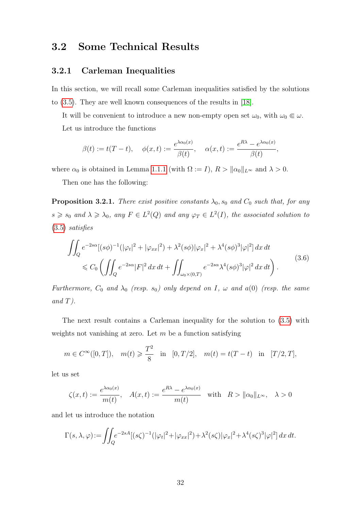# <span id="page-39-0"></span>3.2 Some Technical Results

#### 3.2.1 Carleman Inequalities

In this section, we will recall some Carleman inequalities satisfied by the solutions to (3.[5\)](#page-38-2). They are well known consequences of the results in [\[18\]](#page-98-0).

It will be convenient to introduce a new non-empty open set  $\omega_0$ , with  $\omega_0 \in \omega$ . Let us introduce the functions

$$
\beta(t) := t(T - t), \quad \phi(x, t) := \frac{e^{\lambda \alpha_0(x)}}{\beta(t)}, \quad \alpha(x, t) := \frac{e^{R\lambda} - e^{\lambda \alpha_0(x)}}{\beta(t)},
$$

where  $\alpha_0$  is obtained in Lemma [1.1.1](#page-11-2) (with  $\Omega := I$ ),  $R > ||\alpha_0||_{L^{\infty}}$  and  $\lambda > 0$ .

Then one has the following:

**Proposition 3.2.1.** There exist positive constants  $\lambda_0$ ,  $s_0$  and  $C_0$  such that, for any  $s \geq s_0$  and  $\lambda \geq \lambda_0$ , any  $F \in L^2(Q)$  and any  $\varphi_T \in L^2(I)$ , the associated solution to (3.[5\)](#page-38-2) satisfies

$$
\iint_{Q} e^{-2s\alpha} [(\mathfrak{s}\phi)^{-1} (|\varphi_{t}|^{2} + |\varphi_{xx}|^{2}) + \lambda^{2} (\mathfrak{s}\phi)|\varphi_{x}|^{2} + \lambda^{4} (\mathfrak{s}\phi)^{3}|\varphi|^{2}] dx dt
$$
\n
$$
\leq C_{0} \left( \iint_{Q} e^{-2s\alpha} |F|^{2} dx dt + \iint_{\omega_{0}\times(0,T)} e^{-2s\alpha} \lambda^{4} (\mathfrak{s}\phi)^{3} |\varphi|^{2} dx dt \right).
$$
\n(3.6)

Furthermore,  $C_0$  and  $\lambda_0$  (resp. s<sub>0</sub>) only depend on I,  $\omega$  and a(0) (resp. the same  $and T$ ).

The next result contains a Carleman inequality for the solution to (3.[5\)](#page-38-2) with weights not vanishing at zero. Let  $m$  be a function satisfying

$$
m \in C^{\infty}([0, T]), \quad m(t) \geq \frac{T^2}{8}
$$
 in  $[0, T/2], \quad m(t) = t(T - t)$  in  $[T/2, T],$ 

let us set

$$
\zeta(x,t) := \frac{e^{\lambda \alpha_0(x)}}{m(t)}, \quad A(x,t) := \frac{e^{R\lambda} - e^{\lambda \alpha_0(x)}}{m(t)} \quad \text{with} \quad R > \|\alpha_0\|_{L^\infty}, \quad \lambda > 0
$$

and let us introduce the notation

$$
\Gamma(s,\lambda,\varphi) := \iint_Q e^{-2sA} [(s\zeta)^{-1} (|\varphi_t|^2 + |\varphi_{xx}|^2) + \lambda^2 (s\zeta) |\varphi_x|^2 + \lambda^4 (s\zeta)^3 |\varphi|^2] dx dt.
$$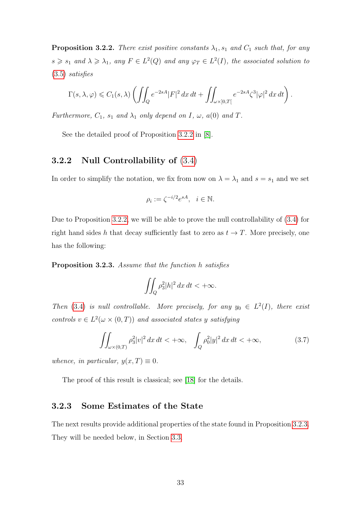<span id="page-40-0"></span>**Proposition 3.2.2.** There exist positive constants  $\lambda_1$ ,  $s_1$  and  $C_1$  such that, for any  $s \geq s_1$  and  $\lambda \geq \lambda_1$ , any  $F \in L^2(Q)$  and any  $\varphi_T \in L^2(I)$ , the associated solution to (3.[5\)](#page-38-2) satisfies

$$
\Gamma(s,\lambda,\varphi)\leqslant C_1(s,\lambda)\left(\iint_Q e^{-2sA}|F|^2\,dx\,dt+\iint_{\omega\times]0,T[}e^{-2sA}\zeta^3|\varphi|^2\,dx\,dt\right).
$$

Furthermore,  $C_1$ ,  $s_1$  and  $\lambda_1$  only depend on I,  $\omega$ ,  $a(0)$  and T.

See the detailed proof of Proposition [3.2.2](#page-40-0) in [\[8\]](#page-96-1).

#### 3.2.2 Null Controllability of [\(3](#page-38-1).4)

In order to simplify the notation, we fix from now on  $\lambda = \lambda_1$  and  $s = s_1$  and we set

$$
\rho_i := \zeta^{-i/2} e^{sA}, \quad i \in \mathbb{N}.
$$

Due to Proposition [3](#page-40-0).2.2, we will be able to prove the null controllability of [\(3](#page-38-1).4) for right hand sides h that decay sufficiently fast to zero as  $t \to T$ . More precisely, one has the following:

<span id="page-40-1"></span>Proposition 3.2.3. Assume that the function h satisfies

<span id="page-40-2"></span>
$$
\iint_Q \rho_3^2 |h|^2 \, dx \, dt < +\infty.
$$

Then (3.[4\)](#page-38-1) is null controllable. More precisely, for any  $y_0 \in L^2(I)$ , there exist controls  $v \in L^2(\omega \times (0,T))$  and associated states y satisfying

$$
\iint_{\omega \times (0,T)} \rho_3^2 |v|^2 \, dx \, dt < +\infty, \quad \int_Q \rho_0^2 |y|^2 \, dx \, dt < +\infty,\tag{3.7}
$$

whence, in particular,  $y(x,T) \equiv 0$ .

The proof of this result is classical; see [\[18\]](#page-98-0) for the details.

#### 3.2.3 Some Estimates of the State

The next results provide additional properties of the state found in Proposition [3](#page-40-1).2.3. They will be needed below, in Section [3](#page-43-0).3.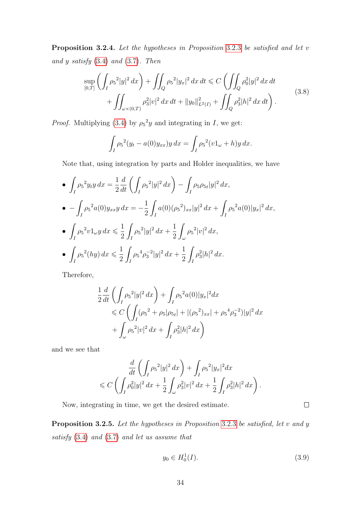Proposition [3](#page-40-1).2.4. Let the hypotheses in Proposition 3.2.3 be satisfied and let v and  $y$  satisfy  $(3.4)$  $(3.4)$  and  $(3.7)$ . Then

<span id="page-41-1"></span>
$$
\sup_{[0,T]} \left( \int_I \rho_5^2 |y|^2 \, dx \right) + \iint_Q \rho_5^2 |y_x|^2 \, dx \, dt \leq C \left( \iint_Q \rho_0^2 |y|^2 \, dx \, dt \right. \\
\left. + \iint_{\omega \times (0,T)} \rho_3^2 |v|^2 \, dx \, dt + \|y_0\|_{L^2(I)}^2 + \iint_Q \rho_3^2 |h|^2 \, dx \, dt \right). \tag{3.8}
$$

*Proof.* Multiplying (3.[4\)](#page-38-1) by  $\rho_5^2 y$  and integrating in I, we get:

$$
\int_I \rho_5^2 (y_t - a(0)y_{xx}) y \, dx = \int_I \rho_5^2 (v1_\omega + h) y \, dx.
$$

Note that, using integration by parts and Holder inequalities, we have

• 
$$
\int_{I} \rho_{5}^{2} y_{t} y \, dx = \frac{1}{2} \frac{d}{dt} \left( \int_{I} \rho_{5}^{2} |y|^{2} \, dx \right) - \int_{I} \rho_{5} \rho_{5t} |y|^{2} \, dx,
$$
  
\n• 
$$
- \int_{I} \rho_{5}^{2} a(0) y_{xx} y \, dx = -\frac{1}{2} \int_{I} a(0) (\rho_{5}^{2})_{xx} |y|^{2} \, dx + \int_{I} \rho_{5}^{2} a(0) |y_{x}|^{2} \, dx,
$$
  
\n• 
$$
\int_{I} \rho_{5}^{2} v 1_{\omega} y \, dx \leq \frac{1}{2} \int_{I} \rho_{5}^{2} |y|^{2} \, dx + \frac{1}{2} \int_{\omega} \rho_{5}^{2} |v|^{2} \, dx,
$$
  
\n• 
$$
\int_{I} \rho_{5}^{2} (hy) \, dx \leq \frac{1}{2} \int_{I} \rho_{5}^{4} \rho_{3}^{-2} |y|^{2} \, dx + \frac{1}{2} \int_{I} \rho_{3}^{2} |h|^{2} \, dx.
$$

Therefore,

$$
\frac{1}{2}\frac{d}{dt}\left(\int_{I}\rho_{5}^{2}|y|^{2} dx\right) + \int_{I}\rho_{5}^{2}a(0)|y_{x}|^{2} dx
$$
\n
$$
\leq C\left(\int_{I}(\rho_{5}^{2} + \rho_{5}|\rho_{5t}| + |(\rho_{5}^{2})_{xx}| + \rho_{5}^{4}\rho_{3}^{-2})|y|^{2} dx\right)
$$
\n
$$
+ \int_{\omega}\rho_{5}^{2}|v|^{2} dx + \int_{I}\rho_{3}^{2}|h|^{2} dx\right)
$$

and we see that

$$
\frac{d}{dt} \left( \int_I \rho_5^2 |y|^2 dx \right) + \int_I \rho_5^2 |y_x|^2 dx
$$
  
\$\leq C \left( \int\_I \rho\_0^2 |y|^2 dx + \frac{1}{2} \int\_\omega \rho\_3^2 |v|^2 dx + \frac{1}{2} \int\_I \rho\_3^2 |h|^2 dx \right).

Now, integrating in time, we get the desired estimate.

<span id="page-41-2"></span>Proposition [3](#page-40-1).2.5. Let the hypotheses in Proposition 3.2.3 be satisfied, let v and y satisfy [\(3](#page-38-1).4) and (3.[7\)](#page-40-2) and let us assume that

<span id="page-41-0"></span>
$$
y_0 \in H_0^1(I). \tag{3.9}
$$

 $\Box$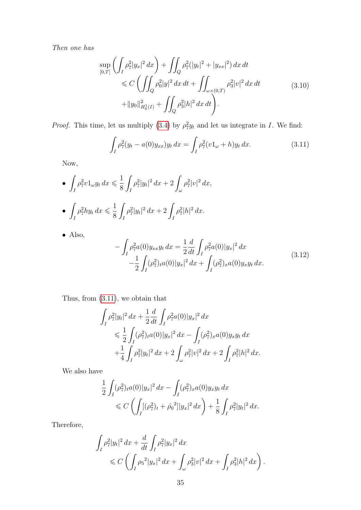Then one has

<span id="page-42-2"></span>
$$
\sup_{[0,T]} \left( \int_I \rho_7^2 |y_x|^2 \, dx \right) + \iint_Q \rho_7^2 (|y_t|^2 + |y_{xx}|^2) \, dx \, dt
$$
\n
$$
\leq C \left( \iint_Q \rho_0^2 |y|^2 \, dx \, dt + \iint_{\omega \times (0,T)} \rho_3^2 |v|^2 \, dx \, dt \right)
$$
\n
$$
+ \|y_0\|_{H_0^1(I)}^2 + \iint_Q \rho_3^2 |h|^2 \, dx \, dt \right). \tag{3.10}
$$

<span id="page-42-0"></span>*Proof.* This time, let us multiply [\(3](#page-38-1).4) by  $\rho_7^2 y_t$  and let us integrate in I. We find:

$$
\int_{I} \rho_7^2 (y_t - a(0)y_{xx}) y_t \, dx = \int_{I} \rho_7^2 (v1_\omega + h) y_t \, dx. \tag{3.11}
$$

Now,

• 
$$
\int_{I} \rho_{7}^{2} v 1_{\omega} y_{t} dx \leq \frac{1}{8} \int_{I} \rho_{7}^{2} |y_{t}|^{2} dx + 2 \int_{\omega} \rho_{7}^{2} |v|^{2} dx,
$$
  
\n•  $\int_{I} \rho_{7}^{2} hy_{t} dx \leq \frac{1}{8} \int_{I} \rho_{7}^{2} |y_{t}|^{2} dx + 2 \int_{I} \rho_{7}^{2} |h|^{2} dx.$ 

<span id="page-42-1"></span>• Also,

$$
-\int_{I} \rho_{7}^{2} a(0) y_{xx} y_{t} dx = \frac{1}{2} \frac{d}{dt} \int_{I} \rho_{7}^{2} a(0) |y_{x}|^{2} dx -\frac{1}{2} \int_{I} (\rho_{7}^{2})_{t} a(0) |y_{x}|^{2} dx + \int_{I} (\rho_{7}^{2})_{x} a(0) y_{x} y_{t} dx.
$$
 (3.12)

Thus, from [\(3.11\)](#page-42-0), we obtain that

$$
\int_{I} \rho_{7}^{2} |y_{t}|^{2} dx + \frac{1}{2} \frac{d}{dt} \int_{I} \rho_{7}^{2} a(0) |y_{x}|^{2} dx
$$
\n
$$
\leq \frac{1}{2} \int_{I} (\rho_{7}^{2})_{t} a(0) |y_{x}|^{2} dx - \int_{I} (\rho_{7}^{2})_{x} a(0) y_{x} y_{t} dx
$$
\n
$$
+ \frac{1}{4} \int_{I} \rho_{7}^{2} |y_{t}|^{2} dx + 2 \int_{\omega} \rho_{7}^{2} |v|^{2} dx + 2 \int_{I} \rho_{7}^{2} |h|^{2} dx.
$$

We also have

$$
\frac{1}{2} \int_I (\rho_7^2)_t a(0) |y_x|^2 dx - \int_I (\rho_7^2)_x a(0) y_x y_t dx
$$
  
\$\leqslant C \left( \int\_I [(\rho\_7^2)\_t + \hat{\rho}\_0^2] |y\_x|^2 dx \right) + \frac{1}{8} \int\_I \rho\_7^2 |y\_t|^2 dx.\$

Therefore,

$$
\int_{I} \rho_{7}^{2} |y_{t}|^{2} dx + \frac{d}{dt} \int_{I} \rho_{7}^{2} |y_{x}|^{2} dx
$$
  
\$\leqslant C \left( \int\_{I} \rho\_{5}^{2} |y\_{x}|^{2} dx + \int\_{\omega} \rho\_{3}^{2} |v|^{2} dx + \int\_{I} \rho\_{3}^{2} |h|^{2} dx \right).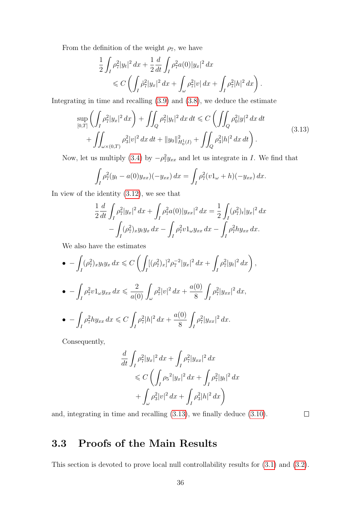From the definition of the weight  $\rho_7,$  we have

$$
\frac{1}{2} \int_{I} \rho_{7}^{2} |y_{t}|^{2} dx + \frac{1}{2} \frac{d}{dt} \int_{I} \rho_{7}^{2} a(0) |y_{x}|^{2} dx \n\leq C \left( \int_{I} \rho_{7}^{2} |y_{x}|^{2} dx + \int_{\omega} \rho_{7}^{2} |v| dx + \int_{I} \rho_{7}^{2} |h|^{2} dx \right).
$$

Integrating in time and recalling [\(3.9\)](#page-41-0) and [\(3.8\)](#page-41-1), we deduce the estimate

$$
\sup_{[0,T]} \left( \int_I \rho_7^2 |y_x|^2 \, dx \right) + \iint_Q \rho_7^2 |y_t|^2 \, dx \, dt \leq C \left( \iint_Q \rho_0^2 |y|^2 \, dx \, dt \right. \\
\left. + \iint_{\omega \times (0,T)} \rho_3^2 |v|^2 \, dx \, dt + \|y_0\|_{H_0^1(I)}^2 + \iint_Q \rho_3^2 |h|^2 \, dx \, dt \right). \tag{3.13}
$$

Now, let us multiply (3.[4\)](#page-38-1) by  $-\rho_7^2 y_{xx}$  and let us integrate in *I*. We find that

$$
\int_{I} \rho_7^2 (y_t - a(0)y_{xx})(-y_{xx}) dx = \int_{I} \rho_7^2 (v1_\omega + h)(-y_{xx}) dx.
$$

In view of the identity [\(3.12\)](#page-42-1), we see that

$$
\frac{1}{2}\frac{d}{dt}\int_{I}\rho_{7}^{2}|y_{x}|^{2} dx + \int_{I}\rho_{7}^{2}a(0)|y_{xx}|^{2} dx = \frac{1}{2}\int_{I}(\rho_{7}^{2})_{t}|y_{x}|^{2} dx \n- \int_{I}(\rho_{7}^{2})_{x}y_{t}y_{x} dx - \int_{I}\rho_{7}^{2}v_{1}y_{xx} dx - \int_{I}\rho_{7}^{2}hy_{xx} dx.
$$

We also have the estimates

$$
\bullet - \int_{I} (\rho_7^2)_x y_t y_x dx \leq C \left( \int_{I} [(\rho_7^2)_x]^2 \rho_7^{-2} |y_x|^2 dx + \int_{I} \rho_7^2 |y_t|^2 dx \right)
$$
  

$$
\bullet - \int_{I} \rho_7^2 v 1_{\omega} y_{xx} dx \leq \frac{2}{a(0)} \int_{\omega} \rho_7^2 |v|^2 dx + \frac{a(0)}{8} \int_{I} \rho_7^2 |y_{xx}|^2 dx,
$$
  

$$
\bullet - \int_{I} \rho_7^2 h y_{xx} dx \leq C \int_{I} \rho_7^2 |h|^2 dx + \frac{a(0)}{8} \int_{I} \rho_7^2 |y_{xx}|^2 dx.
$$

Consequently,

$$
\frac{d}{dt} \int_{I} \rho_{7}^{2} |y_{x}|^{2} dx + \int_{I} \rho_{7}^{2} |y_{xx}|^{2} dx
$$
\n
$$
\leq C \left( \int_{I} \rho_{5}^{2} |y_{x}|^{2} dx + \int_{I} \rho_{7}^{2} |y_{t}|^{2} dx \right)
$$
\n
$$
+ \int_{\omega} \rho_{3}^{2} |v|^{2} dx + \int_{I} \rho_{3}^{2} |h|^{2} dx \right)
$$

and, integrating in time and recalling [\(3.13\)](#page-43-1), we finally deduce [\(3.10\)](#page-42-2).

 $\Box$ 

<span id="page-43-1"></span>,

# <span id="page-43-0"></span>3.3 Proofs of the Main Results

This section is devoted to prove local null controllability results for (3.[1\)](#page-37-0) and [\(3](#page-37-1).2).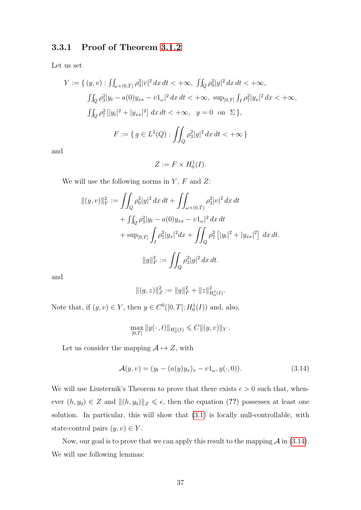#### 3.3.1 Proof of Theorem [3.1.2](#page-38-0)

Let us set

$$
Y := \{ (y, v) : \int_{\omega \times (0,T)} \rho_3^2 |v|^2 dx dt < +\infty, \int_{Q} \rho_0^2 |y|^2 dx dt < +\infty,
$$
  

$$
\int_{Q} \rho_3^2 |y_t - a(0)y_{xx} - v1_\omega|^2 dx dt < +\infty, \sup_{[0,T]} \int_{I} \rho_7^2 |y_x|^2 dx < +\infty,
$$
  

$$
\int_{Q} \rho_7^2 [|y_t|^2 + |y_{xx}|^2] dx dt < +\infty, \quad y = 0 \text{ on } \Sigma \},
$$
  

$$
F := \{ g \in L^2(Q) : \int_{Q} \rho_3^2 |g|^2 dx dt < +\infty \}
$$

and

$$
Z := F \times H_0^1(I).
$$

We will use the following norms in  $Y$ ,  $F$  and  $Z$ :

$$
\|(y,v)\|_{Y}^{2} := \iint_{Q} \rho_{0}^{2} |y|^{2} dx dt + \iint_{\omega \times (0,T)} \rho_{3}^{2} |v|^{2} dx dt
$$
  
+ 
$$
\iint_{Q} \rho_{3}^{2} |y_{t} - a(0)y_{xx} - v1_{\omega}|^{2} dx dt
$$
  
+ 
$$
\sup_{[0,T]} \int_{I} \rho_{7}^{2} |y_{x}|^{2} dx + \iint_{Q} \rho_{7}^{2} [|y_{t}|^{2} + |y_{xx}|^{2}] dx dt.
$$
  

$$
\|g\|_{F}^{2} := \iint_{Q} \rho_{3}^{2} |g|^{2} dx dt.
$$

and

$$
||(g,z)||_Z^2 := ||g||_F^2 + ||z||_{H_0^1(I)}^2.
$$

Note that, if  $(y, v) \in Y$ , then  $y \in C<sup>0</sup>([0, T]; H_0<sup>1</sup>(I))$  and, also,

<span id="page-44-0"></span>
$$
\max_{[0,T]} \|y(\cdot\,,t)\|_{H_0^1(I)} \leqslant C \|(y,v)\|_Y.
$$

Let us consider the mapping  $A \mapsto Z$ , with

$$
\mathcal{A}(y,v) = (y_t - (a(y)y_x)_x - v1_\omega, y(\cdot,0)).
$$
\n(3.14)

We will use Liusternik's Theorem to prove that there exists  $\epsilon > 0$  such that, whenever  $(h, y_0) \in Z$  and  $|| (h, y_0)||_Z \leq \epsilon$ , then the equation (??) possesses at least one solution. In particular, this will show that (3.[1\)](#page-37-0) is locally null-controllable, with state-control pairs  $(y, v) \in Y$ .

Now, our goal is to prove that we can apply this result to the mapping  $\mathcal A$  in (3.[14\)](#page-44-0). We will use following lemmas: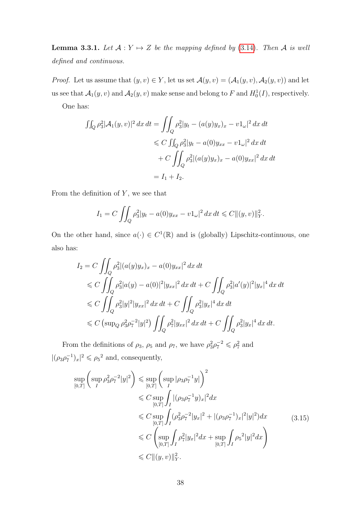**Lemma 3.3.1.** Let  $A: Y \mapsto Z$  be the mapping defined by (3.[14\)](#page-44-0). Then A is well defined and continuous.

*Proof.* Let us assume that  $(y, v) \in Y$ , let us set  $\mathcal{A}(y, v) = (\mathcal{A}_1(y, v), \mathcal{A}_2(y, v))$  and let us see that  $\mathcal{A}_1(y, v)$  and  $\mathcal{A}_2(y, v)$  make sense and belong to F and  $H_0^1(I)$ , respectively. One has:

$$
\iint_{Q} \rho_{3}^{2} |\mathcal{A}_{1}(y,v)|^{2} dx dt = \iint_{Q} \rho_{3}^{2} |y_{t} - (a(y)y_{x})_{x} - v1_{\omega}|^{2} dx dt
$$
  

$$
\leq C \iint_{Q} \rho_{3}^{2} |y_{t} - a(0)y_{xx} - v1_{\omega}|^{2} dx dt
$$
  

$$
+ C \iint_{Q} \rho_{3}^{2} |(a(y)y_{x})_{x} - a(0)y_{xx}|^{2} dx dt
$$
  

$$
= I_{1} + I_{2}.
$$

From the definition of  $Y$ , we see that

$$
I_1 = C \iint_Q \rho_3^2 |y_t - a(0)y_{xx} - v1_\omega|^2 dx dt \leq C ||(y, v)||_Y^2.
$$

On the other hand, since  $a(\cdot) \in C^1(\mathbb{R})$  and is (globally) Lipschitz-continuous, one also has:

$$
I_2 = C \iint_Q \rho_3^2 |(a(y)y_x)_x - a(0)y_{xx}|^2 dx dt
$$
  
\n
$$
\leq C \iint_Q \rho_3^2 |a(y) - a(0)|^2 |y_{xx}|^2 dx dt + C \iint_Q \rho_3^2 |a'(y)|^2 |y_x|^4 dx dt
$$
  
\n
$$
\leq C \iint_Q \rho_3^2 |y|^2 |y_{xx}|^2 dx dt + C \iint_Q \rho_3^2 |y_x|^4 dx dt
$$
  
\n
$$
\leq C (\sup_Q \rho_3^2 \rho_7^{-2} |y|^2) \iint_Q \rho_7^2 |y_{xx}|^2 dx dt + C \iint_Q \rho_3^2 |y_x|^4 dx dt.
$$

<span id="page-45-0"></span>From the definitions of  $\rho_3$ ,  $\rho_5$  and  $\rho_7$ , we have  $\rho_3^2 \rho_7^{-2} \leq \rho_7^2$  and  $|(\rho_3\rho_7^{-1})_x|^2 \leq \rho_5^2$  and, consequently,

$$
\sup_{[0,T]} \left( \sup_{I} \rho_{3}^{2} \rho_{7}^{-2} |y|^{2} \right) \leq \sup_{[0,T]} \left( \sup_{I} |\rho_{3} \rho_{7}^{-1} y| \right)^{2}
$$
\n
$$
\leq C \sup_{[0,T]} \int_{I} |(\rho_{3} \rho_{7}^{-1} y)_{x}|^{2} dx
$$
\n
$$
\leq C \sup_{[0,T]} \int_{I} (\rho_{3}^{2} \rho_{7}^{-2} |y_{x}|^{2} + |(\rho_{3} \rho_{7}^{-1})_{x}|^{2} |y|^{2}) dx
$$
\n
$$
\leq C \left( \sup_{[0,T]} \int_{I} \rho_{7}^{2} |y_{x}|^{2} dx + \sup_{[0,T]} \int_{I} \rho_{5}^{2} |y|^{2} dx \right)
$$
\n
$$
\leq C \left( \sup_{[0,T]} \int_{I} \rho_{7}^{2} |y_{x}|^{2} dx + \sup_{[0,T]} \int_{I} \rho_{5}^{2} |y|^{2} dx \right)
$$
\n
$$
\leq C \|(y,v)\|_{Y}^{2}.
$$
\n(3.15)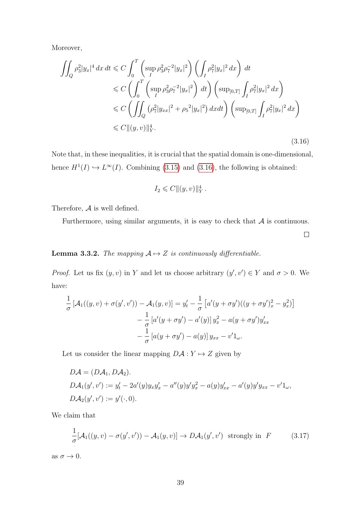Moreover,

<span id="page-46-0"></span>
$$
\iint_{Q} \rho_{3}^{2} |y_{x}|^{4} dx dt \leq C \int_{0}^{T} \left( \sup_{I} \rho_{3}^{2} \rho_{7}^{-2} |y_{x}|^{2} \right) \left( \int_{I} \rho_{7}^{2} |y_{x}|^{2} dx \right) dt
$$
  
\n
$$
\leq C \left( \int_{0}^{T} \left( \sup_{I} \rho_{3}^{2} \rho_{7}^{-2} |y_{x}|^{2} \right) dt \right) \left( \sup_{[0,T]} \int_{I} \rho_{7}^{2} |y_{x}|^{2} dx \right)
$$
  
\n
$$
\leq C \left( \iint_{Q} \left( \rho_{7}^{2} |y_{xx}|^{2} + \rho_{5}^{2} |y_{x}|^{2} \right) dx dt \right) \left( \sup_{[0,T]} \int_{I} \rho_{7}^{2} |y_{x}|^{2} dx \right)
$$
  
\n
$$
\leq C ||(y,v)||_{Y}^{4}.
$$
\n(3.16)

Note that, in these inequalities, it is crucial that the spatial domain is one-dimensional, hence  $H^1(I) \hookrightarrow L^{\infty}(I)$ . Combining (3.[15\)](#page-45-0) and (3.[16\)](#page-46-0), the following is obtained:

$$
I_2 \leqslant C \|(y, v)\|_Y^4.
$$

Therefore,  $A$  is well defined.

Furthermore, using similar arguments, it is easy to check that  $A$  is continuous.

 $\Box$ 

#### **Lemma 3.3.2.** The mapping  $A \rightarrow Z$  is continuously differentiable.

*Proof.* Let us fix  $(y, v)$  in Y and let us choose arbitrary  $(y', v') \in Y$  and  $\sigma > 0$ . We have:

$$
\frac{1}{\sigma} \left[ \mathcal{A}_1((y, v) + \sigma(y', v')) - \mathcal{A}_1(y, v) \right] = y'_t - \frac{1}{\sigma} \left[ a'(y + \sigma y')((y + \sigma y')_x^2 - y_x^2) \right] \n- \frac{1}{\sigma} \left[ a'(y + \sigma y') - a'(y) \right] y_x^2 - a(y + \sigma y') y'_{xx} \n- \frac{1}{\sigma} \left[ a(y + \sigma y') - a(y) \right] y_{xx} - v' \mathbf{1}_{\omega}.
$$

Let us consider the linear mapping  $D\mathcal{A}: Y \mapsto Z$  given by

$$
D\mathcal{A} = (D\mathcal{A}_1, D\mathcal{A}_2).
$$
  
\n
$$
D\mathcal{A}_1(y', v') := y'_t - 2a'(y)y_x y'_x - a''(y)y' y_x^2 - a(y)y'_{xx} - a'(y)y' y_{xx} - v'1_{\omega},
$$
  
\n
$$
D\mathcal{A}_2(y', v') := y'(\cdot, 0).
$$

We claim that

<span id="page-46-1"></span>
$$
\frac{1}{\sigma}[\mathcal{A}_1((y,v) - \sigma(y',v')) - \mathcal{A}_1(y,v)] \to D\mathcal{A}_1(y',v') \text{ strongly in } F \qquad (3.17)
$$

as  $\sigma \to 0$ .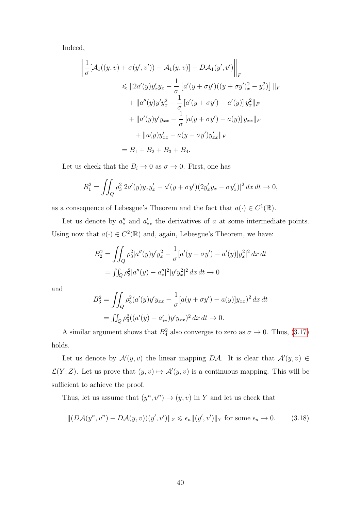Indeed,

$$
\left\| \frac{1}{\sigma} [\mathcal{A}_1((y, v) + \sigma(y', v')) - \mathcal{A}_1(y, v)] - D\mathcal{A}_1(y', v') \right\|_F
$$
  
\n
$$
\leq \| 2a'(y)y'_x y_x - \frac{1}{\sigma} [a'(y + \sigma y')((y + \sigma y')_x^2 - y_x^2)] \|_F
$$
  
\n
$$
+ \|a''(y)y'y_x^2 - \frac{1}{\sigma} [a'(y + \sigma y') - a'(y)] y_x^2 \|_F
$$
  
\n
$$
+ \|a'(y)y'y_{xx} - \frac{1}{\sigma} [a(y + \sigma y') - a(y)] y_{xx} \|_F
$$
  
\n
$$
+ \|a(y)y'_{xx} - a(y + \sigma y')y'_{xx} \|_F
$$
  
\n
$$
= B_1 + B_2 + B_3 + B_4.
$$

Let us check that the  $B_i \to 0$  as  $\sigma \to 0$ . First, one has

$$
B_1^2 = \iint_Q \rho_3^2 |2a'(y)y_x y_x' - a'(y + \sigma y')(2y_x' y_x - \sigma y_x')|^2 dx dt \to 0,
$$

as a consequence of Lebesgue's Theorem and the fact that  $a(\cdot) \in C^1(\mathbb{R})$ .

Let us denote by  $a''_*$  and  $a'_{**}$  the derivatives of a at some intermediate points. Using now that  $a(\cdot) \in C^2(\mathbb{R})$  and, again, Lebesgue's Theorem, we have:

$$
B_2^2 = \iint_Q \rho_3^2 |a''(y)y' y_x^2 - \frac{1}{\sigma} [a'(y + \sigma y') - a'(y)]y_x^2|^2 dx dt
$$
  
= 
$$
\iint_Q \rho_3^2 |a''(y) - a''_x|^2 |y'y_x^2|^2 dx dt \to 0
$$

and

<span id="page-47-0"></span>
$$
B_3^2 = \iint_Q \rho_3^2 (a'(y)y' y_{xx} - \frac{1}{\sigma} [a(y + \sigma y') - a(y)] y_{xx})^2 dx dt
$$
  
= 
$$
\iint_Q \rho_3^2 ((a'(y) - a'_{**}) y' y_{xx})^2 dx dt \to 0.
$$

A similar argument shows that  $B_4^2$  also converges to zero as  $\sigma \to 0$ . Thus, (3.[17\)](#page-46-1) holds.

Let us denote by  $\mathcal{A}'(y, v)$  the linear mapping DA. It is clear that  $\mathcal{A}'(y, v) \in$  $\mathcal{L}(Y;Z)$ . Let us prove that  $(y, v) \mapsto \mathcal{A}'(y, v)$  is a continuous mapping. This will be sufficient to achieve the proof.

Thus, let us assume that  $(y^n, v^n) \to (y, v)$  in Y and let us check that

$$
|| (D\mathcal{A}(y^n, v^n) - D\mathcal{A}(y, v))(y', v')||_Z \leq \epsilon_n ||(y', v')||_Y \text{ for some } \epsilon_n \to 0. \tag{3.18}
$$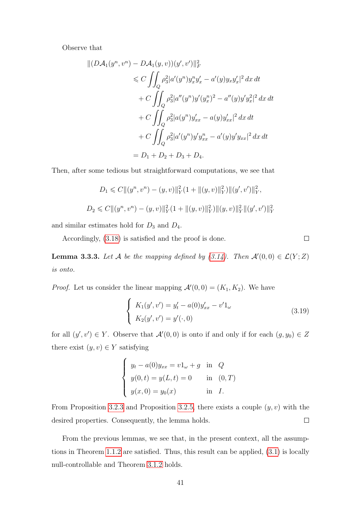Observe that

$$
||(DA_1(y^n, v^n) - DA_1(y, v))(y', v')||_F^2
$$
  
\n
$$
\leq C \iint_Q \rho_3^2 |a'(y^n) y_x^n y_x' - a'(y) y_x y_x'|^2 dx dt
$$
  
\n
$$
+ C \iint_Q \rho_3^2 |a''(y^n) y'(y_x^n)^2 - a''(y) y' y_x|^2 dx dt
$$
  
\n
$$
+ C \iint_Q \rho_3^2 |a(y^n) y_{xx}' - a(y) y_{xx}'|^2 dx dt
$$
  
\n
$$
+ C \iint_Q \rho_3^2 |a'(y^n) y' y_{xx}^n - a'(y) y' y_{xx}|^2 dx dt
$$
  
\n
$$
= D_1 + D_2 + D_3 + D_4.
$$

Then, after some tedious but straightforward computations, we see that

$$
D_1 \leq C \|(y^n, v^n) - (y, v)\|_Y^2 (1 + \|(y, v)\|_Y^2) \|(y', v')\|_Y^2,
$$
  

$$
D_2 \leq C \|(y^n, v^n) - (y, v)\|_Y^2 (1 + \|(y, v)\|_Y^2) \|(y, v)\|_Y^2 \|(y', v')\|_Y^2
$$

and similar estimates hold for  $D_3$  and  $D_4$ .

Accordingly, [\(3.18\)](#page-47-0) is satisfied and the proof is done.

 $\Box$ 

**Lemma 3.3.3.** Let A be the mapping defined by  $(3.14)$ . Then  $\mathcal{A}'(0,0) \in \mathcal{L}(Y;Z)$ is onto.

*Proof.* Let us consider the linear mapping  $\mathcal{A}'(0,0) = (K_1, K_2)$ . We have

$$
\begin{cases}\nK_1(y', v') = y_t' - a(0)y_{xx}' - v'1_{\omega} \\
K_2(y', v') = y'(\cdot, 0)\n\end{cases}
$$
\n(3.19)

for all  $(y', v') \in Y$ . Observe that  $\mathcal{A}'(0,0)$  is onto if and only if for each  $(g, y_0) \in Z$ there exist  $(y, v) \in Y$  satisfying

$$
\begin{cases}\n y_t - a(0)y_{xx} = v1_\omega + g & \text{in } Q \\
 y(0, t) = y(L, t) = 0 & \text{in } (0, T) \\
 y(x, 0) = y_0(x) & \text{in } I.\n\end{cases}
$$

From Proposition [3.2.3](#page-40-1) and Proposition [3](#page-41-2).2.5, there exists a couple  $(y, v)$  with the  $\Box$ desired properties. Consequently, the lemma holds.

From the previous lemmas, we see that, in the present context, all the assumptions in Theorem [1](#page-11-0).1.2 are satisfied. Thus, this result can be applied, (3.[1\)](#page-37-0) is locally null-controllable and Theorem [3](#page-38-0).1.2 holds.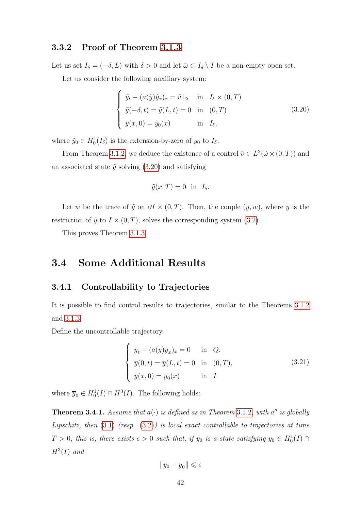#### 3.3.2 Proof of Theorem [3.1.3](#page-38-3)

Let us set  $I_{\delta} = (-\delta, L)$  with  $\delta > 0$  and let  $\tilde{\omega} \subset I_{\delta} \setminus \overline{I}$  be a non-empty open set.

Let us consider the following auxiliary system:

<span id="page-49-1"></span>
$$
\begin{cases}\n\tilde{y}_t - (a(\tilde{y})\tilde{y}_x)_x = \tilde{v}1_{\tilde{\omega}} & \text{in} \quad I_\delta \times (0,T) \\
\tilde{y}(-\delta, t) = \tilde{y}(L, t) = 0 & \text{in} \quad (0,T) \\
\tilde{y}(x, 0) = \tilde{y}_0(x) & \text{in} \quad I_\delta,\n\end{cases}
$$
\n(3.20)

where  $\tilde{y}_0 \in H_0^1(I_\delta)$  is the extension-by-zero of  $y_0$  to  $I_\delta$ .

From Theorem [3](#page-38-0).1.2, we deduce the existence of a control  $\tilde{v} \in L^2(\tilde{\omega} \times (0,T))$  and an associated state  $\tilde{y}$  solving (3.[20\)](#page-49-1) and satisfying

$$
\tilde{y}(x,T) = 0 \text{ in } I_{\delta}.
$$

Let w be the trace of  $\tilde{y}$  on  $\partial I \times (0,T)$ . Then, the couple  $(y, w)$ , where y is the restriction of  $\tilde{y}$  to  $I \times (0,T)$ , solves the corresponding system (3.[2\)](#page-37-1).

This proves Theorem [3](#page-38-3).1.3.

# <span id="page-49-0"></span>3.4 Some Additional Results

#### 3.4.1 Controllability to Trajectories

It is possible to find control results to trajectories, similar to the Theorems [3](#page-38-0).1.2 and [3](#page-38-3).1.3.

Define the uncontrollable trajectory

$$
\begin{cases}\n\overline{y}_t - (a(\overline{y})\overline{y}_x)_x = 0 & \text{in } Q, \\
\overline{y}(0,t) = \overline{y}(L,t) = 0 & \text{in } (0,T), \\
\overline{y}(x,0) = \overline{y}_0(x) & \text{in } I\n\end{cases}
$$
\n(3.21)

where  $\overline{y}_0 \in H_0^1(I) \cap H^3(I)$ . The following holds:

**Theorem [3](#page-38-0).4.1.** Assume that  $a(\cdot)$  is defined as in Theorem 3.1.2, with a'' is globally Lipschitz, then  $(3.1)$  $(3.1)$  (resp.  $(3.2)$  $(3.2)$ ) is local exact controllable to trajectories at time  $T > 0$ , this is, there exists  $\epsilon > 0$  such that, if  $y_0$  is a state satisfying  $y_0 \in H_0^1(I) \cap$  $H^3(I)$  and

$$
\|y_0-\overline{y}_0\|\leqslant \epsilon
$$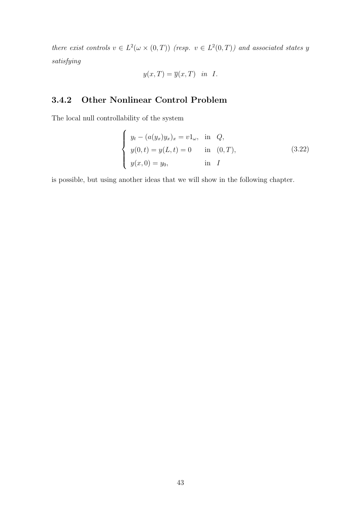there exist controls  $v \in L^2(\omega \times (0,T))$  (resp.  $v \in L^2(0,T)$ ) and associated states y satisfying

$$
y(x,T) = \overline{y}(x,T) \quad in \quad I.
$$

## 3.4.2 Other Nonlinear Control Problem

The local null controllability of the system

$$
\begin{cases}\n y_t - (a(y_x)y_x)_x = v1_\omega, & \text{in } Q, \\
 y(0,t) = y(L,t) = 0 & \text{in } (0,T), \\
 y(x,0) = y_0, & \text{in } I\n\end{cases}
$$
\n(3.22)

is possible, but using another ideas that we will show in the following chapter.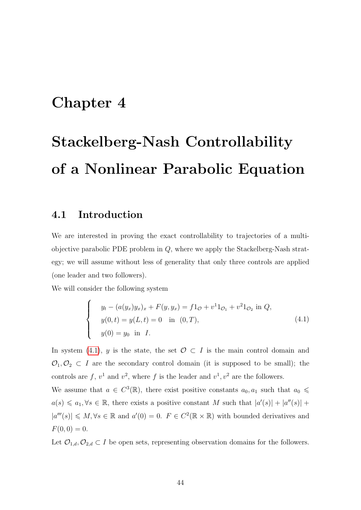# Chapter 4

# Stackelberg-Nash Controllability of a Nonlinear Parabolic Equation

#### 4.1 Introduction

We are interested in proving the exact controllability to trajectories of a multiobjective parabolic PDE problem in  $Q$ , where we apply the Stackelberg-Nash strategy; we will assume without less of generality that only three controls are applied (one leader and two followers).

We will consider the following system

<span id="page-51-0"></span>
$$
\begin{cases}\n y_t - (a(y_x)y_x)_x + F(y, y_x) = f1_{\mathcal{O}} + v^1 1_{\mathcal{O}_1} + v^2 1_{\mathcal{O}_2} \text{ in } Q, \\
 y(0, t) = y(L, t) = 0 \quad \text{in } (0, T), \\
 y(0) = y_0 \quad \text{in } I.\n\end{cases}
$$
\n(4.1)

In system [\(4](#page-51-0).1), y is the state, the set  $\mathcal{O} \subset I$  is the main control domain and  $\mathcal{O}_1, \mathcal{O}_2 \subset I$  are the secondary control domain (it is supposed to be small); the controls are f,  $v^1$  and  $v^2$ , where f is the leader and  $v^1$ ,  $v^2$  are the followers.

We assume that  $a \in C^3(\mathbb{R})$ , there exist positive constants  $a_0, a_1$  such that  $a_0 \leq$  $a(s) \leq a_1, \forall s \in \mathbb{R}$ , there exists a positive constant M such that  $|a'(s)| + |a''(s)| +$  $|a'''(s)| \leq M, \forall s \in \mathbb{R}$  and  $a'(0) = 0$ .  $F \in C^2(\mathbb{R} \times \mathbb{R})$  with bounded derivatives and  $F(0, 0) = 0.$ 

Let  $\mathcal{O}_{1,d}, \mathcal{O}_{2,d} \subset I$  be open sets, representing observation domains for the followers.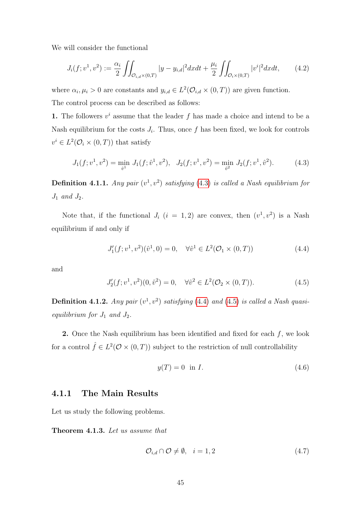We will consider the functional

$$
J_i(f; v^1, v^2) := \frac{\alpha_i}{2} \iint_{\mathcal{O}_{i,d} \times (0,T)} |y - y_{i,d}|^2 dx dt + \frac{\mu_i}{2} \iint_{\mathcal{O}_i \times (0,T)} |v^i|^2 dx dt, \tag{4.2}
$$

where  $\alpha_i, \mu_i > 0$  are constants and  $y_{i,d} \in L^2(\mathcal{O}_{i,d} \times (0,T))$  are given function. The control process can be described as follows:

1. The followers  $v^i$  assume that the leader f has made a choice and intend to be a Nash equilibrium for the costs  $J_i$ . Thus, once f has been fixed, we look for controls  $v^i \in L^2(\mathcal{O}_i \times (0,T))$  that satisfy

<span id="page-52-0"></span>
$$
J_1(f; v^1, v^2) = \min_{\hat{v}^1} J_1(f; \hat{v}^1, v^2), \quad J_2(f; v^1, v^2) = \min_{\hat{v}^2} J_2(f; v^1, \hat{v}^2). \tag{4.3}
$$

**Definition 4.1.1.** Any pair  $(v^1, v^2)$  satisfying [\(4](#page-52-0).3) is called a Nash equilibrium for  $J_1$  and  $J_2$ .

Note that, if the functional  $J_i$   $(i = 1, 2)$  are convex, then  $(v^1, v^2)$  is a Nash equilibrium if and only if

<span id="page-52-1"></span>
$$
J'_1(f; v^1, v^2)(\hat{v}^1, 0) = 0, \quad \forall \hat{v}^1 \in L^2(\mathcal{O}_1 \times (0, T))
$$
\n(4.4)

<span id="page-52-2"></span>and

$$
J_2'(f; v^1, v^2)(0, \hat{v}^2) = 0, \quad \forall \hat{v}^2 \in L^2(\mathcal{O}_2 \times (0, T)). \tag{4.5}
$$

<span id="page-52-5"></span>**Definition 4.1.2.** Any pair  $(v^1, v^2)$  satisfying (4.[4\)](#page-52-1) and [\(4](#page-52-2).5) is called a Nash quasiequilibrium for  $J_1$  and  $J_2$ .

**2.** Once the Nash equilibrium has been identified and fixed for each  $f$ , we look for a control  $\hat{f} \in L^2(\mathcal{O} \times (0,T))$  subject to the restriction of null controllability

<span id="page-52-3"></span>
$$
y(T) = 0 \quad \text{in } I. \tag{4.6}
$$

#### 4.1.1 The Main Results

Let us study the following problems.

<span id="page-52-4"></span>Theorem 4.1.3. Let us assume that

<span id="page-52-6"></span>
$$
\mathcal{O}_{i,d} \cap \mathcal{O} \neq \emptyset, \quad i = 1,2 \tag{4.7}
$$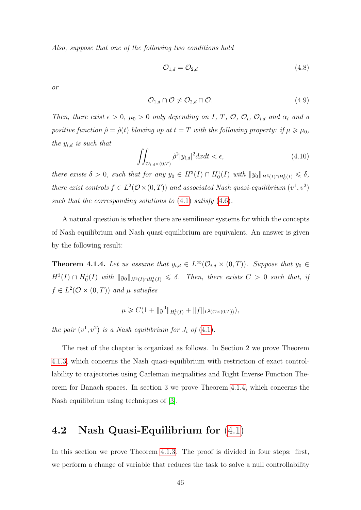Also, suppose that one of the following two conditions hold

<span id="page-53-1"></span>
$$
\mathcal{O}_{1,d} = \mathcal{O}_{2,d} \tag{4.8}
$$

<span id="page-53-2"></span>or

$$
\mathcal{O}_{1,d} \cap \mathcal{O} \neq \mathcal{O}_{2,d} \cap \mathcal{O}.\tag{4.9}
$$

Then, there exist  $\epsilon > 0$ ,  $\mu_0 > 0$  only depending on I, T, O,  $\mathcal{O}_i$ ,  $\mathcal{O}_{i,d}$  and  $\alpha_i$  and a positive function  $\hat{\rho} = \hat{\rho}(t)$  blowing up at  $t = T$  with the following property: if  $\mu \geq \mu_0$ , the  $y_{i,d}$  is such that

$$
\iint_{\mathcal{O}_{i,d}\times(0,T)} \hat{\rho}^2 |y_{i,d}|^2 dx dt < \epsilon,
$$
\n(4.10)

there exists  $\delta > 0$ , such that for any  $y_0 \in H^3(I) \cap H_0^1(I)$  with  $||y_0||_{H^3(I) \cap H_0^1(I)} \leq \delta$ , there exist controls  $f \in L^2(\mathcal{O} \times (0,T))$  and associated Nash quasi-equilibrium  $(v^1, v^2)$ such that the corresponding solutions to  $(4.1)$  $(4.1)$  satisfy  $(4.6)$ .

A natural question is whether there are semilinear systems for which the concepts of Nash equilibrium and Nash quasi-equilibrium are equivalent. An answer is given by the following result:

<span id="page-53-0"></span>**Theorem 4.1.4.** Let us assume that  $y_{i,d} \in L^{\infty}(\mathcal{O}_{i,d} \times (0,T))$ . Suppose that  $y_0 \in$  $H^3(I) \cap H_0^1(I)$  with  $||y_0||_{H^3(I) \cap H_0^1(I)} \leq \delta$ . Then, there exists  $C > 0$  such that, if  $f \in L^2(\mathcal{O} \times (0,T))$  and  $\mu$  satisfies

$$
\mu \geq C(1 + \|y^0\|_{H_0^1(I)} + \|f\|_{L^2(\mathcal{O}\times(0,T))}),
$$

the pair  $(v^1, v^2)$  is a Nash equilibrium for  $J_i$  of  $(4.1)$  $(4.1)$ .

The rest of the chapter is organized as follows. In Section 2 we prove Theorem 4.1.[3,](#page-52-4) which concerns the Nash quasi-equilibrium with restriction of exact controllability to trajectories using Carleman inequalities and Right Inverse Function Theorem for Banach spaces. In section 3 we prove Theorem [4](#page-53-0).1.4, which concerns the Nash equilibrium using techniques of [\[3\]](#page-96-2).

## 4.2 Nash Quasi-Equilibrium for [\(4](#page-51-0).1)

In this section we prove Theorem [4](#page-52-4).1.3. The proof is divided in four steps: first, we perform a change of variable that reduces the task to solve a null controllability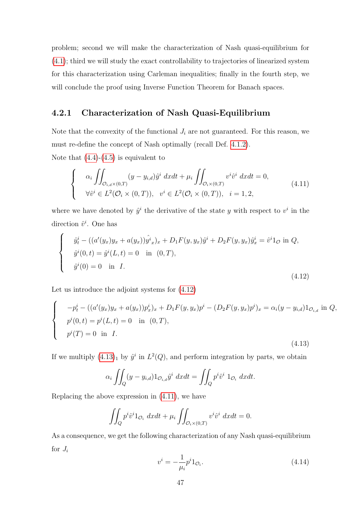problem; second we will make the characterization of Nash quasi-equilibrium for (4.[1\)](#page-51-0); third we will study the exact controllability to trajectories of linearized system for this characterization using Carleman inequalities; finally in the fourth step, we will conclude the proof using Inverse Function Theorem for Banach spaces.

## 4.2.1 Characterization of Nash Quasi-Equilibrium

Note that the convexity of the functional  $J_i$  are not guaranteed. For this reason, we must re-define the concept of Nash optimally (recall Def. [4](#page-52-5).1.2).

Note that  $(4.4)-(4.5)$  $(4.4)-(4.5)$  is equivalent to

<span id="page-54-2"></span>
$$
\begin{cases}\n\alpha_i \iint_{\mathcal{O}_{i,d}\times(0,T)} (y-y_{i,d})\hat{y}^i dxdt + \mu_i \iint_{\mathcal{O}_i\times(0,T)} v^i \hat{v}^i dxdt = 0, \\
\forall \hat{v}^i \in L^2(\mathcal{O}_i\times(0,T)), \quad v^i \in L^2(\mathcal{O}_i\times(0,T)), \quad i=1,2,\n\end{cases} \tag{4.11}
$$

where we have denoted by  $\hat{y}^i$  the derivative of the state y with respect to  $v^i$  in the direction  $\hat{v}^i$ . One has

<span id="page-54-0"></span>
$$
\begin{cases}\n\hat{y}_t^i - ((a'(y_x)y_x + a(y_x))\hat{y}_x^i)_x + D_1F(y, y_x)\hat{y}^i + D_2F(y, y_x)\hat{y}^i_x = \hat{v}^i1_{\mathcal{O}} \text{ in } Q, \\
\hat{y}^i(0, t) = \hat{y}^i(L, t) = 0 \quad \text{in } (0, T), \\
\hat{y}^i(0) = 0 \quad \text{in } I.\n\end{cases}
$$
\n(4.12)

Let us introduce the adjoint systems for (4.[12\)](#page-54-0)

$$
\begin{cases}\n-p_t^i - ((a'(y_x)y_x + a(y_x))p_x^i)_x + D_1F(y, y_x)p^i - (D_2F(y, y_x)p^i)_x = \alpha_i(y - y_{i,d})1_{\mathcal{O}_{i,d}} \text{ in } Q, \\
p^i(0, t) = p^i(L, t) = 0 \quad \text{in } (0, T), \\
p^i(T) = 0 \quad \text{in } I.\n\end{cases}
$$
\n(4.13)

If we multiply  $(4.13)<sub>1</sub>$  $(4.13)<sub>1</sub>$  $(4.13)<sub>1</sub>$  by  $\hat{y}^i$  in  $L^2(Q)$ , and perform integration by parts, we obtain

<span id="page-54-1"></span>
$$
\alpha_i \iint_Q (y - y_{i,d}) 1_{\mathcal{O}_{i,d}} \hat{y}^i \, dx dt = \iint_Q p^i \hat{v}^i \, 1_{\mathcal{O}_i} \, dx dt.
$$

Replacing the above expression in (4.[11\)](#page-54-2), we have

$$
\iint_Q p^i \hat{v}^i 1_{\mathcal{O}_i} dx dt + \mu_i \iint_{\mathcal{O}_i \times (0,T)} v^i \hat{v}^i dx dt = 0.
$$

As a consequence, we get the following characterization of any Nash quasi-equilibrium for  $J_i$ 

$$
v^i = -\frac{1}{\mu_i} p^i 1_{\mathcal{O}_i}.\tag{4.14}
$$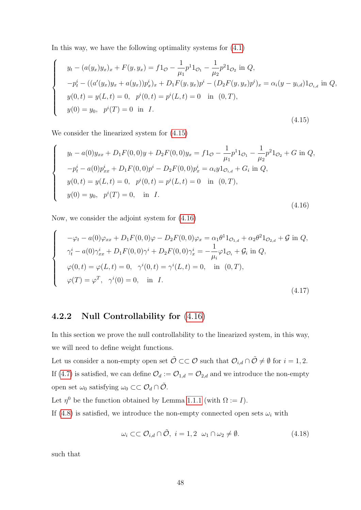In this way, we have the following optimality systems for [\(4](#page-51-0).1)

<span id="page-55-0"></span>
$$
y_t - (a(y_x)y_x)_x + F(y, y_x) = f1_{\mathcal{O}} - \frac{1}{\mu_1} p^1 1_{\mathcal{O}_1} - \frac{1}{\mu_2} p^2 1_{\mathcal{O}_2} \text{ in } Q,
$$
  
\n
$$
-p_t^i - ((a'(y_x)y_x + a(y_x))p_x^i)_x + D_1 F(y, y_x)p^i - (D_2 F(y, y_x)p^i)_x = \alpha_i (y - y_{i,d}) 1_{\mathcal{O}_{i,d}} \text{ in } Q,
$$
  
\n
$$
y(0, t) = y(L, t) = 0, \quad p^i(0, t) = p^i(L, t) = 0 \text{ in } (0, T),
$$
  
\n
$$
y(0) = y_0, \quad p^i(T) = 0 \text{ in } I.
$$
  
\n(4.15)

We consider the linearized system for (4.[15\)](#page-55-0)

 $\sqrt{ }$ 

 $\begin{array}{c} \end{array}$ 

 $\begin{array}{c} \end{array}$ 

 $\sqrt{ }$ 

 $\begin{array}{c} \end{array}$ 

 $\begin{array}{c} \end{array}$ 

 $\sqrt{ }$ 

 $\begin{array}{c} \end{array}$ 

 $\begin{array}{c} \end{array}$ 

<span id="page-55-1"></span>
$$
y_t - a(0)y_{xx} + D_1F(0,0)y + D_2F(0,0)y_x = f1_{\mathcal{O}} - \frac{1}{\mu_1}p^11_{\mathcal{O}_1} - \frac{1}{\mu_2}p^21_{\mathcal{O}_2} + G \text{ in } Q,
$$
  
\n
$$
-p_t^i - a(0)p_{xx}^i + D_1F(0,0)p^i - D_2F(0,0)p_x^i = \alpha_i y1_{\mathcal{O}_{i,d}} + G_i \text{ in } Q,
$$
  
\n
$$
y(0,t) = y(L,t) = 0, \quad p^i(0,t) = p^i(L,t) = 0 \text{ in } (0,T),
$$
  
\n
$$
y(0) = y_0, \quad p^i(T) = 0, \text{ in } I.
$$
  
\n(4.16)

Now, we consider the adjoint system for (4.[16\)](#page-55-1)

<span id="page-55-3"></span>
$$
-\varphi_t - a(0)\varphi_{xx} + D_1F(0,0)\varphi - D_2F(0,0)\varphi_x = \alpha_1\theta^1 1_{\mathcal{O}_{1,d}} + \alpha_2\theta^2 1_{\mathcal{O}_{2,d}} + \mathcal{G} \text{ in } Q,
$$
  
\n
$$
\gamma_t^i - a(0)\gamma_{xx}^i + D_1F(0,0)\gamma^i + D_2F(0,0)\gamma_x^i = -\frac{1}{\mu_i}\varphi 1_{\mathcal{O}_i} + \mathcal{G}_i \text{ in } Q,
$$
  
\n
$$
\varphi(0,t) = \varphi(L,t) = 0, \quad \gamma^i(0,t) = \gamma^i(L,t) = 0, \quad \text{in } (0,T),
$$
  
\n
$$
\varphi(T) = \varphi^T, \quad \gamma^i(0) = 0, \quad \text{in } I.
$$
  
\n(4.17)

## 4.2.2 Null Controllability for (4.[16\)](#page-55-1)

In this section we prove the null controllability to the linearized system, in this way, we will need to define weight functions.

Let us consider a non-empty open set  $\tilde{\mathcal{O}} \subset\subset \mathcal{O}$  such that  $\mathcal{O}_{i,d} \cap \tilde{\mathcal{O}} \neq \emptyset$  for  $i = 1,2$ . If (4.[7\)](#page-52-6) is satisfied, we can define  $\mathcal{O}_d := \mathcal{O}_{1,d} = \mathcal{O}_{2,d}$  and we introduce the non-empty open set  $\omega_0$  satisfying  $\omega_0 \subset\subset \mathcal{O}_d\cap \tilde{\mathcal{O}}$ .

Let  $\eta^0$  be the function obtained by Lemma [1.1.1](#page-11-2) (with  $\Omega := I$ ).

If [\(4](#page-53-1).8) is satisfied, we introduce the non-empty connected open sets  $\omega_i$  with

<span id="page-55-2"></span>
$$
\omega_i \subset\subset \mathcal{O}_{i,d} \cap \tilde{\mathcal{O}}, \ i = 1,2 \ \omega_1 \cap \omega_2 \neq \emptyset. \tag{4.18}
$$

such that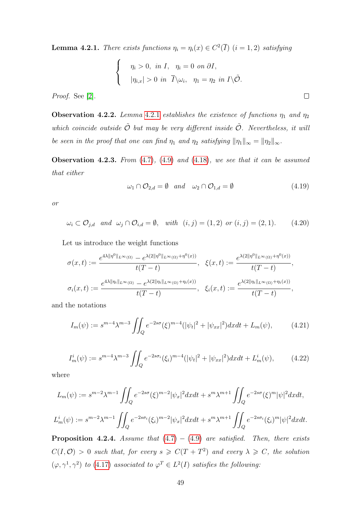<span id="page-56-0"></span>**Lemma 4.2.1.** There exists functions  $\eta_i = \eta_i(x) \in C^2(\overline{I})$   $(i = 1, 2)$  satisfying

$$
\begin{cases}\n\eta_i > 0, \text{ in } I, \quad \eta_i = 0 \text{ on } \partial I, \\
|\eta_{i,x}| > 0 \text{ in } \overline{I} \setminus \omega_i, \quad \eta_1 = \eta_2 \text{ in } I \setminus \tilde{\mathcal{O}}.\n\end{cases}
$$

Proof. See [\[2\]](#page-96-3).

**Observation [4](#page-56-0).2.2.** Lemma 4.2.1 establishes the existence of functions  $\eta_1$  and  $\eta_2$ which coincide outside  $\tilde{\mathcal{O}}$  but may be very different inside  $\tilde{\mathcal{O}}$ . Nevertheless, it will be seen in the proof that one can find  $\eta_1$  and  $\eta_2$  satisfying  $\|\eta_1\|_{\infty} = \|\eta_2\|_{\infty}$ .

<span id="page-56-1"></span>**Observation 4.2.3.** From  $(4.7)$  $(4.7)$ ,  $(4.9)$  and  $(4.18)$  $(4.18)$ , we see that it can be assumed that either

$$
\omega_1 \cap \mathcal{O}_{2,d} = \emptyset \quad and \quad \omega_2 \cap \mathcal{O}_{1,d} = \emptyset \tag{4.19}
$$

 $\Box$ 

<span id="page-56-2"></span>or

$$
\omega_i \subset \mathcal{O}_{j,d} \quad and \quad \omega_j \cap \mathcal{O}_{i,d} = \emptyset, \quad with \quad (i,j) = (1,2) \quad or \quad (i,j) = (2,1). \tag{4.20}
$$

Let us introduce the weight functions

$$
\sigma(x,t) := \frac{e^{4\lambda \|\eta^0\|_{L^{\infty}(\Omega)}} - e^{\lambda(2\|\eta^0\|_{L^{\infty}(\Omega)} + \eta^0(x))}}{t(T-t)}, \quad \xi(x,t) := \frac{e^{\lambda(2\|\eta^0\|_{L^{\infty}(\Omega)} + \eta^0(x))}}{t(T-t)},
$$

$$
\sigma_i(x,t) := \frac{e^{4\lambda \|\eta_i\|_{L^{\infty}(\Omega)}} - e^{\lambda(2\|\eta_i\|_{L^{\infty}(\Omega)} + \eta_i(x))}}{t(T-t)}, \quad \xi_i(x,t) := \frac{e^{\lambda(2\|\eta_i\|_{L^{\infty}(\Omega)} + \eta_i(x))}}{t(T-t)},
$$

and the notations

<span id="page-56-3"></span>
$$
I_m(\psi) := s^{m-4} \lambda^{m-3} \iint_Q e^{-2s\sigma} (\xi)^{m-4} (|\psi_t|^2 + |\psi_{xx}|^2) dx dt + L_m(\psi), \tag{4.21}
$$

$$
I_m^i(\psi) := s^{m-4} \lambda^{m-3} \iint_Q e^{-2s\sigma_i} (\xi_i)^{m-4} (|\psi_t|^2 + |\psi_{xx}|^2) dx dt + L_m^i(\psi), \tag{4.22}
$$

where

$$
L_m(\psi) := s^{m-2} \lambda^{m-1} \iint_Q e^{-2s\sigma} (\xi)^{m-2} |\psi_x|^2 dx dt + s^m \lambda^{m+1} \iint_Q e^{-2s\sigma} (\xi)^m |\psi|^2 dx dt,
$$
  

$$
L_m^i(\psi) := s^{m-2} \lambda^{m-1} \iint_Q e^{-2s\sigma_i} (\xi_i)^{m-2} |\psi_x|^2 dx dt + s^m \lambda^{m+1} \iint_Q e^{-2s\sigma_i} (\xi_i)^m |\psi|^2 dx dt.
$$

<span id="page-56-4"></span>**Proposition 4.2.4.** Assume that  $(4.7) - (4.9)$  $(4.7) - (4.9)$  $(4.7) - (4.9)$  $(4.7) - (4.9)$  are satisfied. Then, there exists  $C(I, \mathcal{O}) > 0$  such that, for every  $s \geq C(T + T^2)$  and every  $\lambda \geq C$ , the solution  $(\varphi, \gamma^1, \gamma^2)$  to (4.[17\)](#page-55-3) associated to  $\varphi^T \in L^2(I)$  satisfies the following: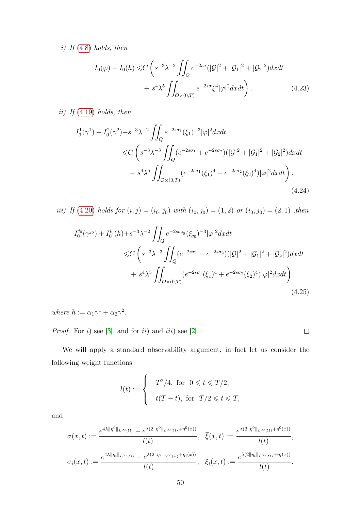i) If [\(4](#page-53-1).8) holds, then

$$
I_0(\varphi) + I_0(h) \leq C \left( s^{-3} \lambda^{-2} \iint_Q e^{-2s\sigma} (|\mathcal{G}|^2 + |\mathcal{G}_1|^2 + |\mathcal{G}_2|^2) dx dt + s^4 \lambda^5 \iint_{\mathcal{O} \times (0,T)} e^{-2s\sigma} \xi^4 |\varphi|^2 dx dt \right).
$$
 (4.23)

ii) If  $(4.19)$  $(4.19)$  holds, then

$$
I_0^1(\gamma^1) + I_0^2(\gamma^2) + s^{-3}\lambda^{-2} \iint_Q e^{-2s\sigma_1}(\xi_1)^{-3} |\varphi|^2 dx dt
$$
  
\$\leq C \left( s^{-3}\lambda^{-3} \iint\_Q (e^{-2s\sigma\_1} + e^{-2s\sigma\_2}) (|\mathcal{G}|^2 + |\mathcal{G}\_1|^2 + |\mathcal{G}\_2|^2) dx dt\$  
 
$$
+ s^4 \lambda^5 \iint_{\mathcal{O}\times(0,T)} (e^{-2s\sigma_1}(\xi_1)^4 + e^{-2s\sigma_2}(\xi_2)^4) |\varphi|^2 dx dt \right). \tag{4.24}
$$

iii) If (4.[20\)](#page-56-2) holds for  $(i, j) = (i_0, j_0)$  with  $(i_0, j_0) = (1, 2)$  or  $(i_0, j_0) = (2, 1)$ , then

$$
I_0^{j_0}(\gamma^{j_0}) + I_0^{i_0}(h) + s^{-3} \lambda^{-2} \iint_Q e^{-2s\sigma_{j_0}}(\xi_{j_0})^{-3} |\varphi|^2 dx dt
$$
  

$$
\leq C \left( s^{-3} \lambda^{-3} \iint_Q (e^{-2s\sigma_1} + e^{-2s\sigma_2}) (|\mathcal{G}|^2 + |\mathcal{G}_1|^2 + |\mathcal{G}_2|^2) dx dt
$$

$$
+ s^4 \lambda^5 \iint_{\mathcal{O} \times (0,T)} (e^{-2s\sigma_1}(\xi_1)^4 + e^{-2s\sigma_2}(\xi_2)^4) |\varphi|^2 dx dt \right). \tag{4.25}
$$

 $\Box$ 

where  $h := \alpha_1 \gamma^1 + \alpha_2 \gamma^2$ .

*Proof.* For i) see [\[3\]](#page-96-2), and for ii) and iii) see [\[2\]](#page-96-3).

We will apply a standard observability argument, in fact let us consider the following weight functions

$$
l(t) := \begin{cases} T^2/4, & \text{for } 0 \leq t \leq T/2, \\ t(T-t), & \text{for } T/2 \leq t \leq T, \end{cases}
$$

and

$$
\overline{\sigma}(x,t) := \frac{e^{4\lambda \|\eta^0\|_{L^{\infty}(\Omega)}} - e^{\lambda(2\|\eta^0\|_{L^{\infty}(\Omega)} + \eta^0(x))}}{l(t)}, \quad \overline{\xi}(x,t) := \frac{e^{\lambda(2\|\eta^0\|_{L^{\infty}(\Omega)} + \eta^0(x))}}{l(t)},
$$

$$
\overline{\sigma}_i(x,t) := \frac{e^{4\lambda \|\eta_i\|_{L^{\infty}(\Omega)}} - e^{\lambda(2\|\eta_i\|_{L^{\infty}(\Omega)} + \eta_i(x))}}{l(t)}, \quad \overline{\xi}_i(x,t) := \frac{e^{\lambda(2\|\eta_i\|_{L^{\infty}(\Omega)} + \eta_i(x))}}{l(t)}.
$$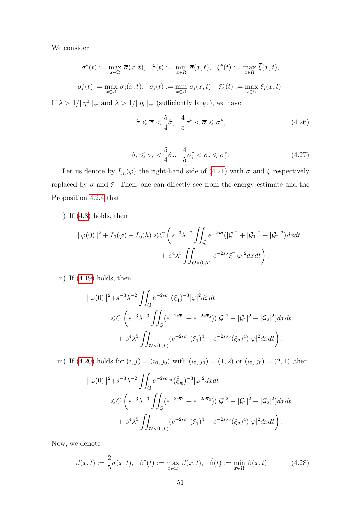We consider

$$
\sigma^*(t) := \max_{x \in \Omega} \overline{\sigma}(x, t), \quad \hat{\sigma}(t) := \min_{x \in \Omega} \overline{\sigma}(x, t), \quad \xi^*(t) := \max_{x \in \Omega} \overline{\xi}(x, t),
$$
  

$$
\sigma_i^*(t) := \max_{x \in \Omega} \overline{\sigma}_i(x, t), \quad \hat{\sigma}_i(t) := \min_{x \in \Omega} \overline{\sigma}_i(x, t), \quad \xi_i^*(t) := \max_{x \in \Omega} \overline{\xi}_i(x, t).
$$

If  $\lambda > 1/\|\eta^0\|_{\infty}$  and  $\lambda > 1/\|\eta_i\|_{\infty}$  (sufficiently large), we have

<span id="page-58-0"></span>
$$
\hat{\sigma} \leq \overline{\sigma} < \frac{5}{4}\hat{\sigma}, \quad \frac{4}{5}\sigma^* < \overline{\sigma} \leq \sigma^*,\tag{4.26}
$$

$$
\hat{\sigma}_i \leq \overline{\sigma}_i < \frac{5}{4}\hat{\sigma}_i, \quad \frac{4}{5}\sigma_i^* < \overline{\sigma}_i \leq \sigma_i^*.\tag{4.27}
$$

Let us denote by  $\overline{I}_m(\varphi)$  the right-hand side of (4.[21\)](#page-56-3) with  $\sigma$  and  $\xi$  respectively replaced by  $\bar{\sigma}$  and  $\bar{\xi}$ . Then, one can directly see from the energy estimate and the Proposition [4](#page-56-4).2.4 that

i) If (4.[8\)](#page-53-1) holds, then

$$
\|\varphi(0)\|^2 + \overline{I}_0(\varphi) + \overline{I}_0(h) \le C \left( s^{-3} \lambda^{-2} \iint_Q e^{-2s\overline{\sigma}} (|\mathcal{G}|^2 + |\mathcal{G}_1|^2 + |\mathcal{G}_2|^2) dx dt + s^4 \lambda^5 \iint_{\mathcal{O}\times(0,T)} e^{-2s\overline{\sigma}} \overline{\xi}^4 |\varphi|^2 dx dt \right).
$$

ii) If (4.[19\)](#page-56-1) holds, then

$$
\|\varphi(0)\|^2 + s^{-3}\lambda^{-2} \iint_Q e^{-2s\overline{\sigma}_1}(\overline{\xi}_1)^{-3} |\varphi|^2 dxdt
$$
  
\$\leq C \left( s^{-3}\lambda^{-3} \iint\_Q (e^{-2s\overline{\sigma}\_1} + e^{-2s\overline{\sigma}\_2}) (|\mathcal{G}|^2 + |\mathcal{G}\_1|^2 + |\mathcal{G}\_2|^2) dxdt\$  
\$+ s^4\lambda^5 \iint\_{\mathcal{O}\times(0,T)} (e^{-2s\overline{\sigma}\_1}(\overline{\xi}\_1)^4 + e^{-2s\overline{\sigma}\_2}(\overline{\xi}\_2)^4) |\varphi|^2 dxdt \right)\$.

iii) If (4.[20\)](#page-56-2) holds for  $(i, j) = (i_0, j_0)$  with  $(i_0, j_0) = (1, 2)$  or  $(i_0, j_0) = (2, 1)$ , then

$$
\|\varphi(0)\|^2 + s^{-3}\lambda^{-2} \iint_Q e^{-2s\overline{\sigma}_{j_0}} (\tilde{\xi}_{j_0})^{-3} |\varphi|^2 dx dt
$$
  
\$\leq C \left( s^{-3}\lambda^{-3} \iint\_Q (e^{-2s\overline{\sigma}\_1} + e^{-2s\overline{\sigma}\_2}) (|\mathcal{G}|^2 + |\mathcal{G}\_1|^2 + |\mathcal{G}\_2|^2) dx dt \$  
+ s^4 \lambda^5 \iint\_{\mathcal{O}\times(0,T)} (e^{-2s\overline{\sigma}\_1} (\overline{\xi}\_1)^4 + e^{-2s\overline{\sigma}\_2} (\overline{\xi}\_2)^4) |\varphi|^2 dx dt \right).

Now, we denote

$$
\beta(x,t) := \frac{2}{5}\overline{\sigma}(x,t), \quad \beta^*(t) := \max_{x \in \Omega} \beta(x,t), \quad \hat{\beta}(t) := \min_{x \in \Omega} \beta(x,t) \tag{4.28}
$$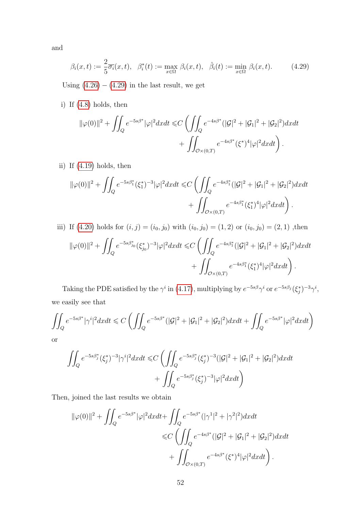<span id="page-59-0"></span>and

$$
\beta_i(x,t) := \frac{2}{5}\overline{\sigma_i}(x,t), \quad \beta_i^*(t) := \max_{x \in \Omega} \beta_i(x,t), \quad \hat{\beta}_i(t) := \min_{x \in \Omega} \beta_i(x,t). \tag{4.29}
$$

Using  $(4.26) - (4.29)$  $(4.26) - (4.29)$  $(4.26) - (4.29)$  $(4.26) - (4.29)$  in the last result, we get

i) If (4.[8\)](#page-53-1) holds, then

$$
\|\varphi(0)\|^2 + \iint_Q e^{-5s\beta^*} |\varphi|^2 dxdt \leq C \left( \iint_Q e^{-4s\beta^*} (|\mathcal{G}|^2 + |\mathcal{G}_1|^2 + |\mathcal{G}_2|^2) dxdt + \iint_{\mathcal{O} \times (0,T)} e^{-4s\beta^*} (\xi^*)^4 |\varphi|^2 dxdt \right).
$$

ii) If (4.[19\)](#page-56-1) holds, then

$$
\|\varphi(0)\|^2 + \iint_Q e^{-5s\beta_1^*} (\xi_1^*)^{-3} |\varphi|^2 dx dt \leq C \left( \iint_Q e^{-4s\beta_1^*} (|\mathcal{G}|^2 + |\mathcal{G}_1|^2 + |\mathcal{G}_2|^2) dx dt + \iint_{\mathcal{O}\times(0,T)} e^{-4s\beta_1^*} (\xi_1^*)^4 |\varphi|^2 dx dt \right).
$$

iii) If (4.20) holds for 
$$
(i, j) = (i_0, j_0)
$$
 with  $(i_0, j_0) = (1, 2)$  or  $(i_0, j_0) = (2, 1)$ , then  
\n
$$
\|\varphi(0)\|^2 + \iint_Q e^{-5s\beta_{j_0}^*} (\xi_{j_0}^*)^{-3} |\varphi|^2 dx dt \leq C \left( \iint_Q e^{-4s\beta_1^*} (|\mathcal{G}|^2 + |\mathcal{G}_1|^2 + |\mathcal{G}_2|^2) dx dt + \iint_{\mathcal{O} \times (0,T)} e^{-4s\beta_1^*} (\xi_1^*)^4 |\varphi|^2 dx dt \right).
$$

Taking the PDE satisfied by the  $\gamma^i$  in (4.[17\)](#page-55-3), multiplying by  $e^{-5s\beta}\gamma^i$  or  $e^{-5s\beta_j}(\xi_j^*)^{-3}\gamma^i$ , we easily see that

$$
\iint_{Q} e^{-5s\beta^*} |\gamma^i|^2 dxdt \leq C \left( \iint_{Q} e^{-5s\beta^*} (|\mathcal{G}|^2 + |\mathcal{G}_1|^2 + |\mathcal{G}_2|^2) dxdt + \iint_{Q} e^{-5s\beta^*} |\varphi|^2 dxdt \right)
$$
 or

$$
\iint_{Q} e^{-5s\beta_j^*} (\xi_j^*)^{-3} |\gamma^i|^2 dxdt \leq C \left( \iint_{Q} e^{-5s\beta_j^*} (\xi_j^*)^{-3} (|\mathcal{G}|^2 + |\mathcal{G}_1|^2 + |\mathcal{G}_2|^2) dxdt + \iint_{Q} e^{-5s\beta_j^*} (\xi_j^*)^{-3} |\varphi|^2 dxdt \right)
$$

Then, joined the last results we obtain

$$
\|\varphi(0)\|^2 + \iint_Q e^{-5s\beta^*} |\varphi|^2 dxdt + \iint_Q e^{-5s\beta^*} (|\gamma^1|^2 + |\gamma^2|^2) dxdt
$$
  

$$
\leq C \left( \iint_Q e^{-4s\beta^*} (|\mathcal{G}|^2 + |\mathcal{G}_1|^2 + |\mathcal{G}_2|^2) dxdt + \iint_{\mathcal{O}\times(0,T)} e^{-4s\beta^*} (\xi^*)^4 |\varphi|^2 dxdt \right).
$$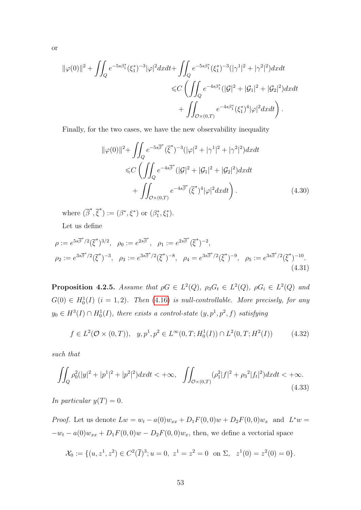$$
\|\varphi(0)\|^2 + \iint_Q e^{-5s\beta_1^*} (\xi_1^*)^{-3} |\varphi|^2 dx dt + \iint_Q e^{-5s\beta_1^*} (\xi_1^*)^{-3} (|\gamma^1|^2 + |\gamma^2|^2) dx dt
$$
  

$$
\leq C \left( \iint_Q e^{-4s\beta_1^*} (|\mathcal{G}|^2 + |\mathcal{G}_1|^2 + |\mathcal{G}_2|^2) dx dt + \iint_{\mathcal{O} \times (0,T)} e^{-4s\beta_1^*} (\xi_1^*)^4 |\varphi|^2 dx dt \right).
$$

Finally, for the two cases, we have the new observability inequality

$$
\|\varphi(0)\|^2 + \iint_Q e^{-5s\overline{\beta}^*} (\overline{\xi}^*)^{-3} (|\varphi|^2 + |\gamma^1|^2 + |\gamma^2|^2) dx dt
$$
  
\$\leq C \left( \iint\_Q e^{-4s\overline{\beta}^\*} (|\mathcal{G}|^2 + |\mathcal{G}\_1|^2 + |\mathcal{G}\_2|^2) dx dt\$  
+ \iint\_{\mathcal{O}\times(0,T)} e^{-4s\overline{\beta}^\*} (\overline{\xi}^\*)^4 |\varphi|^2 dx dt \right). \tag{4.30}

<span id="page-60-0"></span>where  $(\overline{\beta}^*, \overline{\xi}^*) := (\beta^*, \xi^*)$  or  $(\beta_1^*, \xi_1^*)$ .

Let us define

$$
\rho := e^{5s\overline{\beta}^*/2}(\overline{\xi}^*)^{3/2}, \quad \rho_0 := e^{2s\overline{\beta}^*}, \quad \rho_1 := e^{2s\overline{\beta}^*}(\overline{\xi}^*)^{-2},
$$
  
\n
$$
\rho_2 := e^{3s\overline{\beta}^*/2}(\overline{\xi}^*)^{-3}, \quad \rho_3 := e^{3s\overline{\beta}^*/2}(\overline{\xi}^*)^{-8}, \quad \rho_4 = e^{3s\overline{\beta}^*/2}(\overline{\xi}^*)^{-9}, \quad \rho_5 := e^{3s\overline{\beta}^*/2}(\overline{\xi}^*)^{-10}.
$$
\n(4.31)

<span id="page-60-1"></span>**Proposition 4.2.5.** Assume that  $\rho G \in L^2(Q)$ ,  $\rho_3 G_t \in L^2(Q)$ ,  $\rho G_i \in L^2(Q)$  and  $G(0) \in H_0^1(I)$   $(i = 1, 2)$ . Then (4.[16\)](#page-55-1) is null-controllable. More precisely, for any  $y_0 \in H^3(I) \cap H_0^1(I)$ , there exists a control-state  $(y, p<sup>1</sup>, p<sup>2</sup>, f)$  satisfying

<span id="page-60-2"></span>
$$
f \in L^{2}(\mathcal{O} \times (0,T)), \quad y, p^{1}, p^{2} \in L^{\infty}(0,T; H_{0}^{1}(I)) \cap L^{2}(0,T; H^{2}(I)) \tag{4.32}
$$

such that

$$
\iint_{Q} \rho_0^2 (|y|^2 + |p^1|^2 + |p^2|^2) dx dt < +\infty, \quad \iint_{\mathcal{O}\times(0,T)} (\rho_1^2 |f|^2 + \rho_3^2 |f_t|^2) dx dt < +\infty.
$$
\n(4.33)

In particular  $y(T) = 0$ .

*Proof.* Let us denote  $Lw = w_t - a(0)w_{xx} + D_1F(0,0)w + D_2F(0,0)w_x$  and  $L^*w =$  $-w_t - a(0)w_{xx} + D_1F(0,0)w - D_2F(0,0)w_x$ , then, we define a vectorial space

$$
\mathcal{X}_0 := \{ (u, z^1, z^2) \in C^2(\overline{I})^3; u = 0, z^1 = z^2 = 0 \text{ on } \Sigma, z^1(0) = z^2(0) = 0 \}.
$$

or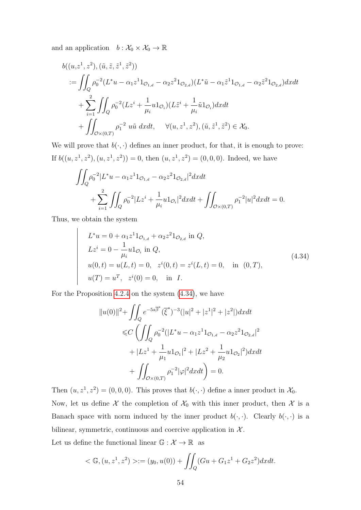and an application  $b: \mathcal{X}_0 \times \mathcal{X}_0 \to \mathbb{R}$ 

$$
b((u,z^1,z^2),(\tilde{u},\tilde{z},\tilde{z}^1,\tilde{z}^2))
$$
  
\n
$$
:= \iint_Q \rho_0^{-2} (L^*u - \alpha_1 z^1 1_{\mathcal{O}_{1,d}} - \alpha_2 z^2 1_{\mathcal{O}_{2,d}}) (L^* \tilde{u} - \alpha_1 \tilde{z}^1 1_{\mathcal{O}_{1,d}} - \alpha_2 \tilde{z}^2 1_{\mathcal{O}_{2,d}}) dxdt
$$
  
\n
$$
+ \sum_{i=1}^2 \iint_Q \rho_0^{-2} (L z^i + \frac{1}{\mu_i} u 1_{\mathcal{O}_i}) (L \tilde{z}^i + \frac{1}{\mu_i} \tilde{u} 1_{\mathcal{O}_i}) dxdt
$$
  
\n
$$
+ \iint_{\mathcal{O} \times (0,T)} \rho_1^{-2} u \tilde{u} dxdt, \quad \forall (u, z^1, z^2), (\tilde{u}, \tilde{z}^1, \tilde{z}^2) \in \mathcal{X}_0.
$$

We will prove that  $b(\cdot, \cdot)$  defines an inner product, for that, it is enough to prove: If  $b((u, z^1, z^2), (u, z^1, z^2)) = 0$ , then  $(u, z^1, z^2) = (0, 0, 0)$ . Indeed, we have

$$
\iint_{Q} \rho_0^{-2} |L^* u - \alpha_1 z^1 1_{\mathcal{O}_{1,d}} - \alpha_2 z^2 1_{\mathcal{O}_{2,d}}|^2 dx dt + \sum_{i=1}^2 \iint_Q \rho_0^{-2} |L z^i + \frac{1}{\mu_i} u 1_{\mathcal{O}_i}|^2 dx dt + \iint_{\mathcal{O} \times (0,T)} \rho_1^{-2} |u|^2 dx dt = 0.
$$

Thus, we obtain the system

 $\bigg\}$  $\bigg\}$  $\bigg\}$  $\Big\}$  $\bigg\}$  $\bigg\}$  $\bigg\}$  $\bigg\}$  $\bigg\}$  $\bigg\}$  $\Big\}$  $\bigg\}$  $\begin{array}{c} \hline \end{array}$ 

<span id="page-61-0"></span>
$$
L^*u = 0 + \alpha_1 z^1 1_{\mathcal{O}_{1,d}} + \alpha_2 z^2 1_{\mathcal{O}_{2,d}} \text{ in } Q,
$$
  
\n
$$
Lz^i = 0 - \frac{1}{\mu_i} u 1_{\mathcal{O}_i} \text{ in } Q,
$$
  
\n
$$
u(0,t) = u(L,t) = 0, \quad z^i(0,t) = z^i(L,t) = 0, \quad \text{in } (0,T),
$$
  
\n
$$
u(T) = u^T, \quad z^i(0) = 0, \quad \text{in } I.
$$
\n(4.34)

For the Proposition [4](#page-56-4).2.4 on the system (4.[34\)](#page-61-0), we have

$$
||u(0)||^2 + \iint_Q e^{-5s\overline{\beta}^*} (\overline{\xi}^*)^{-3} (|u|^2 + |z^1|^2 + |z^2|) dx dt
$$
  
\n
$$
\leq C \left( \iint_Q \rho_0^{-2} (|L^*u - \alpha_1 z^1 1_{\mathcal{O}_{1,d}} - \alpha_2 z^2 1_{\mathcal{O}_{2,d}}|^2 + |Lz^1 + \frac{1}{\mu_1} u 1_{\mathcal{O}_1}|^2 + |Lz^2 + \frac{1}{\mu_2} u 1_{\mathcal{O}_2}|^2) dx dt + \iint_{\mathcal{O} \times (0,T)} \rho_1^{-2} |\varphi|^2 dx dt \right) = 0.
$$

Then  $(u, z^1, z^2) = (0, 0, 0)$ . This proves that  $b(\cdot, \cdot)$  define a inner product in  $\mathcal{X}_0$ . Now, let us define  $\mathcal X$  the completion of  $\mathcal X_0$  with this inner product, then  $\mathcal X$  is a Banach space with norm induced by the inner product  $b(\cdot, \cdot)$ . Clearly  $b(\cdot, \cdot)$  is a bilinear, symmetric, continuous and coercive application in  $X$ .

Let us define the functional linear  $\mathbb{G}:\mathcal{X}\rightarrow\mathbb{R}$  as

$$
<\mathbb{G}, (u, z^1, z^2) > := (y_0, u(0)) + \iint_Q (Gu + G_1 z^1 + G_2 z^2) dx dt.
$$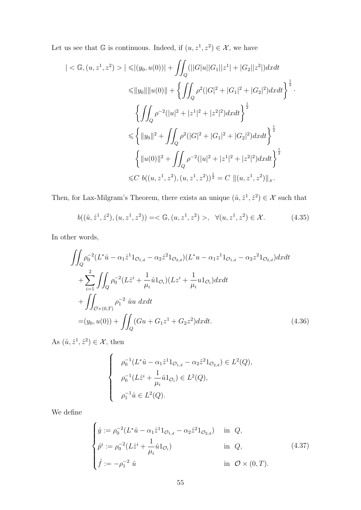Let us see that G is continuous. Indeed, if  $(u, z^1, z^2) \in \mathcal{X}$ , we have

$$
| \langle \mathbb{G}, (u, z^1, z^2) \rangle | \le |(y_0, u(0))| + \iint_Q (||G|u||G_1||z^1| + |G_2||z^2|) dx dt
$$
  
\n
$$
\le ||y_0|| ||u(0)|| + \left\{ \iint_Q \rho^2 (|G|^2 + |G_1|^2 + |G_2|^2) dx dt \right\}^{\frac{1}{2}}.
$$
  
\n
$$
\left\{ \iint_Q \rho^{-2} (|u|^2 + |z^1|^2 + |z^2|^2) dx dt \right\}^{\frac{1}{2}}
$$
  
\n
$$
\le \left\{ ||y_0||^2 + \iint_Q \rho^2 (|G|^2 + |G_1|^2 + |G_2|^2) dx dt \right\}^{\frac{1}{2}}
$$
  
\n
$$
\left\{ ||u(0)||^2 + \iint_Q \rho^{-2} (|u|^2 + |z^1|^2 + |z^2|^2) dx dt \right\}^{\frac{1}{2}}
$$
  
\n
$$
\le C b((u, z^1, z^2), (u, z^1, z^2))^{\frac{1}{2}} = C ||(u, z^1, z^2)||_x.
$$

Then, for Lax-Milgram's Theorem, there exists an unique  $(\hat{u}, \hat{z}^1, \hat{z}^2) \in \mathcal{X}$  such that

$$
b((\hat{u}, \hat{z}^1, \hat{z}^2), (u, z^1, z^2)) = \langle \mathbb{G}, (u, z^1, z^2) \rangle, \ \forall (u, z^1, z^2) \in \mathcal{X}.
$$
 (4.35)

In other words,

$$
\iint_{Q} \rho_0^{-2} (L^* \hat{u} - \alpha_1 \hat{z}^1 1_{\mathcal{O}_{1,d}} - \alpha_2 \hat{z}^2 1_{\mathcal{O}_{2,d}}) (L^* u - \alpha_1 z^1 1_{\mathcal{O}_{1,d}} - \alpha_2 z^2 1_{\mathcal{O}_{2,d}}) dx dt \n+ \sum_{i=1}^2 \iint_Q \rho_0^{-2} (L \hat{z}^i + \frac{1}{\mu_i} \hat{u} 1_{\mathcal{O}_i}) (L z^i + \frac{1}{\mu_i} u 1_{\mathcal{O}_i}) dx dt \n+ \iint_{\mathcal{O} \times (0,T)} \rho_1^{-2} \hat{u} u dx dt \n= (y_0, u(0)) + \iint_Q (Gu + G_1 z^1 + G_2 z^2) dx dt.
$$
\n(4.36)

As  $(\hat{u}, \hat{z}^1, \hat{z}^2) \in \mathcal{X}$ , then

<span id="page-62-1"></span>
$$
\begin{cases}\n\rho_0^{-1}(L^*\hat{u} - \alpha_1 \hat{z}^1 1_{\mathcal{O}_{1,d}} - \alpha_2 \hat{z}^2 1_{\mathcal{O}_{2,d}}) \in L^2(Q), \\
\rho_0^{-1}(L\hat{z}^i + \frac{1}{\mu_i} \hat{u} 1_{\mathcal{O}_i}) \in L^2(Q), \\
\rho_1^{-1}\hat{u} \in L^2(Q).\n\end{cases}
$$

We define

<span id="page-62-0"></span>
$$
\begin{cases}\n\hat{y} := \rho_0^{-2} (L^* \hat{u} - \alpha_1 \hat{z}^1 1_{\mathcal{O}_{1,d}} - \alpha_2 \hat{z}^2 1_{\mathcal{O}_{2,d}}) & \text{in } Q, \\
\hat{p}^i := \rho_0^{-2} (L \hat{z}^i + \frac{1}{\mu_i} \hat{u} 1_{\mathcal{O}_i}) & \text{in } Q, \\
\hat{f} := -\rho_1^{-2} \hat{u} & \text{in } \mathcal{O} \times (0, T).\n\end{cases}
$$
\n(4.37)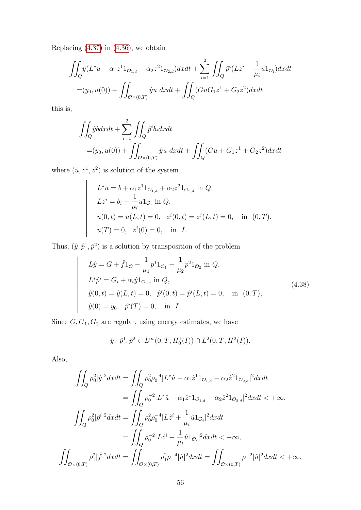Replacing  $(4.37)$  $(4.37)$  in  $(4.36)$  $(4.36)$ , we obtain

$$
\iint_{Q} \hat{y}(L^*u - \alpha_1 z^1 1_{\mathcal{O}_{1,d}} - \alpha_2 z^2 1_{\mathcal{O}_{2,d}}) dxdt + \sum_{i=1}^2 \iint_{Q} \hat{p}^i (Lz^i + \frac{1}{\mu_i} u 1_{\mathcal{O}_i}) dxdt
$$
  
=  $(y_0, u(0)) + \iint_{\mathcal{O} \times (0,T)} \hat{y}u \ dxdt + \iint_{Q} (GuG_1 z^1 + G_2 z^2) dxdt$ 

this is,

$$
\iint_{Q} \hat{y}b dx dt + \sum_{i=1}^{2} \iint_{Q} \hat{p}^{i} b_{i} dx dt
$$
  
=  $(y_{0}, u(0)) + \iint_{\mathcal{O} \times (0,T)} \hat{y}u \ dx dt + \iint_{Q} (Gu + G_{1}z^{1} + G_{2}z^{2}) dx dt$ 

where  $(u, z^1, z^2)$  is solution of the system

 

 $\Big\}$  $\begin{array}{c} \end{array}$  $\Big\}$  $\Big\}$  $\Big\}$  $\Big\}$  $\Big\}$  $\Big\}$  $\begin{array}{c} \end{array}$  $\Big\}$  $\Big\}$  $\Big\}$  $\begin{array}{c} \hline \end{array}$ 

$$
L^*u = b + \alpha_1 z^1 1_{\mathcal{O}_{1,d}} + \alpha_2 z^2 1_{\mathcal{O}_{2,d}} \text{ in } Q,
$$
  
\n
$$
Lz^i = b_i - \frac{1}{\mu_i} u 1_{\mathcal{O}_i} \text{ in } Q,
$$
  
\n
$$
u(0,t) = u(L,t) = 0, \quad z^i(0,t) = z^i(L,t) = 0, \quad \text{in } (0,T),
$$
  
\n
$$
u(T) = 0, \quad z^i(0) = 0, \quad \text{in } I.
$$

Thus,  $(\hat{y}, \hat{p}^1, \hat{p}^2)$  is a solution by transposition of the problem

$$
L\hat{y} = G + \hat{f}1_{\mathcal{O}} - \frac{1}{\mu_1} p^1 1_{\mathcal{O}_1} - \frac{1}{\mu_2} p^2 1_{\mathcal{O}_2} \text{ in } Q,
$$
  
\n
$$
L^* \hat{p}^i = G_i + \alpha_i \hat{y} 1_{\mathcal{O}_{i,d}} \text{ in } Q,
$$
  
\n
$$
\hat{y}(0, t) = \hat{y}(L, t) = 0, \quad \hat{p}^i(0, t) = \hat{p}^i(L, t) = 0, \quad \text{in } (0, T),
$$
  
\n
$$
\hat{y}(0) = y_0, \quad \hat{p}^i(T) = 0, \quad \text{in } I.
$$
\n(4.38)

Since  $G, G_1, G_2$  are regular, using energy estimates, we have

$$
\hat{y}, \ \hat{p}^1, \hat{p}^2 \in L^{\infty}(0, T; H_0^1(I)) \cap L^2(0, T; H^2(I)).
$$

Also,

$$
\iint_{Q} \rho_0^2 |\hat{y}|^2 dx dt = \iint_{Q} \rho_0^2 \rho_0^{-4} |L^* \hat{u} - \alpha_1 \hat{z}^1 \mathbf{1}_{\mathcal{O}_{1,d}} - \alpha_2 \hat{z}^2 \mathbf{1}_{\mathcal{O}_{2,d}}|^2 dx dt \n= \iint_{Q} \rho_0^{-2} |L^* \hat{u} - \alpha_1 \hat{z}^1 \mathbf{1}_{\mathcal{O}_{1,d}} - \alpha_2 \hat{z}^2 \mathbf{1}_{\mathcal{O}_{2,d}}|^2 dx dt < +\infty, \n\iint_{Q} \rho_0^2 |\hat{p}^i|^2 dx dt = \iint_{Q} \rho_0^2 \rho_0^{-4} |L \hat{z}^i + \frac{1}{\mu_i} \hat{u} \mathbf{1}_{\mathcal{O}_i}|^2 dx dt \n= \iint_{Q} \rho_0^{-2} |L \hat{z}^i + \frac{1}{\mu_i} \hat{u} \mathbf{1}_{\mathcal{O}_i}|^2 dx dt < +\infty, \n\iint_{\mathcal{O} \times (0,T)} \rho_1^2 |\hat{f}|^2 dx dt = \iint_{\mathcal{O} \times (0,T)} \rho_1^2 \rho_1^{-4} |\hat{u}|^2 dx dt = \iint_{\mathcal{O} \times (0,T)} \rho_1^{-2} |\hat{u}|^2 dx dt < +\infty.
$$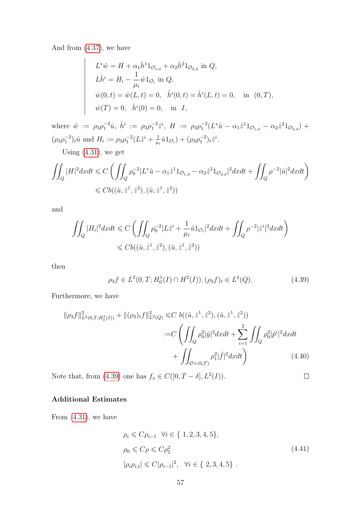And from (4.[37\)](#page-62-0), we have

 $\begin{array}{c} \hline \end{array}$  $\overline{\phantom{a}}$  $\overline{\phantom{a}}$  $\overline{\phantom{a}}$  $\overline{\phantom{a}}$  $\overline{\phantom{a}}$  $\overline{\phantom{a}}$  $\overline{\phantom{a}}$  $\overline{\phantom{a}}$  $\overline{\phantom{a}}$  $\overline{\phantom{a}}$  $\overline{\phantom{a}}$  $\overline{\phantom{a}}$ 

$$
L^*\hat{w} = H + \alpha_1 \hat{h}^1 1_{\mathcal{O}_{1,d}} + \alpha_2 \hat{h}^2 1_{\mathcal{O}_{2,d}} \text{ in } Q,
$$
  
\n
$$
L\hat{h}^i = H_i - \frac{1}{\mu_i} \hat{w} 1_{\mathcal{O}_i} \text{ in } Q,
$$
  
\n
$$
\hat{w}(0,t) = \hat{w}(L,t) = 0, \quad \hat{h}^i(0,t) = \hat{h}^i(L,t) = 0, \quad \text{in } (0,T),
$$
  
\n
$$
\hat{w}(T) = 0, \quad \hat{h}^i(0) = 0, \quad \text{in } I,
$$

where  $\hat{w} := \rho_3 \rho_1^{-2} \hat{u}, \; \hat{h}^i := \rho_3 \rho_1^{-2} \hat{z}^i, \; H := \rho_3 \rho_1^{-2} (L^* \hat{u} - \alpha_1 \hat{z}^1 1_{\mathcal{O}_{1,d}} - \alpha_2 \hat{z}^2 1_{\mathcal{O}_{2,d}}) +$  $(\rho_3 \rho_1^{-2})_t \hat{u}$  and  $H_i := \rho_3 \rho_1^{-2} (L \hat{z}^i + \frac{1}{\mu})$  $\frac{1}{\mu_i}\hat{u}1_{\mathcal{O}_i}$  +  $(\rho_3\rho_1^{-2})_t\hat{z}^i$ .

Using (4.[31\)](#page-60-0), we get

$$
\iint_{Q} |H|^2 dxdt \leq C \left( \iint_{Q} \rho_0^{-2} |L^* \hat{u} - \alpha_1 \hat{z}^1 \mathbf{1}_{\mathcal{O}_{1,d}} - \alpha_2 \hat{z}^2 \mathbf{1}_{\mathcal{O}_{2,d}}|^2 dxdt + \iint_{Q} \rho^{-2} |\hat{u}|^2 dxdt \right)
$$
  

$$
\leq C b((\hat{u}, \hat{z}^1, \hat{z}^2), (\hat{u}, \hat{z}^1, \hat{z}^2))
$$

and

$$
\iint_Q |H_i|^2 dxdt \leq C \left( \iint_Q \rho_0^{-2} |L\hat{z}^i + \frac{1}{\mu_i} \hat{u} 1_{\mathcal{O}_i}|^2 dxdt + \iint_Q \rho^{-2} |\hat{z}^i|^2 dxdt \right)
$$
  

$$
\leq C b((\hat{u}, \hat{z}^1, \hat{z}^2), (\hat{u}, \hat{z}^1, \hat{z}^2))
$$

<span id="page-64-0"></span>then

$$
\rho_3 f \in L^2(0, T; H_0^1(I) \cap H^2(I)), (\rho_3 f)_t \in L^2(Q). \tag{4.39}
$$

Furthermore, we have

$$
\|\rho_3 f\|_{L^2(0,T;H_0^1(I))}^2 + \|(\rho_3)_t f\|_{L^2(Q)}^2 \leq C \ b((\hat{u}, \hat{z}^1, \hat{z}^2), (\hat{u}, \hat{z}^1, \hat{z}^2))
$$
  

$$
:= C \left( \iint_Q \rho_0^2 |\hat{y}|^2 dx dt + \sum_{i=1}^2 \iint_Q \rho_0^2 |\hat{p}^i|^2 dx dt \right)
$$

$$
+ \iint_{\mathcal{O} \times (0,T)} \rho_1^2 |\hat{f}|^2 dx dt \qquad (4.40)
$$

Note that, from (4.[39\)](#page-64-0) one has  $f_x \in C([0, T - \delta], L^2(I)).$ 

#### Additional Estimates

From (4.[31\)](#page-60-0), we have

$$
\rho_i \leq C \rho_{i-1} \quad \forall i \in \{ 1, 2, 3, 4, 5 \},
$$
  
\n
$$
\rho_0 \leq C \rho \leq C \rho_5^2
$$
  
\n
$$
|\rho_i \rho_{i,t}| \leq C |\rho_{i-1}|^2, \quad \forall i \in \{ 2, 3, 4, 5 \} .
$$
\n(4.41)

<span id="page-64-1"></span> $\Box$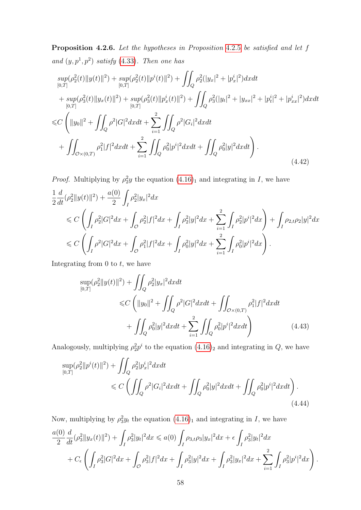<span id="page-65-2"></span><span id="page-65-1"></span>Proposition [4](#page-60-1).2.6. Let the hypotheses in Proposition 4.2.5 be satisfied and let f and  $(y, p<sup>1</sup>, p<sup>2</sup>)$  satisfy (4.[33\)](#page-60-2). Then one has

$$
sup_{[0,T]}(\rho_2^2(t)||y(t)||^2) + sup_{[0,T]}(\rho_2^2(t)||p^i(t)||^2) + \iint_Q \rho_2^2(|y_x|^2 + |p_x^i|^2)dxdt
$$
  
+ 
$$
sup_{[0,T]}(\rho_3^2(t)||y_x(t)||^2) + sup_{[0,T]}(\rho_3^2(t)||p_x^i(t)||^2) + \iint_Q \rho_3^2(|y_t|^2 + |y_{xx}|^2 + |p_t^i|^2 + |p_{xx}^i|^2)dxdt
$$
  

$$
\leq C \left( ||y_0||^2 + \iint_Q \rho^2|G|^2dxdt + \sum_{i=1}^2 \iint_Q \rho^2|G_i|^2dxdt
$$
  
+ 
$$
\iint_{\mathcal{O}\times(0,T)} \rho_1^2|f|^2dxdt + \sum_{i=1}^2 \iint_Q \rho_0^2|p^i|^2dxdt + \iint_Q \rho_0^2|y|^2dxdt \right).
$$
(4.42)

*Proof.* Multiplying by  $\rho_2^2 y$  the equation  $(4.16)_1$  $(4.16)_1$  $(4.16)_1$  and integrating in I, we have

$$
\frac{1}{2}\frac{d}{dt}(\rho_2^2||y(t)||^2) + \frac{a(0)}{2}\int_I \rho_2^2|y_x|^2dx \n\leq C\left(\int_I \rho_2^2|G|^2dx + \int_{\mathcal{O}} \rho_2^2|f|^2dx + \int_I \rho_2^2|y|^2dx + \sum_{i=1}^2 \int_I \rho_2^2|p^i|^2dx\right) + \int_I \rho_{2,t}\rho_2|y|^2dx \n\leq C\left(\int_I \rho^2|G|^2dx + \int_{\mathcal{O}} \rho_1^2|f|^2dx + \int_I \rho_0^2|y|^2dx + \sum_{i=1}^2 \int_I \rho_0^2|p^i|^2dx\right).
$$

Integrating from  $0$  to  $t$ , we have

<span id="page-65-0"></span>
$$
\sup_{[0,T]} (\rho_2^2 \|y(t)\|^2) + \iint_Q \rho_2^2 |y_x|^2 dx dt
$$
  
\$\leq C \left( \|y\_0\|^2 + \iint\_Q \rho^2 |G|^2 dx dt + \iint\_{\mathcal{O} \times (0,T)} \rho\_1^2 |f|^2 dx dt \right.  
+ \iint\_Q \rho\_0^2 |y|^2 dx dt + \sum\_{i=1}^2 \iint\_Q \rho\_0^2 |p^i|^2 dx dt \right) \tag{4.43}

Analogously, multiplying  $\rho_2^2 p^i$  to the equation  $(4.16)_2$  $(4.16)_2$  $(4.16)_2$  and integrating in  $Q$ , we have

$$
\sup_{[0,T]} (\rho_2^2 ||p^i(t)||^2) + \iint_Q \rho_2^2 |p_x^i|^2 dx dt
$$
  
\$\leq C \left( \iint\_Q \rho^2 |G\_i|^2 dx dt + \iint\_Q \rho\_0^2 |y|^2 dx dt + \iint\_Q \rho\_0^2 |p^i|^2 dx dt \right). \tag{4.44}

Now, multiplying by  $\rho_3^2 y_t$  the equation  $(4.16)_1$  $(4.16)_1$  $(4.16)_1$  and integrating in I, we have

$$
\frac{a(0)}{2}\frac{d}{dt}(\rho_3^2||y_x(t)||^2) + \int_I \rho_3^2|y_t|^2dx \le a(0)\int_I \rho_{3,t}\rho_3|y_x|^2dx + \epsilon \int_I \rho_3^2|y_t|^2dx \n+ C_{\epsilon}\left(\int_I \rho_3^2|G|^2dx + \int_O \rho_3^2|f|^2dx + \int_I \rho_3^2|y|^2dx + \int_I \rho_3^2|y_x|^2dx + \sum_{i=1}^2 \int_I \rho_3^2|p^i|^2dx\right).
$$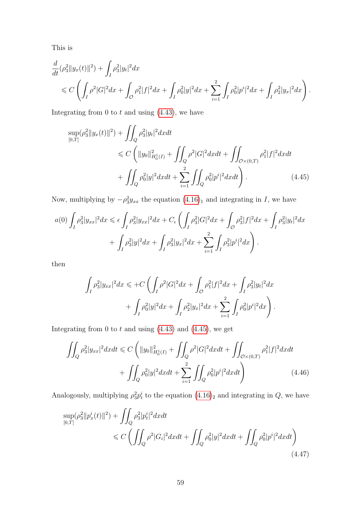This is

$$
\frac{d}{dt}(\rho_3^2 \|y_x(t)\|^2) + \int_I \rho_3^2 |y_t|^2 dx \n\leq C \left( \int_I \rho^2 |G|^2 dx + \int_{\mathcal{O}} \rho_1^2 |f|^2 dx + \int_I \rho_0^2 |y|^2 dx + \sum_{i=1}^2 \int_I \rho_0^2 |p^i|^2 dx + \int_I \rho_2^2 |y_x|^2 dx \right).
$$

Integrating from 0 to  $t$  and using  $(4.43)$  $(4.43)$ , we have

<span id="page-66-0"></span>
$$
\sup_{[0,T]} (\rho_3^2 \|y_x(t)\|^2) + \iint_Q \rho_3^2 |y_t|^2 dx dt
$$
  
\n
$$
\leq C \left( \|y_0\|_{H_0^1(I)}^2 + \iint_Q \rho^2 |G|^2 dx dt + \iint_{\mathcal{O} \times (0,T)} \rho_1^2 |f|^2 dx dt
$$
  
\n
$$
+ \iint_Q \rho_0^2 |y|^2 dx dt + \sum_{i=1}^2 \iint_Q \rho_0^2 |p^i|^2 dx dt \right). \tag{4.45}
$$

Now, multiplying by  $-\rho_3^2 y_{xx}$  the equation  $(4.16)_1$  $(4.16)_1$  $(4.16)_1$  and integrating in I, we have

$$
a(0)\int_{I} \rho_{3}^{2} |y_{xx}|^{2} dx \leq \epsilon \int_{I} \rho_{3}^{2} |y_{xx}|^{2} dx + C_{\epsilon} \left( \int_{I} \rho_{3}^{2} |G|^{2} dx + \int_{\mathcal{O}} \rho_{3}^{2} |f|^{2} dx + \int_{I} \rho_{3}^{2} |y_{t}|^{2} dx \right) + \int_{I} \rho_{3}^{2} |y|^{2} dx + \int_{I} \rho_{3}^{2} |y_{x}|^{2} dx + \sum_{i=1}^{2} \int_{I} \rho_{3}^{2} |p^{i}|^{2} dx \right).
$$

then

$$
\int_{I} \rho_3^2 |y_{xx}|^2 dx \leqslant + C \left( \int_{I} \rho^2 |G|^2 dx + \int_{\mathcal{O}} \rho_1^2 |f|^2 dx + \int_{I} \rho_3^2 |y_t|^2 dx \right. \\ + \left. \int_{I} \rho_0^2 |y|^2 dx + \int_{I} \rho_2^2 |y_x|^2 dx + \sum_{i=1}^2 \int_{I} \rho_0^2 |p^i|^2 dx \right).
$$

Integrating from 0 to  $t$  and using  $(4.43)$  $(4.43)$  and  $(4.45)$  $(4.45)$ , we get

$$
\iint_{Q} \rho_3^2 |y_{xx}|^2 dxdt \le C \left( \|y_0\|_{H_0^1(I)}^2 + \iint_{Q} \rho^2 |G|^2 dxdt + \iint_{\mathcal{O} \times (0,T)} \rho_1^2 |f|^2 dxdt + \iint_{Q} \rho_0^2 |y|^2 dxdt + \sum_{i=1}^2 \iint_{Q} \rho_0^2 |p^i|^2 dxdt \right)
$$
\n(4.46)

Analogously, multiplying  $\rho_3^2 p_t^i$  to the equation  $(4.16)_2$  $(4.16)_2$  $(4.16)_2$  and integrating in  $Q$ , we have

<span id="page-66-1"></span>
$$
\sup_{[0,T]} (\rho_3^2 || p_x^i(t) ||^2) + \iint_Q \rho_3^2 |p_t^i|^2 dx dt
$$
  
\$\leq C \left( \iint\_Q \rho^2 |G\_i|^2 dx dt + \iint\_Q \rho\_0^2 |y|^2 dx dt + \iint\_Q \rho\_0^2 |p^i|^2 dx dt \right)\$\n
$$
(4.47)
$$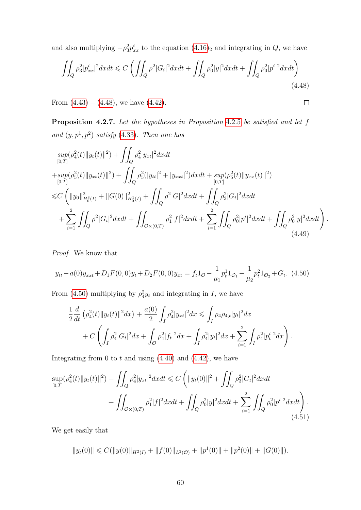and also multiplying  $-\rho_3^2 p_{xx}^i$  to the equation  $(4.16)_2$  $(4.16)_2$  $(4.16)_2$  and integrating in  $Q$ , we have

$$
\iint_{Q} \rho_3^2 |p_{xx}^i|^2 dxdt \le C \left( \iint_{Q} \rho^2 |G_i|^2 dxdt + \iint_{Q} \rho_0^2 |y|^2 dxdt + \iint_{Q} \rho_0^2 |p^i|^2 dxdt \right)
$$
\n(4.48)

<span id="page-67-3"></span><span id="page-67-0"></span> $\Box$ 

From  $(4.43) - (4.48)$  $(4.43) - (4.48)$  $(4.43) - (4.48)$  $(4.43) - (4.48)$ , we have  $(4.42)$  $(4.42)$ .

<span id="page-67-4"></span>Proposition [4](#page-60-1).2.7. Let the hypotheses in Proposition 4.2.5 be satisfied and let f and  $(y, p<sup>1</sup>, p<sup>2</sup>)$  satisfy (4.[33\)](#page-60-2). Then one has

$$
\sup_{[0,T]} (\rho_4^2(t) \|y_t(t)\|^2) + \iint_Q \rho_4^2 |y_{xt}|^2 dx dt \n+ \sup_{[0,T]} (\rho_5^2(t) \|y_{xt}(t)\|^2) + \iint_Q \rho_5^2 (|y_{tt}|^2 + |y_{xxt}|^2) dx dt + \sup_{[0,T]} (\rho_5^2(t) \|y_{xx}(t)\|^2) \n\leq C \left( \|y_0\|_{H_0^3(I)}^2 + \|G(0)\|_{H_0^1(I)}^2 + \iint_Q \rho^2 |G|^2 dx dt + \iint_Q \rho_3^2 |G_t|^2 dx dt \n+ \sum_{i=1}^2 \iint_Q \rho^2 |G_i|^2 dx dt + \iint_{\mathcal{O} \times (0,T)} \rho_1^2 |f|^2 dx dt + \sum_{i=1}^2 \iint_Q \rho_0^2 |p^i|^2 dx dt + \iint_Q \rho_0^2 |y|^2 dx dt \right).
$$
\n(4.49)

<span id="page-67-1"></span>Proof. We know that

$$
y_{tt} - a(0)y_{xxt} + D_1 F(0,0)y_t + D_2 F(0,0)y_{xt} = f_t 1_{\mathcal{O}} - \frac{1}{\mu_1} p_t^1 1_{\mathcal{O}_1} - \frac{1}{\mu_2} p_t^2 1_{\mathcal{O}_2} + G_t.
$$
 (4.50)

From (4.[50\)](#page-67-1) multiplying by  $\rho_4^2 y_t$  and integrating in I, we have

<span id="page-67-2"></span>
$$
\frac{1}{2}\frac{d}{dt}\left(\rho_4^2(t)\|y_t(t)\|^2 dx\right) + \frac{a(0)}{2}\int_I \rho_4^2|y_{xt}|^2 dx \le \int_I \rho_4 \rho_{4,t}|y_t|^2 dx \n+ C\left(\int_I \rho_4^2|G_t|^2 dx + \int_O \rho_4^2|f_t|^2 dx + \int_I \rho_4^2|y_t|^2 dx + \sum_{i=1}^2 \int_I \rho_4^2|p_t^i|^2 dx\right).
$$

Integrating from 0 to  $t$  and using  $(4.40)$  $(4.40)$  and  $(4.42)$  $(4.42)$ , we have

$$
\sup_{[0,T]} (\rho_4^2(t) \|y_t(t)\|^2) + \iint_Q \rho_4^2 |y_{xt}|^2 dx dt \le C \left( \|y_t(0)\|^2 + \iint_Q \rho_3^2 |G_t|^2 dx dt + \iint_{[0,T]} \rho_1^2 |f|^2 dx dt + \iint_Q \rho_0^2 |y|^2 dx dt + \sum_{i=1}^2 \iint_Q \rho_0^2 |p^i|^2 dx dt \right).
$$
\n(4.51)

We get easily that

 $||y_t(0)|| \leqslant C(||y(0)||_{H^2(I)} + ||f(0)||_{L^2(\mathcal{O})} + ||p^1(0)|| + ||p^2(0)|| + ||G(0)||).$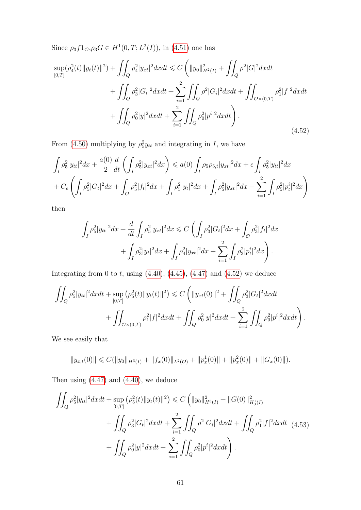Since  $\rho_3 f 1_{\mathcal{O}}, \rho_3 G \in H^1(0, T; L^2(I)),$  in (4.[51\)](#page-67-2) one has

<span id="page-68-0"></span>
$$
\sup_{[0,T]} (\rho_4^2(t) \|y_t(t)\|^2) + \iint_Q \rho_4^2 |y_{xt}|^2 dx dt \le C \left( \|y_0\|_{H^2(I)}^2 + \iint_Q \rho^2 |G|^2 dx dt + \iint_Q \rho_3^2 |G_t|^2 dx dt + \iint_Q \rho_3^2 |G_t|^2 dx dt + \iint_Q \rho_1^2 |f|^2 dx dt + \iint_Q \rho_0^2 |y|^2 dx dt + \sum_{i=1}^2 \iint_Q \rho_0^2 |p^i|^2 dx dt \right).
$$
\n(4.52)

From (4.[50\)](#page-67-1) multiplying by  $\rho_5^2 y_{tt}$  and integrating in I, we have

$$
\int_{I} \rho_{5}^{2} |y_{tt}|^{2} dx + \frac{a(0)}{2} \frac{d}{dt} \left( \int_{I} \rho_{5}^{2} |y_{xt}|^{2} dx \right) \leq a(0) \int_{I} \rho_{5} \rho_{5,t} |y_{xt}|^{2} dx + \epsilon \int_{I} \rho_{5}^{2} |y_{tt}|^{2} dx
$$
  
+  $C_{\epsilon} \left( \int_{I} \rho_{5}^{2} |G_{t}|^{2} dx + \int_{\mathcal{O}} \rho_{5}^{2} |f_{t}|^{2} dx + \int_{I} \rho_{5}^{2} |y_{t}|^{2} dx + \int_{I} \rho_{5}^{2} |y_{xt}|^{2} dx + \sum_{i=1}^{2} \int_{I} \rho_{5}^{2} |p_{t}|^{2} dx \right)$ 

then

$$
\int_{I} \rho_{5}^{2} |y_{tt}|^{2} dx + \frac{d}{dt} \int_{I} \rho_{5}^{2} |y_{xt}|^{2} dx \leq C \left( \int_{I} \rho_{3}^{2} |G_{t}|^{2} dx + \int_{\mathcal{O}} \rho_{3}^{2} |f_{t}|^{2} dx \right. \\
\left. + \int_{I} \rho_{3}^{2} |y_{t}|^{2} dx + \int_{I} \rho_{4}^{2} |y_{xt}|^{2} dx + \sum_{i=1}^{2} \int_{I} \rho_{3}^{2} |p_{t}|^{2} dx \right).
$$

Integrating from 0 to  $t$ , using  $(4.40)$  $(4.40)$ ,  $(4.45)$  $(4.45)$ ,  $(4.47)$  $(4.47)$  and  $(4.52)$  $(4.52)$  we deduce

$$
\iint_{Q} \rho_5^2 |y_{tt}|^2 dxdt + \sup_{[0,T]} (\rho_5^2(t) \|y_t(t)\|^2) \leq C \left( \|y_{xt}(0)\|^2 + \iint_{Q} \rho_3^2 |G_t|^2 dxdt + \iint_{\mathcal{O} \times (0,T)} \rho_1^2 |f|^2 dxdt + \iint_{Q} \rho_0^2 |y|^2 dxdt + \sum_{i=1}^2 \iint_{Q} \rho_0^2 |p^i|^2 dxdt \right).
$$

We see easily that

$$
||y_{x,t}(0)|| \leq C(||y_0||_{H^3(I)} + ||f_x(0)||_{L^2(\mathcal{O})} + ||p_x^1(0)|| + ||p_x^2(0)|| + ||G_x(0)||).
$$

Then using (4.[47\)](#page-66-1) and (4.[40\)](#page-64-1), we deduce

$$
\iint_{Q} \rho_5^2 |y_{tt}|^2 dxdt + \sup_{[0,T]} (\rho_5^2(t) ||y_t(t)||^2) \leq C \left( ||y_0||_{H^3(I)}^2 + ||G(0)||_{H_0^1(I)}^2 + \iint_{Q} \rho_3^2 |G_t|^2 dxdt + \sum_{i=1}^2 \iint_{Q} \rho^2 |G_i|^2 dxdt + \iint_{Q} \rho_1^2 |f|^2 dxdt \tag{4.53}
$$

$$
+ \iint_{Q} \rho_0^2 |y|^2 dxdt + \sum_{i=1}^2 \iint_{Q} \rho_0^2 |p^i|^2 dxdt \right).
$$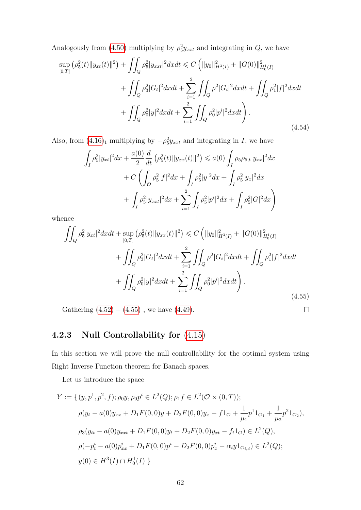Analogously from (4.[50\)](#page-67-1) multiplying by  $\rho_5^2 y_{xxt}$  and integrating in  $Q$ , we have

$$
\sup_{[0,T]} (\rho_5^2(t) \|y_{xt}(t)\|^2) + \iint_Q \rho_5^2 |y_{xxt}|^2 dx dt \le C \left( \|y_0\|_{H^3(I)}^2 + \|G(0)\|_{H_0^1(I)}^2 + \iint_Q \rho_3^2 |G_t|^2 dx dt + \sum_{i=1}^2 \iint_Q \rho^2 |G_i|^2 dx dt + \iint_Q \rho_1^2 |f|^2 dx dt + \iint_Q \rho_0^2 |y|^2 dx dt + \sum_{i=1}^2 \iint_Q \rho_0^2 |p^i|^2 dx dt \right).
$$
\n(4.54)

Also, from  $(4.16)<sub>1</sub>$  $(4.16)<sub>1</sub>$  $(4.16)<sub>1</sub>$  multiplying by  $-\rho_5^2 y_{xxt}$  and integrating in I, we have

$$
\int_{I} \rho_{5}^{2} |y_{xt}|^{2} dx + \frac{a(0)}{2} \frac{d}{dt} \left( \rho_{5}^{2}(t) \| y_{xx}(t) \|^{2} \right) \leq a(0) \int_{I} \rho_{5} \rho_{5,t} |y_{xx}|^{2} dx \n+ C \left( \int_{\mathcal{O}} \rho_{5}^{2} |f|^{2} dx + \int_{I} \rho_{5}^{2} |y|^{2} dx + \int_{I} \rho_{5}^{2} |y_{x}|^{2} dx \right) \n+ \int_{I} \rho_{5}^{2} |y_{xxt}|^{2} dx + \sum_{i=1}^{2} \int_{I} \rho_{5}^{2} |p^{i}|^{2} dx + \int_{I} \rho_{5}^{2} |G|^{2} dx \right)
$$

whence

<span id="page-69-0"></span>
$$
\iint_{Q} \rho_{5}^{2} |y_{xt}|^{2} dxdt + \sup_{[0,T]} (\rho_{5}^{2}(t) ||y_{xx}(t)||^{2}) \leq C \left( ||y_{0}||_{H^{3}(I)}^{2} + ||G(0)||_{H_{0}^{1}(I)}^{2} + \iint_{Q} \rho_{3}^{2} |G_{t}|^{2} dxdt + \sum_{i=1}^{2} \iint_{Q} \rho^{2} |G_{i}|^{2} dxdt + \iint_{Q} \rho_{1}^{2} |f|^{2} dxdt + \iint_{Q} \rho_{0}^{2} |y|^{2} dxdt + \sum_{i=1}^{2} \iint_{Q} \rho_{0}^{2} |p^{i}|^{2} dxdt \right).
$$
\n(4.55)

 $\Box$ 

Gathering  $(4.52) - (4.55)$  $(4.52) - (4.55)$  $(4.52) - (4.55)$  $(4.52) - (4.55)$ , we have  $(4.49)$  $(4.49)$ .

4.2.3 Null Controlability for 
$$
(4.15)
$$

In this section we will prove the null controllability for the optimal system using Right Inverse Function theorem for Banach spaces.

Let us introduce the space

$$
Y := \{ (y, p1, p2, f); \rho_0 y, \rho_0 pi \in L2(Q); \rho_1 f \in L2(\mathcal{O} \times (0, T));
$$
  
\n
$$
\rho(y_t - a(0)y_{xx} + D_1 F(0, 0)y + D_2 F(0, 0)y_x - f1_{\mathcal{O}} + \frac{1}{\mu_1} p1 1_{\mathcal{O}_1} + \frac{1}{\mu_2} p2 1_{\mathcal{O}_2}),
$$
  
\n
$$
\rho_3(y_{tt} - a(0)y_{xxt} + D_1 F(0, 0)y_t + D_2 F(0, 0)y_{xt} - f_t 1_{\mathcal{O}}) \in L2(Q),
$$
  
\n
$$
\rho(-p_t^i - a(0)p_{xx}^i + D_1 F(0, 0)p^i - D_2 F(0, 0)p_x^i - \alpha_i y 1_{\mathcal{O}_{i,d}}) \in L2(Q);
$$
  
\n
$$
y(0) \in H3(I) \cap H_01(I) \}
$$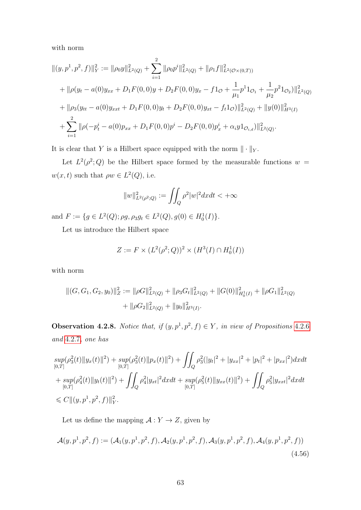with norm

$$
\begin{split}\n\|(y, p^1, p^2, f)\|_Y^2 &:= \|\rho_0 y\|_{L^2(Q)}^2 + \sum_{i=1}^2 \|\rho_0 p^i\|_{L^2(Q)}^2 + \|\rho_1 f\|_{L^2(\mathcal{O}\times(0,T))}^2 \\
&+ \|\rho(y_t - a(0)y_{xx} + D_1 F(0,0)y + D_2 F(0,0)y_x - f1_{\mathcal{O}} + \frac{1}{\mu_1} p^1 1_{\mathcal{O}_1} + \frac{1}{\mu_2} p^2 1_{\mathcal{O}_2})\|_{L^2(Q)}^2 \\
&+ \|\rho_3(y_{tt} - a(0)y_{xxt} + D_1 F(0,0)y_t + D_2 F(0,0)y_{xt} - f_t 1_{\mathcal{O}})\|_{L^2(Q)}^2 + \|y(0)\|_{H^3(I)}^2 \\
&+ \sum_{i=1}^2 \|\rho(-p_t^i - a(0)p_{xx} + D_1 F(0,0)p^i - D_2 F(0,0)p_x^i + \alpha_i y 1_{\mathcal{O}_{i,d}})\|_{L^2(Q)}^2.\n\end{split}
$$

It is clear that Y is a Hilbert space equipped with the norm  $\|\cdot\|_Y$ .

Let  $L^2(\rho^2; Q)$  be the Hilbert space formed by the measurable functions  $w =$  $w(x, t)$  such that  $\rho w \in L^2(Q)$ , i.e.

$$
||w||_{L^{2}(\rho^{2};Q)}^{2} := \iint_{Q} \rho^{2}|w|^{2}dxdt < +\infty
$$

and  $F := \{ g \in L^2(Q) ; \rho g, \rho_3 g_t \in L^2(Q), g(0) \in H_0^1(I) \}.$ 

Let us introduce the Hilbert space

$$
Z := F \times (L^2(\rho^2; Q))^2 \times (H^3(I) \cap H_0^1(I))
$$

with norm

$$
||(G, G_1, G_2, y_0)||_Z^2 := ||\rho G||_{L^2(Q)}^2 + ||\rho_3 G_t||_{L^2(Q)}^2 + ||G(0)||_{H_0^1(I)}^2 + ||\rho G_1||_{L^2(Q)}^2 + ||\rho G_2||_{L^2(Q)}^2 + ||y_0||_{H^3(I)}^2.
$$

**Observation [4](#page-65-2).2.8.** Notice that, if  $(y, p<sup>1</sup>, p<sup>2</sup>, f) \in Y$ , in view of Propositions 4.2.6 and [4](#page-67-4).2.7, one has

$$
sup_{[0,T]}(\rho_3^2(t)||y_x(t)||^2) + sup_{[0,T]}(\rho_3^2(t)||p_x(t)||^2) + \iint_Q \rho_3^2(|y_t|^2 + |y_{xx}|^2 + |p_t|^2 + |p_{xx}|^2)dxdt
$$
  
+ 
$$
sup_{[0,T]}(\rho_4^2(t)||y_t(t)||^2) + \iint_Q \rho_4^2|y_{xt}|^2dxdt + sup_{[0,T]}(\rho_5^2(t)||y_{xx}(t)||^2) + \iint_Q \rho_5^2|y_{xxt}|^2dxdt
$$
  
\$\leq C||(y, p^1, p^2, f)||\_Y^2.

<span id="page-70-0"></span>Let us define the mapping  $\mathcal{A}:Y\rightarrow Z,$  given by

$$
\mathcal{A}(y, p^1, p^2, f) := (\mathcal{A}_1(y, p^1, p^2, f), \mathcal{A}_2(y, p^1, p^2, f), \mathcal{A}_3(y, p^1, p^2, f), \mathcal{A}_4(y, p^1, p^2, f))
$$
\n(4.56)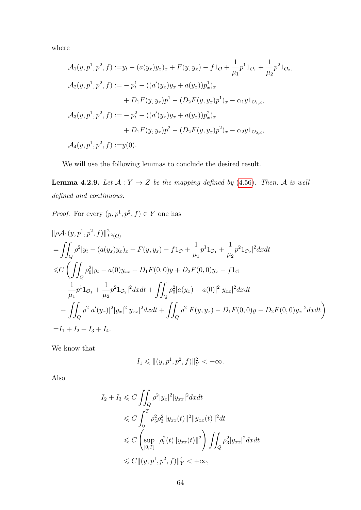where

$$
\mathcal{A}_1(y, p^1, p^2, f) := y_t - (a(y_x)y_x)_x + F(y, y_x) - f1_\mathcal{O} + \frac{1}{\mu_1} p^1 1_{\mathcal{O}_1} + \frac{1}{\mu_2} p^2 1_{\mathcal{O}_2},
$$
  
\n
$$
\mathcal{A}_2(y, p^1, p^2, f) := -p_t^1 - ((a'(y_x)y_x + a(y_x))p_x^1)_x
$$
  
\n
$$
+ D_1F(y, y_x)p^1 - (D_2F(y, y_x)p^1)_x - \alpha_1 y 1_{\mathcal{O}_{1,d}},
$$
  
\n
$$
\mathcal{A}_3(y, p^1, p^2, f) := -p_t^2 - ((a'(y_x)y_x + a(y_x))p_x^2)_x
$$
  
\n
$$
+ D_1F(y, y_x)p^2 - (D_2F(y, y_x)p^2)_x - \alpha_2 y 1_{\mathcal{O}_{2,d}},
$$
  
\n
$$
\mathcal{A}_4(y, p^1, p^2, f) := y(0).
$$

We will use the following lemmas to conclude the desired result.

**Lemma 4.2.9.** Let  $A: Y \to Z$  be the mapping defined by (4.[56\)](#page-70-0). Then, A is well defined and continuous.

*Proof.* For every  $(y, p<sup>1</sup>, p<sup>2</sup>, f) \in Y$  one has

$$
\|\rho A_1(y, p^1, p^2, f)\|_{L^2(Q)}^2
$$
  
= 
$$
\iint_Q \rho^2 |y_t - (a(y_x)y_x)_x + F(y, y_x) - f1_{\mathcal{O}} + \frac{1}{\mu_1} p^1 1_{\mathcal{O}_1} + \frac{1}{\mu_2} p^2 1_{\mathcal{O}_2}|^2 dxdt
$$
  

$$
\leq C \left( \iint_Q \rho_0^2 |y_t - a(0)y_{xx} + D_1 F(0, 0)y + D_2 F(0, 0)y_x - f1_{\mathcal{O}} \right)
$$
  

$$
+ \frac{1}{\mu_1} p^1 1_{\mathcal{O}_1} + \frac{1}{\mu_2} p^2 1_{\mathcal{O}_2}|^2 dxdt + \iint_Q \rho_0^2 |a(y_x) - a(0)|^2 |y_{xx}|^2 dxdt
$$
  

$$
+ \iint_Q \rho^2 |a'(y_x)|^2 |y_x|^2 |y_{xx}|^2 dxdt + \iint_Q \rho^2 |F(y, y_x) - D_1 F(0, 0)y - D_2 F(0, 0)y_x|^2 dxdt
$$
  
=  $I_1 + I_2 + I_3 + I_4$ .

We know that

$$
I_1 \leq \| (y, p^1, p^2, f) \|_Y^2 < +\infty.
$$

Also

$$
I_2 + I_3 \leq C \iint_Q \rho^2 |y_x|^2 |y_{xx}|^2 dx dt
$$
  
\n
$$
\leq C \int_0^T \rho_5^2 \rho_3^2 \|y_{xx}(t)\|^2 \|y_{xx}(t)\|^2 dt
$$
  
\n
$$
\leq C \left( \sup_{[0,T]} \rho_5^2(t) \|y_{xx}(t)\|^2 \right) \iint_Q \rho_3^2 |y_{xx}|^2 dx dt
$$
  
\n
$$
\leq C \|(y, p^1, p^2, f)\|_Y^4 < +\infty,
$$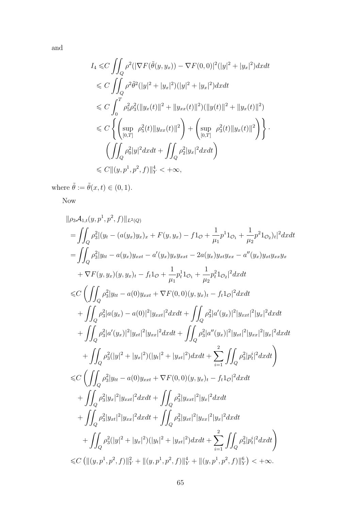and

$$
I_4 \leq C \iint_Q \rho^2 (|\nabla F(\tilde{\theta}(y, y_x)) - \nabla F(0, 0)|^2 (|y|^2 + |y_x|^2) dx dt
$$
  
\n
$$
\leq C \iint_Q \rho^2 \tilde{\theta}^2 (|y|^2 + |y_x|^2) (|y|^2 + |y_x|^2) dx dt
$$
  
\n
$$
\leq C \int_0^T \rho_5^2 \rho_3^2 (||y_x(t)||^2 + ||y_{xx}(t)||^2) (||y(t)||^2 + ||y_x(t)||^2)
$$
  
\n
$$
\leq C \left\{ \left( \sup_{[0,T]} \rho_5^2(t) ||y_{xx}(t)||^2 \right) + \left( \sup_{[0,T]} \rho_3^2(t) ||y_x(t)||^2 \right) \right\}.
$$
  
\n
$$
\left( \iint_Q \rho_0^2 |y|^2 dx dt + \iint_Q \rho_2^2 |y_x|^2 dx dt \right)
$$
  
\n
$$
\leq C ||(y, p^1, p^2, f)||_Y^4 < +\infty,
$$

where  $\tilde{\theta} := \tilde{\theta}(x, t) \in (0, 1)$ .

Now

$$
||\rho_3 A_{1,t}(y, p^1, p^2, f)||_{L^2(Q)}
$$
\n=
$$
\iint_Q \rho_3^2 |(y_t - (a(y_x)y_x)_x + F(y, y_x) - f1_{\mathcal{O}} + \frac{1}{\mu_1} p^1 1_{\mathcal{O}_1} + \frac{1}{\mu_2} p^2 1_{\mathcal{O}_2})_t|^2 dxdt
$$
\n=
$$
\iint_Q \rho_3^2 |y_{tt} - a(y_x)y_{xxt} - a'(y_x)y_x y_{xxt} - 2a(y_x)y_x t y_{xx} - a''(y_x)y_x t y_{xx} y_x
$$
\n
$$
+ \nabla F(y, y_x)(y, y_x)_t - f_t 1_{\mathcal{O}} + \frac{1}{\mu_1} p_t^1 1_{\mathcal{O}_1} + \frac{1}{\mu_2} p_t^2 1_{\mathcal{O}_2}|^2 dxdt
$$
\n
$$
\leq C \left( \iint_Q \rho_3^2 |y_{tt} - a(0)y_{xxt} + \nabla F(0, 0)(y, y_x)_t - f_t 1_{\mathcal{O}}|^2 dxdt
$$
\n
$$
+ \iint_Q \rho_3^2 |a'(y_x) - a(0)|^2 |y_{xxt}|^2 dxdt + \iint_Q \rho_3^2 |a'(y_x)|^2 |y_{xxt}|^2 |y_x|^2 dxdt
$$
\n
$$
+ \iint_Q \rho_3^2 |a'(y_x)|^2 |y_{xxt}|^2 dxdt + \iint_Q \rho_3^2 |a''(y_x)|^2 |y_{xxt}|^2 |y_x|^2 dxdt
$$
\n
$$
+ \iint_Q \rho_3^2 (|y|^2 + |y_x|^2)(|y_t|^2 + |y_{xt}|^2) dxdt + \sum_{i=1}^2 \iint_Q \rho_3^2 |p_t^i|^2 dxdt
$$
\n
$$
+ \iint_Q \rho_3^2 |y_{tt} - a(0)y_{xxt} + \nabla F(0, 0)(y, y_x)_t - f_t 1_{\mathcal{O}}|^2 dxdt
$$
\n
$$
+ \iint_Q \rho_3^2 |y_x|^2 |y_{xxt}|^2 dxdt + \iint_Q \rho_3^2 |y_{xxt}|^2 |y_x|^2 dxdt
$$
\n
$$
+ \iint_Q \rho_3^2 |y_x
$$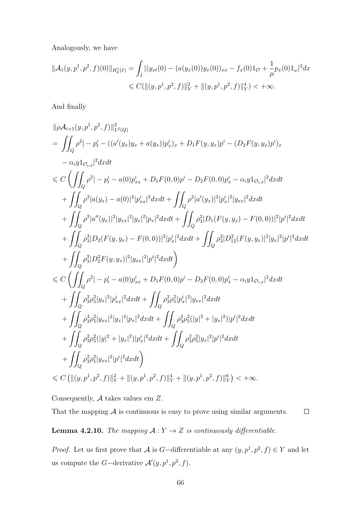Analogously, we have

$$
\|\mathcal{A}_1(y, p^1, p^2, f)(0)\|_{H_0^1(I)} = \int_I |(y_{xt}(0) - (a(y_x(0))y_x(0))_{xx} - f_x(0)1_{\mathcal{O}} + \frac{1}{\mu}p_x(0)1_{\omega}|^2 dx
$$
  
\n
$$
\leq C(\|(y, p^1, p^2, f)\|_Y^2 + \|(y, p^1, p^2, f)\|_Y^4) < +\infty.
$$

And finally

$$
\|\rho A_{i+1}(y, p^1, p^2, f)\|_{L^2(Q)}^2
$$
\n
$$
= \iint_Q \rho^2 |-p_i^i - ((a'(y_x)y_x + a(y_x))p_x^i)_x + D_1F(y, y_x)p^i - (D_2F(y, y_x)p^i)_x
$$
\n
$$
- \alpha_i y1_{O_{i,d}}|^2 dx dt
$$
\n
$$
\leq C \left( \iint_Q \rho^2 |-p_i^i - a(0)p_{xx}^i + D_1F(0, 0)p^i - D_2F(0, 0)p_x^i - \alpha_i y1_{O_{i,d}}|^2 dx dt
$$
\n
$$
+ \iint_Q \rho^2 |a(y_x) - a(0)|^2 |p_{xx}^i|^2 dx dt + \iint_Q \rho^2 |a'(y_x)|^2 |p_x^i|^2 |y_{xx}|^2 dx dt
$$
\n
$$
+ \iint_Q \rho^2 |a''(y_x)|^2 |y_{xx}|^2 |y_x|^2 |p_x|^2 dx dt + \iint_Q \rho_3^2 |D_1(F(y, y_x) - F(0, 0))|^2 |p_i^i|^2 dx dt
$$
\n
$$
+ \iint_Q \rho_3^2 |D_2(F(y, y_x) - F(0, 0))|^2 |p_x^i|^2 dx dt + \iint_Q \rho_3^2 |D_1^2(F(y, y_x)|^2 |y_x|^2 |p^i|^2 dx dt
$$
\n
$$
+ \iint_Q \rho_3^2 |D_2^2 F(y, y_x)|^2 |y_{xx}|^2 |p^i|^2 dx dt
$$
\n
$$
\leq C \left( \iint_Q \rho^2 |-p_i^i - a(0)p_{xx}^i + D_1F(0, 0)p^i - D_2F(0, 0)p_x^i - \alpha_i y1_{O_{i,d}}|^2 dx dt
$$
\n
$$
+ \iint_Q \rho_3^2 \rho_5^2 |y_x|^2 |p_{xx}^i|^2 dx dt + \iint_Q \rho_3^2 \rho_5^2 |p_x^i|^2 |y_{xx}|^2 dx dt
$$
\n
$$
+ \iint_Q \rho_3^2 \rho_5^2 |y_x|^2 |y_x|^2 |p_x|^2 dx dt + \iint_Q \rho_3^2 \rho_5^2 (|y|^2 + |y_x|^2) |p^i|^2 dx dt
$$
\n
$$
+ \i
$$

Consequently,  ${\mathcal A}$  takes values em  $Z.$ 

That the mapping  $A$  is continuous is easy to prove using similar arguments.  $\Box$ 

<span id="page-73-0"></span>**Lemma 4.2.10.** The mapping  $A: Y \to Z$  is continuously differentiable.

*Proof.* Let us first prove that A is G-differentiable at any  $(y, p<sup>1</sup>, p<sup>2</sup>, f) \in Y$  and let us compute the *G*-derivative  $\mathcal{A}'(y, p^1, p^2, f)$ .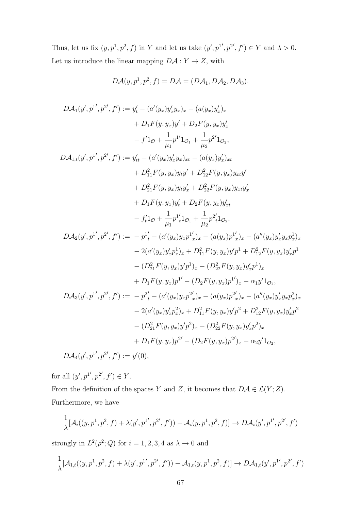Thus, let us fix  $(y, p<sup>1</sup>, p<sup>2</sup>, f)$  in Y and let us take  $(y', p<sup>1'</sup>, p<sup>2'</sup>, f') \in Y$  and  $\lambda > 0$ . Let us introduce the linear mapping  $D\mathcal{A}: Y \to Z$ , with

$$
D\mathcal{A}(y, p^1, p^2, f) = D\mathcal{A} = (D\mathcal{A}_1, D\mathcal{A}_2, D\mathcal{A}_3).
$$

$$
D A_1(y', p^{1'}, p^{2'}, f') := y'_t - (a'(y_x)y'_x y_x) - (a(y_x)y'_x)_{x}
$$
  
+  $D_1F(y, y_x)y' + D_2F(y, y_x)y'_x$   
-  $f'1_{\mathcal{O}} + \frac{1}{\mu_1}p^{1'}1_{\mathcal{O}_1} + \frac{1}{\mu_2}p^{2'}1_{\mathcal{O}_2},$   

$$
D A_{1,t}(y', p^{1'}, p^{2'}, f') := y'_{tt} - (a'(y_x)y'_x y_x)_{xt} - (a(y_x)y'_x)_{xt}
$$
  
+  $D_{11}^2F(y, y_x)y_t y' + D_{12}^2F(y, y_x)y_{xt}y'$   
+  $D_2^2{}_1F(y, y_x)y_t y'_x + D_2^2{}_2F(y, y_x)y_{xt}y'_x$   
+  $D_1F(y, y_x)y'_t + D_2F(y, y_x)y'_{xt}$   
-  $f'_t1_{\mathcal{O}} + \frac{1}{\mu_1}p^{1'}1_{\mathcal{O}_1} + \frac{1}{\mu_2}p^{2'}_t1_{\mathcal{O}_2},$   

$$
D A_2(y', p^{1'}, p^{2'}, f') := -p^{1'}_t - (a'(y_x)y_x p^{1'}_x)_{x} - (a(y_x)p^{1'}_x)_{x} - (a''(y_x)y'_x y_x p^{1}_x)_{x}
$$
  
-  $2(a'(y_x)y'_x p^{1}_{x})_{x} + D_{11}^2F(y, y_x)y'_f p^{1} + D_{12}^2F(y, y_x)y'_x p^{1}_x$   
-  $(D_{21}^2F(y, y_x)y'_f p^{1})_{x} - (D_{22}^2F(y, y_x)y'_x p^{1})_{x}$   
+  $D_1F(y, y_x)p^{1'} - (D_2F(y, y_x)p^{1'}_x - a_1y'1_{\mathcal{O}_1},$   

$$
D A_3(y', p^{1'}, p^{2'}, f') := -p^{2'}_t - (a'(y_x)y_x p^{2'}_x)_{x} - (a'(y_x)p^{2'}_x)_{x} - (a''(y_x)y_x y_x p^{2}_{x})_{x}
$$
  
-  $2(a'(y_x)y'_x p^{2}_{x})_{x} + D_{11$ 

for all  $(y', p^{1'}, p^{2'}, f') \in Y$ .

From the definition of the spaces Y and Z, it becomes that  $D\mathcal{A} \in \mathcal{L}(Y;Z)$ . Furthermore, we have

$$
\frac{1}{\lambda}[\mathcal{A}_i((y, p^1, p^2, f) + \lambda(y', p^{1\prime}, p^{2\prime}, f')) - \mathcal{A}_i(y, p^1, p^2, f)] \to D\mathcal{A}_i(y', p^{1\prime}, p^{2\prime}, f')
$$

strongly in  $L^2(\rho^2; Q)$  for  $i = 1, 2, 3, 4$  as  $\lambda \to 0$  and

$$
\frac{1}{\lambda}[\mathcal{A}_{1,t}((y,p^1,p^2,f)+\lambda(y',p^{1'},p^{2'},f'))-\mathcal{A}_{1,t}(y,p^1,p^2,f)] \to D\mathcal{A}_{1,t}(y',p^{1'},p^{2'},f')
$$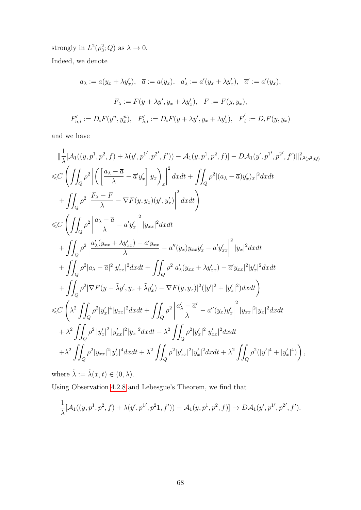strongly in  $L^2(\rho_3^2; Q)$  as  $\lambda \to 0$ . Indeed, we denote

$$
a_{\lambda} := a(y_x + \lambda y'_x), \quad \overline{a} := a(y_x), \quad a'_{\lambda} := a'(y_x + \lambda y'_x), \quad \overline{a}' := a'(y_x),
$$

$$
F_{\lambda} := F(y + \lambda y', y_x + \lambda y'_x), \quad \overline{F} := F(y, y_x),
$$

$$
F'_{n,i} := D_i F(y^n, y^n_x), \quad F'_{\lambda,i} := D_i F(y + \lambda y', y_x + \lambda y'_x), \quad \overline{F}'_i := D_i F(y, y_x)
$$

and we have

$$
\|\frac{1}{\lambda}[A_{1}((y, p^{1}, p^{2}, f) + \lambda(y', p^{1}, p^{2}, f')) - A_{1}(y, p^{1}, p^{2}, f)] - D A_{1}(y', p^{1}, p^{2}, f')\|_{L^{2}(\rho^{2};Q)}^{2}
$$
  
\n
$$
\leq C \left(\iint_{Q} \rho^{2} \left| \left(\frac{a_{\lambda} - \overline{a}}{\lambda} - \overline{a}' y'_{x}\right) y_{x}\right)_{x}\right|^{2} dxdt + \iint_{Q} \rho^{2} |(a_{\lambda} - \overline{a}) y'_{x})_{x}|^{2} dxdt
$$
  
\n
$$
+ \iint_{Q} \rho^{2} \left| \frac{F_{\lambda} - \overline{F}}{\lambda} - \nabla F(y, y_{x})(y', y'_{x}) \right|^{2} dxdt
$$
  
\n
$$
\leq C \left(\iint_{Q} \rho^{2} \left| \frac{a_{\lambda} - \overline{a}}{\lambda} - \overline{a}' y'_{x}\right|^{2} |y_{xx}|^{2} dxdt
$$
  
\n
$$
+ \iint_{Q} \rho^{2} \left| \frac{a_{\lambda}(y_{xx} + \lambda y'_{xx}) - \overline{a}' y_{xx}}{\lambda} - a''(y_{x}) y_{xx} y'_{x} - \overline{a}' y'_{xx}\right|^{2} |y_{x}|^{2} dxdt
$$
  
\n
$$
+ \iint_{Q} \rho^{2} |a_{\lambda} - \overline{a}|^{2} |y'_{xx}|^{2} dxdt + \iint_{Q} \rho^{2} |a'_{\lambda}(y_{xx} + \lambda y'_{xx}) - \overline{a}' y_{xx}|^{2} |y'_{x}|^{2} dxdt
$$
  
\n
$$
+ \iint_{Q} \rho^{2} |\nabla F(y + \lambda y', y_{x} + \lambda y'_{x}) - \nabla F(y, y_{x})|^{2} (|y'|^{2} + |y'_{x}|^{2}) dxdt
$$
  
\n
$$
\leq C \left(\lambda^{2} \iint_{Q} \rho^{2} |y'_{x}|^{4} |y_{xx}|^{2} dxdt + \iint_{Q} \rho^{2} \left| \frac{a_{\lambda}' - \overline{a}'}{\lambda} - a''(y_{x}) y'_{x}\right|^{2} |y
$$

where  $\tilde{\lambda} := \tilde{\lambda}(x, t) \in (0, \lambda)$ .

Using Observation [4](#page-70-0).2.8 and Lebesgue's Theorem, we find that

$$
\frac{1}{\lambda}[\mathcal{A}_1((y,p^1,p^2,f)+\lambda(y',p^{1'},p^21,f'))-\mathcal{A}_1(y,p^1,p^2,f)] \to D\mathcal{A}_1(y',p^{1'},p^{2'},f').
$$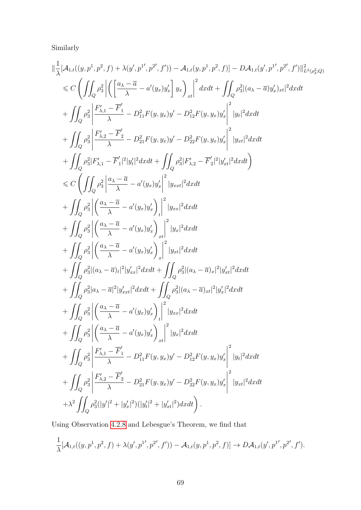Similarly

$$
\begin{split} &\|\frac{1}{\lambda}[A_{1, t}((y, p^{1}, p^{2}, f) + \lambda(y', p^{1}, p^{2}, f')) - A_{1, t}(y, p^{1}, p^{2}, f)] - DA_{1, t}(y', p^{1}, p^{2}, f')\|_{L^{2}(p_{3}^{2}; Q_{3}^{2}; Q_{3}^{2})}^{2} \\ &\leqslant C\left(\iint_{Q} \rho_{3}^{2}\left|\left(\frac{a_{\lambda} - \overline{a}}{\lambda} - a'(y_{x})y'_{x}\right]y_{x}\right)_{xt}\right|^{2}dxdt + \iint_{Q} \rho_{3}^{2}|(a_{\lambda} - \overline{a})y'_{x})_{xt}|^{2}dxdt \\ &+ \iint_{Q} \rho_{3}^{2}\left|\frac{F'_{\lambda, 1} - F'}{\lambda} - D_{11}^{2}F(y, y_{x})y' - D_{12}^{2}F(y, y_{x})y'_{x}\right|^{2}|y_{t}|^{2}dxdt \\ &+ \iint_{Q} \rho_{3}^{2}\left|\frac{F'_{\lambda, 2} - \overline{F}_{2}^{2}}{\lambda} - D_{21}^{2}F(y, y_{x})y' - D_{22}^{2}F(y, y_{x})y'_{x}\right|^{2}|y_{xt}|^{2}dxdt \\ &+ \iint_{Q} \rho_{3}^{2}\left|\frac{F'_{\lambda, 1} - F'_{1}|^{2}|y'_{t}|^{2}dxdt + \iint_{Q} \rho_{3}^{2}|F'_{\lambda, 2} - \overline{F'_{2}}|^{2}|y'_{xt}|^{2}dxdt \\ &+ \iint_{Q} \rho_{3}^{2}\left|\left(\frac{a_{\lambda} - \overline{a}}{\lambda} - a'(y_{x})y'_{x}\right)_{t}\right|^{2}|y_{xx}|^{2}dxdt \\ &+ \iint_{Q} \rho_{3}^{2}\left|\left(\frac{a_{\lambda} - \overline{a}}{\lambda} - a'(y_{x})y'_{x}\right)_{xt}\right|^{2}|y_{xt}|^{2}dxdt \\ &+ \iint_{Q} \rho_{3}^{2}\left|\left(\frac{a_{\lambda} - \overline{a}}{\lambda} - a'(y_{x})y'_{x}\right)_{xt}\right|^{2}|y_{xt}|^{2}dxdt \\ &+ \iint_{Q} \rho_{3}^{2}|(a_{\lambda} - \overline{a})_{t}|^{
$$

Using Observation [4](#page-70-0).2.8 and Lebesgue's Theorem, we find that

$$
\frac{1}{\lambda}[\mathcal{A}_{1,t}((y,p^1,p^2,f)+\lambda(y',{p^1}',{p^2}',f'))-\mathcal{A}_{1,t}(y,p^1,p^2,f)] \rightarrow D\mathcal{A}_{1,t}(y',{p^1}',{p^2}',f').
$$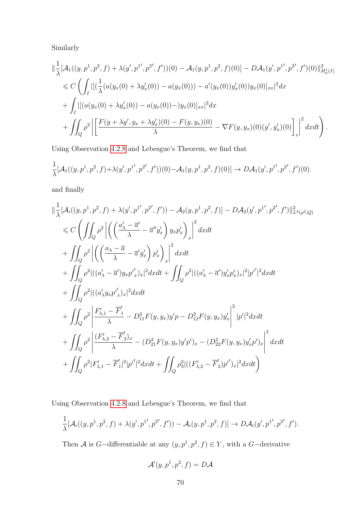Similarly

$$
\|\frac{1}{\lambda}[\mathcal{A}_1((y, p^1, p^2, f) + \lambda(y', p^{1'}, p^{2'}, f'))(0) - \mathcal{A}_1(y, p^1, p^2, f)(0)] - D\mathcal{A}_1(y', p^{1'}, p^{2'}, f')(0)\|_{H_0^1(I)}^2
$$
  
\n
$$
\leq C \left( \int_I \|(\frac{1}{\lambda}(a(y_x(0) + \lambda y'_x(0)) - a(y_x(0))) - a'(y_x(0))y'_x(0))y_x(0)\|_{xx}\|^2 dx \right. \\ \left. + \int_I \|[(a(y_x(0) + \lambda y'_x(0)) - a(y_x(0)) - y_x(0)]_{xx}\|^2 dx \right. \\ \left. + \int_I \rho^2 \left( \frac{F(y + \lambda y', y_x + \lambda y'_x)(0) - F(y, y_x)(0)}{\lambda} - \nabla F(y, y_x)(0)(y', y'_x)(0) \right) \right]_x \right\|^2 dx dt \right). \tag{9}
$$

Using Observation [4](#page-70-0).2.8 and Lebesgue's Theorem, we find that

$$
\frac{1}{\lambda}[\mathcal{A}_1((y,p^1,p^2,f)+\lambda(y',p^{1'},p^{2'},f'))(0)-\mathcal{A}_1(y,p^1,p^2,f)(0)] \to D\mathcal{A}_1(y',p^{1'},p^{2'},f')(0).
$$

and finally

$$
\begin{split}\n&\|\frac{1}{\lambda}[\mathcal{A}_{i}((y,p^{1},p^{2},f)+\lambda(y',p^{1'},p^{2'},f'))-\mathcal{A}_{2}(y,p^{1},p^{2},f)]-D\mathcal{A}_{2}(y',p^{1'},p^{2'},f')\|_{L^{2}(\rho^{2};Q)}^{2} \\
&\leq C\left(\iint_{Q}\rho^{2}\left|\left(\left(\frac{a_{\lambda}'-\overline{a}'}{\lambda}-\overline{a}''y_{x}'\right)y_{x}p_{x}^{i}\right)_{x}\right|^{2}dxdt\right. \\
&\left.+\iint_{Q}\rho^{2}\left|\left(\left(\frac{a_{\lambda}-\overline{a}}{\lambda}-\overline{a}'y_{x}'\right)p_{x}^{i}\right)_{x}\right|^{2}dxdt\right. \\
&\left.+\iint_{Q}\rho^{2}|((a_{\lambda}'-\overline{a}')y_{x}p_{x}^{i})_{x}|^{2}dxdt+\iint_{Q}\rho^{2}|((a_{\lambda}'-\overline{a}')y_{x}'p_{x}^{i})_{x}|^{2}|p^{i}'|^{2}dxdt \\
&\quad+\iint_{Q}\rho^{2}|((a_{\lambda}'y_{x}p_{x}^{i'})_{x}|^{2}dxdt \\
&\quad+\iint_{Q}\rho^{2}\left|\frac{F_{\lambda,1}'-\overline{F}_{1}'}{\lambda}-D_{11}^{2}F(y,y_{x})y'p-D_{12}^{2}F(y,y_{x})y_{x}'\right|^{2}|p^{i}|^{2}dxdt \\
&\quad+\iint_{Q}\rho^{2}\left|\frac{(F_{\lambda,2}'-\overline{F}_{2}^{'})_{x}}{\lambda}-(D_{21}^{2}F(y,y_{x})y'p^{i})_{x}-(D_{22}^{2}F(y,y_{x})y'_{x}p^{i})_{x}\right|^{2}dxdt \\
&\quad+\iint_{Q}\rho^{2}|F_{\lambda,1}'-\overline{F}_{1}'|^{2}|p^{i}'|^{2}dxdt+\iint_{Q}\rho^{2}_{3}|((F_{\lambda,2}'-\overline{F}_{2}')p^{i'})_{x}|^{2}dxdt\n\end{split}
$$

Using Observation [4](#page-70-0).2.8 and Lebesgue's Theorem, we find that

$$
\frac{1}{\lambda}[\mathcal{A}_i((y,p^1,p^2,f)+\lambda(y',p^{1'},p^{2'},f'))-\mathcal{A}_i(y,p^1,p^2,f)] \to D\mathcal{A}_i(y',p^{1'},p^{2'},f').
$$

Then A is G-differentiable at any  $(y, p<sup>1</sup>, p<sup>2</sup>, f) \in Y$ , with a G-derivative

$$
\mathcal{A}'(y,p^1,p^2,f)=D\mathcal{A}
$$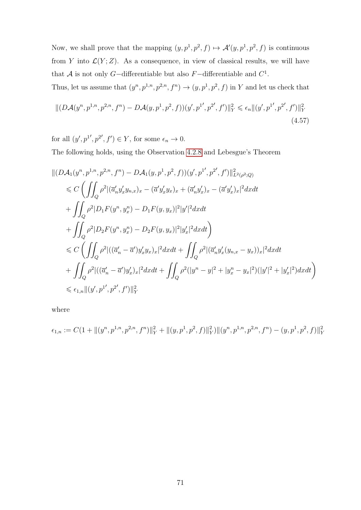Now, we shall prove that the mapping  $(y, p<sup>1</sup>, p<sup>2</sup>, f) \mapsto \mathcal{A}'(y, p<sup>1</sup>, p<sup>2</sup>, f)$  is continuous from Y into  $\mathcal{L}(Y;Z)$ . As a consequence, in view of classical results, we will have that A is not only G-differentiable but also  $F$ -differentiable and  $C^1$ .

Thus, let us assume that  $(y^n, p^{1,n}, p^{2,n}, f^n) \rightarrow (y, p^1, p^2, f)$  in Y and let us check that

<span id="page-78-0"></span>
$$
\| (D\mathcal{A}(y^n, p^{1,n}, p^{2,n}, f^n) - D\mathcal{A}(y, p^1, p^2, f))(y', p^{1\prime}, p^{2\prime}, f') \|_Y^2 \le \epsilon_n \| (y', p^{1\prime}, p^{2\prime}, f') \|_Y^2
$$
\n(4.57)

for all  $(y', p^{1'}, p^{2'}, f') \in Y$ , for some  $\epsilon_n \to 0$ .

The following holds, using the Observation [4](#page-70-0).2.8 and Lebesgue's Theorem

$$
\begin{split} &\| (D\mathcal{A}_1(y^n,p^{1,n},p^{2,n},f^n)-D\mathcal{A}_1(y,p^1,p^2,f))(y',p^{1'},p^{2'},f')\|_{L^2(\rho^2;Q)}^2\\ &\leqslant C\left(\iint_Q \rho^2|(\overline{a}_n'y_x'y_{n,x})_x-(\overline{a}'y_x'y_x)_x+(\overline{a}_n'y_x')_x-(\overline{a}'y_x')_x|^2dxdt\\ &+\iint_Q \rho^2|D_1F(y^n,y^n_x)-D_1F(y,y_x)|^2|y'|^2dxdt\\ &+\iint_Q \rho^2|D_2F(y^n,y^n_x)-D_2F(y,y_x)|^2|y_x'|^2dxdt\right)\\ &\leqslant C\left(\iint_Q \rho^2|((\overline{a}_n'-\overline{a}')y_x'y_x)_x|^2dxdt+\iint_Q \rho^2|(\overline{a}_n'y_x'(y_{n,x}-y_x))_x|^2dxdt\\ &+\iint_Q \rho^2|((\overline{a}_n'-\overline{a}')y_x')_x|^2dxdt+\iint_Q \rho^2(|y^n-y|^2+|y^n_x-y_x|^2)(|y'|^2+|y_x'|^2)dxdt\right)\\ &\leqslant \epsilon_{1,n}\|(y',p^{1'},p^{2'},f')\|_Y^2\end{split}
$$

where

$$
\epsilon_{1,n} := C(1 + \|(y^n, p^{1,n}, p^{2,n}, f^n)\|_{Y}^2 + \|(y, p^1, p^2, f)\|_{Y}^2)\|(y^n, p^{1,n}, p^{2,n}, f^n) - (y, p^1, p^2, f)\|_{Y}^2
$$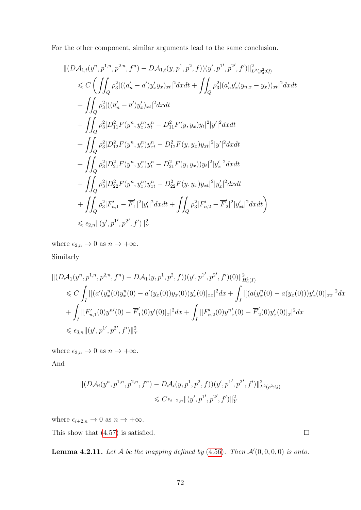For the other component, similar arguments lead to the same conclusion.

$$
\begin{split} &\|(D\mathcal{A}_{1,t}(y^n,p^{1,n},p^{2,n},f^n)-D\mathcal{A}_{1,t}(y,p^{1},p^{2},f))(y',p^{1'},p^{2'},f')\|_{L^{2}(\rho_{3}^{2};Q)}^{2} \\ &\leqslant C\left(\iint_{Q}\rho_{3}^{2}|((\overline{a}_{n}^{\prime}-\overline{a}^{\prime})y_{x}^{\prime}y_{x})_{xt}|^{2}dxdt+\iint_{Q}\rho_{3}^{2}|(\overline{a}_{n}^{\prime}y_{x}^{\prime}(y_{n,x}-y_{x}))_{xt}|^{2}dxdt\\ &+\iint_{Q}\rho_{3}^{2}|((\overline{a}_{n}^{\prime}-\overline{a}^{\prime})y_{x}^{\prime})_{xt}|^{2}dxdt\\ &+\iint_{Q}\rho_{3}^{2}|D_{11}^{2}F(y^{n},y_{x}^{n})y_{t}^{n}-D_{11}^{2}F(y,y_{x})y_{t}|^{2}|y^{\prime}|^{2}dxdt\\ &+\iint_{Q}\rho_{3}^{2}|D_{12}^{2}F(y^{n},y_{x}^{n})y_{xt}^{n}-D_{12}^{2}F(y,y_{x})y_{xt}|^{2}|y^{\prime}|^{2}dxdt\\ &+\iint_{Q}\rho_{3}^{2}|D_{21}^{2}F(y^{n},y_{x}^{n})y_{t}^{n}-D_{21}^{2}F(y,y_{x}))y_{t}|^{2}|y_{x}^{\prime}|^{2}dxdt\\ &+\iint_{Q}\rho_{3}^{2}|D_{22}^{2}F(y^{n},y_{x}^{n})y_{xt}^{n}-D_{22}^{2}F(y,y_{x})y_{xt}|^{2}|y_{x}^{\prime}|^{2}dxdt\\ &+\iint_{Q}\rho_{3}^{2}|F_{n,1}^{\prime}-\overline{F}_{1}^{\prime}|^{2}|y_{t}^{\prime}|^{2}dxdt+\iint_{Q}\rho_{3}^{2}|F_{n,2}^{\prime}-\overline{F}_{2}^{\prime}|^{2}|y_{xt}^{\prime}|^{2}dxdt\right) \\ &\leqslant \epsilon_{2,n}\|(y^{\prime},p^{1^{\prime}},p^{2^{\prime}},f^{\prime})\|_{Y}^{2}\end{split}
$$

where  $\epsilon_{2,n} \to 0$  as  $n \to +\infty$ .

Similarly

$$
\begin{split}\n\|(D\mathcal{A}_1(y^n, p^{1,n}, p^{2,n}, f^n) - D\mathcal{A}_1(y, p^1, p^2, f))(y', p^{1'}, p^{2'}, f')(0)\|_{H_0^1(I)}^2 \\
&\leq C \int_I \|[a'(y_x^n(0)y_x^n(0) - a'(y_x(0))y_x(0))y_x'(0)]_{xx}|^2 dx + \int_I \|[a(y_x^n(0) - a(y_x(0)))y_x'(0)]_{xx}|^2 dx \\
&+ \int_I |[F'_{n,1}(0)y^{n'}(0) - \overline{F}'_1(0)y'(0)]_{x}|^2 dx + \int_I |[F'_{n,2}(0)y^{n'}(0) - \overline{F}'_2(0)y'_x(0)]_{x}|^2 dx \\
&\leq \epsilon_{3,n} \|(y', p^{1'}, p^{2'}, f')\|_{Y}^2\n\end{split}
$$

where  $\epsilon_{3,n} \to 0$  as  $n \to +\infty$ .

And

$$
|| (D\mathcal{A}_i(y^n, p^{1,n}, p^{2,n}, f^n) - D\mathcal{A}_i(y, p^1, p^2, f)) (y', p^{1'}, p^{2'}, f') ||_{L^2(\rho^2; Q)}^2
$$
  

$$
\leq C\epsilon_{i+2,n} ||(y', p^{1'}, p^{2'}, f')||_Y^2
$$

where  $\epsilon_{i+2,n} \to 0$  as  $n \to +\infty$ .

This show that (4.[57\)](#page-78-0) is satisfied.

<span id="page-79-0"></span>**Lemma 4.2.11.** Let  $\mathcal A$  be the mapping defined by (4.[56\)](#page-70-1). Then  $\mathcal A'(0,0,0,0)$  is onto.

 $\Box$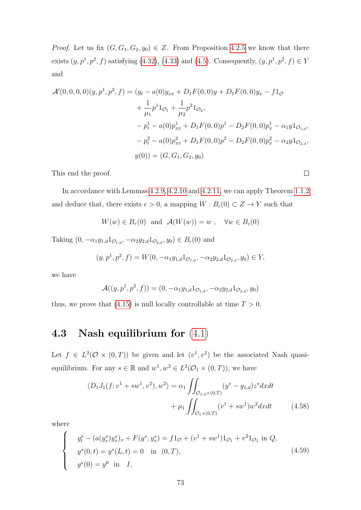*Proof.* Let us fix  $(G, G_1, G_2, y_0) \in Z$ . From Proposition [4](#page-60-0).2.5 we know that there exists  $(y, p<sup>1</sup>, p<sup>2</sup>, f)$  satisfying (4.[32\)](#page-60-1), (4.[33\)](#page-60-2) and [\(4](#page-52-0).5). Consequently,  $(y, p<sup>1</sup>, p<sup>2</sup>, f) \in Y$ and

$$
\mathcal{A}'(0,0,0,0)(y,p^1,p^2,f) = (y_t - a(0)y_{xx} + D_1F(0,0)y + D_1F(0,0)y_x - f1_{\mathcal{O}}+ \frac{1}{\mu_1}p^11_{\mathcal{O}_1} + \frac{1}{\mu_2}p^21_{\mathcal{O}_2},- p_t^1 - a(0)p_{xx}^1 + D_1F(0,0)p^1 - D_2F(0,0)p_x^1 - \alpha_1y1_{\mathcal{O}_{1,d}},- p_t^2 - a(0)p_{xx}^2 + D_1F(0,0)p^2 - D_2F(0,0)p_x^2 - \alpha_2y1_{\mathcal{O}_{2,d}},y(0)) = (G, G_1, G_2, y_0)
$$

This end the proof.

In accordance with Lemmas [4](#page-71-0).2.9, 4.2.[10](#page-73-0) and 4.2.[11,](#page-79-0) we can apply Theorem [1](#page-11-0).1.2 and deduce that, there exists  $\epsilon > 0$ , a mapping  $W : B_{\epsilon}(0) \subset Z \to Y$  such that

$$
W(w) \in B_r(0)
$$
 and  $\mathcal{A}(W(w)) = w$ ,  $\forall w \in B_{\epsilon}(0)$ 

Taking  $(0, -\alpha_1 y_{1,d} 1_{\mathcal{O}_{1,d}}, -\alpha_2 y_{2,d} 1_{\mathcal{O}_{2,d}}, y_0) \in B_{\epsilon}(0)$  and

$$
(y, p1, p2, f) = W(0, -\alpha_1 y_{1,d} 1_{\mathcal{O}_{1,d}}, -\alpha_2 y_{2,d} 1_{\mathcal{O}_{2,d}}, y_0) \in Y,
$$

we have

$$
\mathcal{A}((y, p^1, p^2, f)) = (0, -\alpha_1 y_{1,d} 1_{\mathcal{O}_{1,d}}, -\alpha_2 y_{2,d} 1_{\mathcal{O}_{2,d}}, y_0)
$$

thus, we prove that (4.[15\)](#page-55-0) is null locally controllable at time  $T > 0$ .

#### 4.3 Nash equilibrium for [\(4](#page-51-0).1)

Let  $f \in L^2(\mathcal{O} \times (0,T))$  be given and let  $(v^1, v^2)$  be the associated Nash quasiequilibrium. For any  $s \in \mathbb{R}$  and  $w^1, w^2 \in L^2(\mathcal{O}_1 \times (0,T))$ , we have

<span id="page-80-0"></span>
$$
\langle D_1 J_1(f; v^1 + sw^1, v^2), w^2 \rangle = \alpha_1 \iint_{\mathcal{O}_{1,d} \times (0,T)} (y^s - y_{1,d}) z^s dx dt + \mu_1 \iint_{\mathcal{O}_1 \times (0,T)} (v^1 + sw^1) w^2 dx dt
$$
 (4.58)

where

$$
\begin{cases}\n y_t^s - (a(y_x^s)y_x^s)_x + F(y^s, y_x^s) = f1_{\mathcal{O}} + (v^1 + sw^1)1_{\mathcal{O}_1} + v^2 1_{\mathcal{O}_1} \text{ in } Q, \\
 y^s(0, t) = y^s(L, t) = 0 \quad \text{in } (0, T), \\
 y^s(0) = y^0 \quad \text{in } I,\n\end{cases}
$$
\n(4.59)

 $\Box$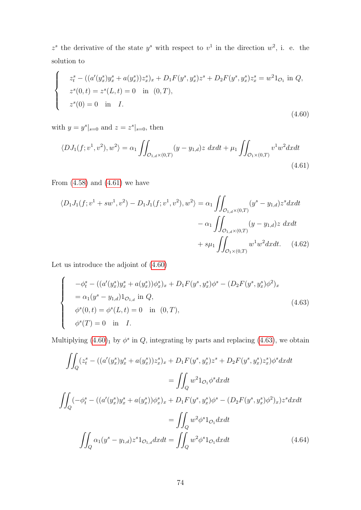<span id="page-81-1"></span> $z^s$  the derivative of the state  $y^s$  with respect to  $v^1$  in the direction  $w^2$ , i. e. the solution to

$$
\begin{cases}\n z_t^s - \left( (a'(y_x^s)y_x^s + a(y_x^s))z_x^s \right)_x + D_1 F(y^s, y_x^s) z^s + D_2 F(y^s, y_x^s) z_x^s = w^2 1_{\mathcal{O}_1} \text{ in } Q, \\
 z^s(0, t) = z^s(L, t) = 0 \quad \text{in } (0, T), \\
 z^s(0) = 0 \quad \text{in } I.\n\end{cases}
$$
\n(4.60)

with  $y = y^s|_{s=0}$  and  $z = z^s|_{s=0}$ , then

<span id="page-81-0"></span>
$$
\langle DJ_1(f;v^1,v^2),w^2\rangle = \alpha_1 \iint_{\mathcal{O}_{1,d}\times(0,T)} (y-y_{1,d})z \,dxdt + \mu_1 \iint_{\mathcal{O}_1\times(0,T)} v^1w^2dxdt
$$
\n(4.61)

From  $(4.58)$  $(4.58)$  and  $(4.61)$  $(4.61)$  we have

<span id="page-81-3"></span>
$$
\langle D_1 J_1(f; v^1 + sw^1, v^2) - D_1 J_1(f; v^1, v^2), w^2 \rangle = \alpha_1 \iint_{\mathcal{O}_{1,d} \times (0,T)} (y^s - y_{1,d}) z^s dx dt - \alpha_1 \iint_{\mathcal{O}_{1,d} \times (0,T)} (y - y_{1,d}) z dx dt + s\mu_1 \iint_{\mathcal{O}_1 \times (0,T)} w^1 w^2 dx dt. \tag{4.62}
$$

Let us introduce the adjoint of (4.[60\)](#page-81-1)

<span id="page-81-2"></span>
$$
\begin{cases}\n-\phi_t^s - ((a'(y_x^s)y_x^s + a(y_x^s))\phi_x^s)_x + D_1F(y^s, y_x^s)\phi^s - (D_2F(y^s, y_x^s)\phi^2)_x \\
= \alpha_1(y^s - y_{1,d})1_{\mathcal{O}_{1,d}} \text{ in } Q, \\
\phi^s(0, t) = \phi^s(L, t) = 0 \quad \text{in } (0, T), \\
\phi^s(T) = 0 \quad \text{in } I.\n\end{cases}
$$
\n(4.63)

Multiplying  $(4.60)_1$  $(4.60)_1$  $(4.60)_1$  by  $\phi^s$  in Q, integrating by parts and replacing  $(4.63)$  $(4.63)$ , we obtain

<span id="page-81-4"></span>
$$
\iint_{Q} (z_{t}^{s} - ((a'(y_{x}^{s})y_{x}^{s} + a(y_{x}^{s}))z_{x}^{s})_{x} + D_{1}F(y^{s}, y_{x}^{s})z^{s} + D_{2}F(y^{s}, y_{x}^{s})z_{x}^{s})\phi^{s}dxdt
$$
\n
$$
= \iint_{Q} w^{2}1_{\mathcal{O}_{1}}\phi^{s}dxdt
$$
\n
$$
\iint_{Q} (-\phi_{t}^{s} - ((a'(y_{x}^{s})y_{x}^{s} + a(y_{x}^{s}))\phi_{x}^{s})_{x} + D_{1}F(y^{s}, y_{x}^{s})\phi^{s} - (D_{2}F(y^{s}, y_{x}^{s})\phi^{2})_{x})z^{s}dxdt
$$
\n
$$
= \iint_{Q} w^{2}\phi^{s}1_{\mathcal{O}_{1}}dxdt
$$
\n
$$
\iint_{Q} \alpha_{1}(y^{s} - y_{1,d})z^{s}1_{\mathcal{O}_{1,d}}dxdt = \iint_{Q} w^{2}\phi^{s}1_{\mathcal{O}_{1}}dxdt
$$
\n(4.64)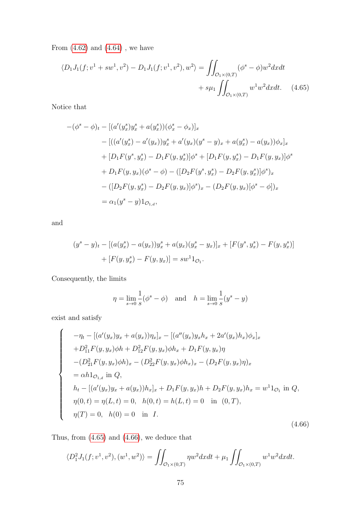From  $(4.62)$  $(4.62)$  and  $(4.64)$  $(4.64)$  , we have

<span id="page-82-0"></span>
$$
\langle D_1 J_1(f; v^1 + sw^1, v^2) - D_1 J_1(f; v^1, v^2), w^2 \rangle = \iint_{\mathcal{O}_1 \times (0,T)} (\phi^s - \phi) w^2 dx dt
$$
  
+  $s\mu_1 \iint_{\mathcal{O}_1 \times (0,T)} w^1 w^2 dx dt.$  (4.65)

Notice that

$$
-(\phi^s - \phi)_t - [(a'(y_x^s)y_x^s + a(y_x^s))(\phi_x^s - \phi_x)]_x
$$
  
\n
$$
- [((a'(y_x^s) - a'(y_x))y_x^s + a'(y_x)(y^s - y)_x + a(y_x^s) - a(y_x))\phi_x]_x
$$
  
\n
$$
+ [D_1F(y^s, y_x^s) - D_1F(y, y_x^s)]\phi^s + [D_1F(y, y_x^s) - D_1F(y, y_x)]\phi^s
$$
  
\n
$$
+ D_1F(y, y_x)(\phi^s - \phi) - ([D_2F(y^s, y_x^s) - D_2F(y, y_x^s)]\phi^s)_x
$$
  
\n
$$
- ([D_2F(y, y_x^s) - D_2F(y, y_x)]\phi^s)_x - (D_2F(y, y_x)[\phi^s - \phi])_x
$$
  
\n
$$
= \alpha_1(y^s - y)1_{\mathcal{O}_{1,d}},
$$

and

$$
(y^s - y)_t - [(a(y_x^s) - a(y_x))y_x^s + a(y_x)(y_x^s - y_x)]_x + [F(y^s, y_x^s) - F(y, y_x^s)]
$$
  
+ 
$$
[F(y, y_x^s) - F(y, y_x)] = sw^1 1_{\mathcal{O}_1}.
$$

Consequently, the limits

<span id="page-82-1"></span>
$$
\eta = \lim_{s \to 0} \frac{1}{s} (\phi^s - \phi)
$$
 and  $h = \lim_{s \to 0} \frac{1}{s} (y^s - y)$ 

exist and satisfy

$$
\begin{cases}\n-\eta_t - [(a'(y_x)y_x + a(y_x))\eta_x]_x - [(a''(y_x)y_xh_x + 2a'(y_x)h_x)\phi_x]_x \\
+ D_{11}^2 F(y, y_x)\phi h + D_{12}^2 F(y, y_x)\phi h_x + D_1 F(y, y_x)\eta \\
-(D_{21}^2 F(y, y_x)\phi h)_x - (D_{22}^2 F(y, y_x)\phi h_x)_x - (D_2 F(y, y_x)\eta)_x \\
= \alpha h 1_{\mathcal{O}_{1,d}} \text{ in } Q, \\
h_t - [(a'(y_x)y_x + a(y_x))h_x]_x + D_1 F(y, y_x)h + D_2 F(y, y_x)h_x = w^1 1_{\mathcal{O}_1} \text{ in } Q, \\
\eta(0, t) = \eta(L, t) = 0, \quad h(0, t) = h(L, t) = 0 \quad \text{in } (0, T), \\
\eta(T) = 0, \quad h(0) = 0 \quad \text{in } I.\n\end{cases}
$$
\n(4.66)

Thus, from (4.[65\)](#page-82-0) and (4.[66\)](#page-82-1), we deduce that

$$
\langle D_1^2 J_1(f; v^1, v^2), (w^1, w^2) \rangle = \iint_{\mathcal{O}_1 \times (0,T)} \eta w^2 dx dt + \mu_1 \iint_{\mathcal{O}_1 \times (0,T)} w^1 w^2 dx dt.
$$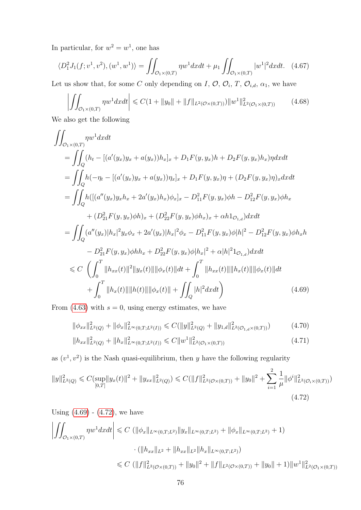In particular, for  $w^2 = w^1$ , one has

$$
\langle D_1^2 J_1(f; v^1, v^2), (w^1, w^1) \rangle = \iint_{\mathcal{O}_1 \times (0,T)} \eta w^1 dx dt + \mu_1 \iint_{\mathcal{O}_1 \times (0,T)} |w^1|^2 dx dt. \tag{4.67}
$$

Let us show that, for some C only depending on I,  $\mathcal{O}, \mathcal{O}_i, T, \mathcal{O}_{i,d}, \alpha_1$ , we have

<span id="page-83-3"></span><span id="page-83-2"></span>
$$
\left| \iint_{\mathcal{O}_1 \times (0,T)} \eta w^1 dx dt \right| \leq C \left( 1 + \|y_0\| + \|f\|_{L^2(\mathcal{O} \times (0,T))} \right) \|w^1\|_{L^2(\mathcal{O}_1 \times (0,T))}^2 \tag{4.68}
$$

We also get the following

$$
\iint_{\mathcal{O}_{1}\times(0,T)} \eta w^{1}dxdt
$$
\n
$$
= \iint_{Q} (h_{t} - [(a'(y_{x})y_{x} + a(y_{x}))h_{x}]_{x} + D_{1}F(y,y_{x})h + D_{2}F(y,y_{x})h_{x})\eta dxdt
$$
\n
$$
= \iint_{Q} h(-\eta_{t} - [(a'(y_{x})y_{x} + a(y_{x}))\eta_{x}]_{x} + D_{1}F(y,y_{x})\eta + (D_{2}F(y,y_{x})\eta)_{x}dxdt
$$
\n
$$
= \iint_{Q} h([(a''(y_{x})y_{x}h_{x} + 2a'(y_{x})h_{x})\phi_{x}]_{x} - D_{11}^{2}F(y,y_{x})\phi h - D_{12}^{2}F(y,y_{x})\phi h_{x}
$$
\n
$$
+ (D_{21}^{2}F(y,y_{x})\phi h)_{x} + (D_{22}^{2}F(y,y_{x})\phi h_{x})_{x} + \alpha h_{1}D_{1,d})dxdt
$$
\n
$$
= \iint_{Q} (a''(y_{x})|h_{x}|^{2}y_{x}\phi_{x} + 2a'(y_{x})|h_{x}|^{2}\phi_{x} - D_{11}^{2}F(y,y_{x})\phi|h|^{2} - D_{12}^{2}F(y,y_{x})\phi h_{x}h
$$
\n
$$
- D_{21}^{2}F(y,y_{x})\phi h h_{x} + D_{22}^{2}F(y,y_{x})\phi|h_{x}|^{2} + \alpha|h|^{2}D_{1,d})dxdt
$$
\n
$$
\leq C \left( \int_{0}^{T} ||h_{xx}(t)||^{2}||y_{x}(t)|| ||\phi_{x}(t)||dt + \int_{0}^{T} ||h_{xx}(t)|| ||h_{x}(t)|| ||\phi_{x}(t)||dt
$$
\n
$$
+ \int_{0}^{T} ||h_{x}(t)|| ||h(t)|| ||\phi_{x}(t)|| + \iint_{Q} |h|^{2}dxdt \right) \qquad (4.69)
$$

From (4.[63\)](#page-81-2) with  $s = 0$ , using energy estimates, we have

<span id="page-83-0"></span>
$$
\|\phi_{xx}\|_{L^2(Q)}^2 + \|\phi_x\|_{L^\infty(0,T;L^2(I))}^2 \leq C(\|y\|_{L^2(Q)}^2 + \|y_{1,d}\|_{L^2(\mathcal{O}_{1,d}\times(0,T))}^2)
$$
(4.70)

<span id="page-83-1"></span>
$$
||h_{xx}||_{L^{2}(Q)}^{2} + ||h_{x}||_{L^{\infty}(0,T;L^{2}(I))}^{2} \leq C||w^{1}||_{L^{2}(\mathcal{O}_{1}\times(0,T))}^{2}
$$
\n(4.71)

as  $(v^1, v^2)$  is the Nash quasi-equilibrium, then y have the following regularity

$$
||y||_{L^{2}(Q)}^{2} \leq C(\sup_{[0,T]}||y_{x}(t)||^{2} + ||y_{xx}||_{L^{2}(Q)}^{2}) \leq C(||f||_{L^{2}(\mathcal{O}\times(0,T))}^{2} + ||y_{0}||^{2} + \sum_{i=1}^{2} \frac{1}{\mu} ||\phi^{i}||_{L^{2}(\mathcal{O}_{i}\times(0,T))}^{2})
$$
\n
$$
(4.72)
$$

Using  $(4.69) - (4.72)$  $(4.69) - (4.72)$  $(4.69) - (4.72)$  $(4.69) - (4.72)$ , we have

$$
\left| \iint_{\mathcal{O}_1 \times (0,T)} \eta w^1 dx dt \right| \leq C \left( \| \phi_x \|_{L^{\infty}(0,T;L^2)} \| y_x \|_{L^{\infty}(0,T;L^2)} + \| \phi_x \|_{L^{\infty}(0,T;L^2)} + 1 \right)
$$

$$
\cdot \left( \| h_{xx} \|_{L^2} + \| h_{xx} \|_{L^2} \| h_x \|_{L^{\infty}(0,T;L^2)} \right)
$$

$$
\leq C \left( \| f \|_{L^2(\mathcal{O} \times (0,T))}^2 + \| y_0 \|^2 + \| f \|_{L^2(\mathcal{O} \times (0,T))} + \| y_0 \| + 1 \right) \| w^1 \|_{L^2(\mathcal{O}_1 \times (0,T))}^2
$$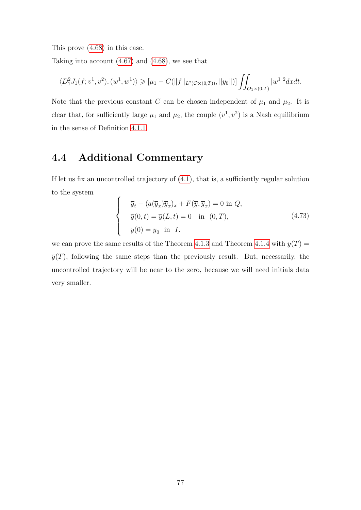This prove (4.[68\)](#page-83-2) in this case.

Taking into account (4.[67\)](#page-83-3) and (4.[68\)](#page-83-2), we see that

$$
\langle D_1^2 J_1(f; v^1, v^2), (w^1, w^1) \rangle \geqslant [\mu_1 - C(||f||_{L^2(\mathcal{O} \times (0,T))}, ||y_0||)] \iint_{\mathcal{O}_1 \times (0,T)} |w^1|^2 dx dt.
$$

Note that the previous constant C can be chosen independent of  $\mu_1$  and  $\mu_2$ . It is clear that, for sufficiently large  $\mu_1$  and  $\mu_2$ , the couple  $(v^1, v^2)$  is a Nash equilibrium in the sense of Definition [4](#page-52-1).1.1.

### 4.4 Additional Commentary

If let us fix an uncontrolled trajectory of [\(4.1\)](#page-51-0), that is, a sufficiently regular solution to the system

$$
\begin{cases}\n\overline{y}_t - (a(\overline{y}_x)\overline{y}_x)_x + F(\overline{y}, \overline{y}_x) = 0 \text{ in } Q, \\
\overline{y}(0, t) = \overline{y}(L, t) = 0 \text{ in } (0, T), \\
\overline{y}(0) = \overline{y}_0 \text{ in } I.\n\end{cases}
$$
\n(4.73)

we can prove the same results of the Theorem [4.1.3](#page-52-2) and Theorem [4.1.4](#page-53-0) with  $y(T) =$  $\overline{y}(T)$ , following the same steps than the previously result. But, necessarily, the uncontrolled trajectory will be near to the zero, because we will need initials data very smaller.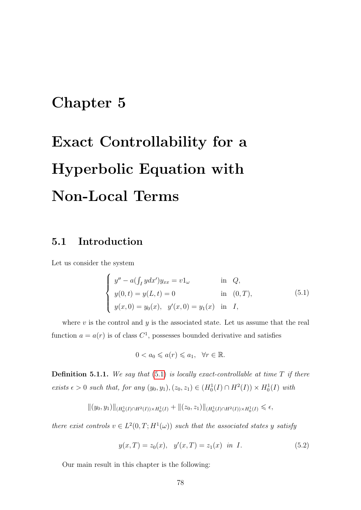## Chapter 5

# Exact Controllability for a Hyperbolic Equation with Non-Local Terms

#### 5.1 Introduction

Let us consider the system

<span id="page-85-0"></span>
$$
\begin{cases}\ny'' - a(\int_I ydx')y_{xx} = v1_\omega & \text{in } Q, \\
y(0, t) = y(L, t) = 0 & \text{in } (0, T), \\
y(x, 0) = y_0(x), \quad y'(x, 0) = y_1(x) & \text{in } I,\n\end{cases}
$$
\n(5.1)

where  $v$  is the control and  $y$  is the associated state. Let us assume that the real function  $a = a(r)$  is of class  $C<sup>1</sup>$ , possesses bounded derivative and satisfies

<span id="page-85-1"></span>
$$
0 < a_0 \leqslant a(r) \leqslant a_1, \quad \forall r \in \mathbb{R}.
$$

**Definition 5.1.1.** We say that  $(5.1)$  $(5.1)$  is locally exact-controllable at time  $T$  if there exists  $\epsilon > 0$  such that, for any  $(y_0, y_1), (z_0, z_1) \in (H_0^1(I) \cap H^2(I)) \times H_0^1(I)$  with

$$
\|(y_0,y_1)\|_{(H_0^1(I)\cap H^2(I))\times H_0^1(I)}+\|(z_0,z_1)\|_{(H_0^1(I)\cap H^2(I))\times H_0^1(I)}\leq \epsilon,
$$

there exist controls  $v \in L^2(0,T;H^1(\omega))$  such that the associated states y satisfy

$$
y(x,T) = z_0(x), y'(x,T) = z_1(x) \text{ in } I.
$$
 (5.2)

Our main result in this chapter is the following: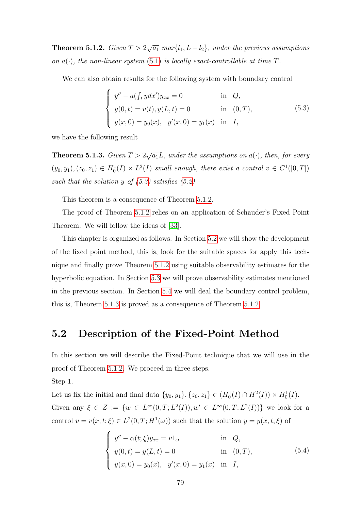<span id="page-86-1"></span>**Theorem 5.1.2.** Given  $T > 2\sqrt{a_1}$  max $\{l_1, L - l_2\}$ , under the previous assumptions on  $a(\cdot)$ , the non-linear system (5.[1\)](#page-85-0) is locally exact-controllable at time T.

We can also obtain results for the following system with boundary control

<span id="page-86-0"></span>
$$
\begin{cases}\ny'' - a(\int_I ydx')y_{xx} = 0 & \text{in } Q, \\
y(0, t) = v(t), y(L, t) = 0 & \text{in } (0, T), \\
y(x, 0) = y_0(x), y'(x, 0) = y_1(x) & \text{in } I,\n\end{cases}
$$
\n(5.3)

we have the following result

<span id="page-86-3"></span>**Theorem 5.1.3.** Given  $T > 2\sqrt{a_1}L$ , under the assumptions on  $a(\cdot)$ , then, for every  $(y_0, y_1), (z_0, z_1) \in H_0^1(I) \times L^2(I)$  small enough, there exist a control  $v \in C^1([0, T])$ such that the solution y of  $(5.3)$  satisfies  $(5.2)$ 

This theorem is a consequence of Theorem [5.1.2.](#page-86-1)

The proof of Theorem [5.1.2](#page-86-1) relies on an application of Schauder's Fixed Point Theorem. We will follow the ideas of [\[33\]](#page-99-0).

This chapter is organized as follows. In Section [5.2](#page-86-2) we will show the development of the fixed point method, this is, look for the suitable spaces for apply this technique and finally prove Theorem [5.1.2](#page-86-1) using suitable observability estimates for the hyperbolic equation. In Section [5.3](#page-92-0) we will prove observability estimates mentioned in the previous section. In Section [5.4](#page-95-0) we will deal the boundary control problem, this is, Theorem [5.1.3](#page-86-3) is proved as a consequence of Theorem [5.1.2.](#page-86-1)

#### <span id="page-86-2"></span>5.2 Description of the Fixed-Point Method

In this section we will describe the Fixed-Point technique that we will use in the proof of Theorem [5.1.2.](#page-86-1) We proceed in three steps. Step 1.

Let us fix the initial and final data  $\{y_0, y_1\}, \{z_0, z_1\} \in (H_0^1(I) \cap H^2(I)) \times H_0^1(I)$ . Given any  $\xi \in Z := \{w \in L^{\infty}(0,T; L^2(I)), w' \in L^{\infty}(0,T; L^2(I))\}$  we look for a control  $v = v(x, t; \xi) \in L^2(0, T; H^1(\omega))$  such that the solution  $y = y(x, t; \xi)$  of

<span id="page-86-4"></span>
$$
\begin{cases}\ny'' - \alpha(t; \xi) y_{xx} = v1_{\omega} & \text{in } Q, \\
y(0, t) = y(L, t) = 0 & \text{in } (0, T), \\
y(x, 0) = y_0(x), \quad y'(x, 0) = y_1(x) & \text{in } I,\n\end{cases}
$$
\n(5.4)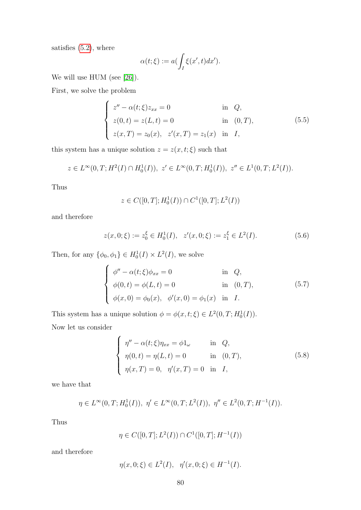satisfies  $(5.2)$ , where

$$
\alpha(t;\xi) := a(\int_I \xi(x',t)dx').
$$

We will use HUM (see [\[26\]](#page-98-0)).

First, we solve the problem

$$
\begin{cases}\nz'' - \alpha(t; \xi) z_{xx} = 0 & \text{in } Q, \\
z(0, t) = z(L, t) = 0 & \text{in } (0, T), \\
z(x, T) = z_0(x), \ z'(x, T) = z_1(x) & \text{in } I,\n\end{cases}
$$
\n(5.5)

this system has a unique solution  $z=z(x,t;\xi)$  such that

$$
z \in L^{\infty}(0,T; H^2(I) \cap H_0^1(I)), \ z' \in L^{\infty}(0,T; H_0^1(I)), \ z'' \in L^1(0,T; L^2(I)).
$$

Thus

<span id="page-87-1"></span>
$$
z \in C([0, T]; H_0^1(I)) \cap C^1([0, T]; L^2(I))
$$

and therefore

$$
z(x,0;\xi) := z_0^{\xi} \in H_0^1(I), \quad z'(x,0;\xi) := z_1^{\xi} \in L^2(I). \tag{5.6}
$$

Then, for any  $\{\phi_0, \phi_1\} \in H_0^1(I) \times L^2(I)$ , we solve

$$
\begin{cases}\n\phi'' - \alpha(t; \xi)\phi_{xx} = 0 & \text{in } Q, \\
\phi(0, t) = \phi(L, t) = 0 & \text{in } (0, T), \\
\phi(x, 0) = \phi_0(x), \quad \phi'(x, 0) = \phi_1(x) & \text{in } I.\n\end{cases}
$$
\n(5.7)

This system has a unique solution  $\phi = \phi(x, t; \xi) \in L^2(0, T; H_0^1(I)).$ Now let us consider

<span id="page-87-0"></span>
$$
\begin{cases}\n\eta'' - \alpha(t; \xi)\eta_{xx} = \phi 1_{\omega} & \text{in } Q, \\
\eta(0, t) = \eta(L, t) = 0 & \text{in } (0, T), \\
\eta(x, T) = 0, \quad \eta'(x, T) = 0 & \text{in } I,\n\end{cases}
$$
\n(5.8)

we have that

$$
\eta \in L^{\infty}(0,T; H_0^1(I)), \ \eta' \in L^{\infty}(0,T; L^2(I)), \ \eta'' \in L^2(0,T; H^{-1}(I)).
$$

Thus

$$
\eta \in C([0, T]; L^2(I)) \cap C^1([0, T]; H^{-1}(I))
$$

and therefore

$$
\eta(x,0;\xi) \in L^2(I), \ \ \eta'(x,0;\xi) \in H^{-1}(I).
$$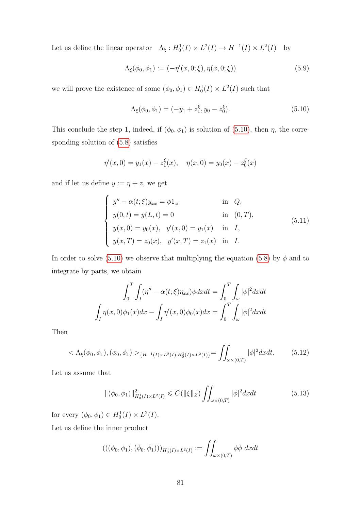Let us define the linear operator  $\Lambda_{\xi}: H_0^1(I) \times L^2(I) \to H^{-1}(I) \times L^2(I)$  by

$$
\Lambda_{\xi}(\phi_0, \phi_1) := (-\eta'(x, 0; \xi), \eta(x, 0; \xi)) \tag{5.9}
$$

we will prove the existence of some  $(\phi_0, \phi_1) \in H_0^1(I) \times L^2(I)$  such that

<span id="page-88-0"></span>
$$
\Lambda_{\xi}(\phi_0, \phi_1) = (-y_1 + z_1^{\xi}, y_0 - z_0^{\xi}). \tag{5.10}
$$

This conclude the step 1, indeed, if  $(\phi_0, \phi_1)$  is solution of [\(5.10\)](#page-88-0), then  $\eta$ , the corresponding solution of [\(5.8\)](#page-87-0) satisfies

$$
\eta'(x,0) = y_1(x) - z_1^{\xi}(x), \quad \eta(x,0) = y_0(x) - z_0^{\xi}(x)
$$

and if let us define  $y := \eta + z$ , we get

$$
\begin{cases}\ny'' - \alpha(t; \xi)y_{xx} = \phi 1_{\omega} & \text{in } Q, \\
y(0, t) = y(L, t) = 0 & \text{in } (0, T), \\
y(x, 0) = y_0(x), \quad y'(x, 0) = y_1(x) & \text{in } I, \\
y(x, T) = z_0(x), \quad y'(x, T) = z_1(x) & \text{in } I.\n\end{cases}
$$
\n(5.11)

In order to solve [\(5.10\)](#page-88-0) we observe that multiplying the equation [\(5.8\)](#page-87-0) by  $\phi$  and to integrate by parts, we obtain

$$
\int_0^T \int_I (\eta'' - \alpha(t;\xi)\eta_{xx})\phi dx dt = \int_0^T \int_\omega |\phi|^2 dx dt
$$

$$
\int_I \eta(x,0)\phi_1(x)dx - \int_I \eta'(x,0)\phi_0(x)dx = \int_0^T \int_\omega |\phi|^2 dx dt
$$

<span id="page-88-2"></span>Then

$$
\langle \Lambda_{\xi}(\phi_0, \phi_1), (\phi_0, \phi_1) \rangle_{\{H^{-1}(I) \times L^2(I), H_0^1(I) \times L^2(I)\}} = \iint_{\omega \times (0,T)} |\phi|^2 dx dt. \tag{5.12}
$$

Let us assume that

<span id="page-88-1"></span>
$$
\|(\phi_0, \phi_1)\|_{H_0^1(I) \times L^2(I)}^2 \leq C(\|\xi\|_Z) \iint_{\omega \times (0,T)} |\phi|^2 dx dt \tag{5.13}
$$

for every  $(\phi_0, \phi_1) \in H_0^1(I) \times L^2(I)$ .

Let us define the inner product

$$
(((\phi_0, \phi_1), (\tilde{\phi}_0, \tilde{\phi}_1)))_{H_0^1(I) \times L^2(I)} := \iint_{\omega \times (0,T)} \phi \tilde{\phi} \ dx dt
$$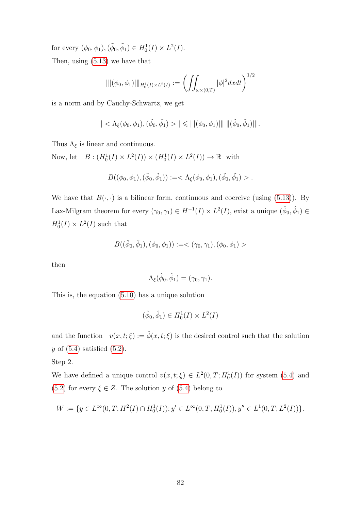for every  $(\phi_0, \phi_1), (\tilde{\phi}_0, \tilde{\phi}_1) \in H_0^1(I) \times L^2(I)$ . Then, using [\(5.13\)](#page-88-1) we have that

$$
\| \| (\phi_0, \phi_1) \|_{H^1_0(I) \times L^2(I)} := \left( \iint_{\omega \times (0,T)} |\phi|^2 dx dt \right)^{1/2}
$$

is a norm and by Cauchy-Schwartz, we get

$$
| < \Lambda_{\xi}(\phi_0, \phi_1), (\tilde{\phi_0}, \tilde{\phi_1}) > | \leq |||(\phi_0, \phi_1)|||||(\tilde{\phi}_0, \tilde{\phi}_1)|||.
$$

Thus  $\Lambda_{\xi}$  is linear and continuous.

Now, let  $B: (H_0^1(I) \times L^2(I)) \times (H_0^1(I) \times L^2(I)) \to \mathbb{R}$  with

$$
B((\phi_0, \phi_1), (\tilde{\phi}_0, \tilde{\phi}_1)) := < \Lambda_{\xi}(\phi_0, \phi_1), (\tilde{\phi}_0, \tilde{\phi}_1) > .
$$

We have that  $B(\cdot, \cdot)$  is a bilinear form, continuous and coercive (using [\(5.13\)](#page-88-1)). By Lax-Milgram theorem for every  $(\gamma_0, \gamma_1) \in H^{-1}(I) \times L^2(I)$ , exist a unique  $(\hat{\phi}_0, \hat{\phi}_1) \in$  $H_0^1(I) \times L^2(I)$  such that

$$
B((\hat{\phi}_0,\hat{\phi}_1),(\phi_0,\phi_1)):=< (\gamma_0,\gamma_1),(\phi_0,\phi_1)>
$$

then

$$
\Lambda_{\xi}(\hat{\phi}_0, \hat{\phi}_1) = (\gamma_0, \gamma_1).
$$

This is, the equation [\(5.10\)](#page-88-0) has a unique solution

$$
(\hat{\phi}_0, \hat{\phi}_1) \in H^1_0(I) \times L^2(I)
$$

and the function  $v(x, t; \xi) := \hat{\phi}(x, t; \xi)$  is the desired control such that the solution  $y$  of  $(5.4)$  satisfied  $(5.2)$ .

Step 2.

We have defined a unique control  $v(x, t; \xi) \in L^2(0,T; H_0^1(I))$  for system [\(5.4\)](#page-86-4) and [\(5.2\)](#page-85-1) for every  $\xi \in Z$ . The solution y of [\(5.4\)](#page-86-4) belong to

$$
W := \{ y \in L^{\infty}(0,T; H^2(I) \cap H_0^1(I)); y' \in L^{\infty}(0,T; H_0^1(I)), y'' \in L^1(0,T; L^2(I)) \}.
$$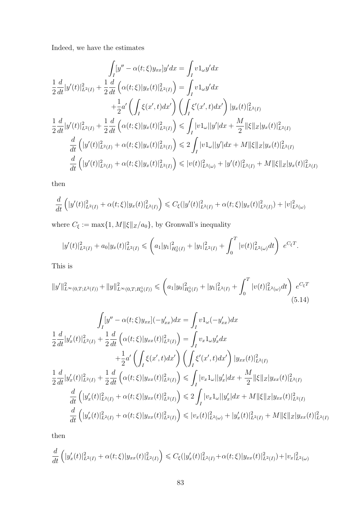Indeed, we have the estimates

$$
\int_{I} [y'' - \alpha(t;\xi)y_{xx}]y'dx = \int_{I} v1_{\omega}y'dx
$$
\n
$$
\frac{1}{2} \frac{d}{dt} |y'(t)|_{L^{2}(I)}^{2} + \frac{1}{2} \frac{d}{dt} \left( \alpha(t;\xi)|y_{x}(t)|_{L^{2}(I)}^{2} \right) = \int_{I} v1_{\omega}y'dx
$$
\n
$$
+ \frac{1}{2} \alpha' \left( \int_{I} \xi(x',t)dx' \right) \left( \int_{I} \xi'(x',t)dx' \right) |y_{x}(t)|_{L^{2}(I)}^{2}
$$
\n
$$
\frac{1}{2} \frac{d}{dt} |y'(t)|_{L^{2}(I)}^{2} + \frac{1}{2} \frac{d}{dt} \left( \alpha(t;\xi)|y_{x}(t)|_{L^{2}(I)}^{2} \right) \le \int_{I} |v1_{\omega}||y'|dx + \frac{M}{2} ||\xi||_{Z} |y_{x}(t)|_{L^{2}(I)}^{2}
$$
\n
$$
\frac{d}{dt} \left( |y'(t)|_{L^{2}(I)}^{2} + \alpha(t;\xi)|y_{x}(t)|_{L^{2}(I)}^{2} \right) \le 2 \int_{I} |v1_{\omega}||y'|dx + M ||\xi||_{Z} |y_{x}(t)|_{L^{2}(I)}^{2}
$$
\n
$$
\frac{d}{dt} \left( |y'(t)|_{L^{2}(I)}^{2} + \alpha(t;\xi)|y_{x}(t)|_{L^{2}(I)}^{2} \right) \le |v(t)|_{L^{2}(\omega)}^{2} + |y'(t)|_{L^{2}(I)}^{2} + M ||\xi||_{Z} |y_{x}(t)|_{L^{2}(I)}^{2}
$$

then

$$
\frac{d}{dt}\left(|y'(t)|_{L^2(I)}^2 + \alpha(t;\xi)|y_x(t)|_{L^2(I)}^2\right) \leq C_{\xi}(|y'(t)|_{L^2(I)}^2 + \alpha(t;\xi)|y_x(t)|_{L^2(I)}^2 + |v|_{L^2(\omega)}^2
$$

where  $C_{\xi} := \max\{1, M \|\xi\|_Z/a_0\}$ , by Gronwall's inequality

<span id="page-90-0"></span>
$$
|y'(t)|_{L^2(I)}^2 + a_0|y_x(t)|_{L^2(I)}^2 \leqslant \left(a_1|y_1|_{H_0^1(I)}^2 + |y_1|_{L^2(I)}^2 + \int_0^T |v(t)|_{L^2(\omega)}^2 dt\right) e^{C_{\xi}T}.
$$

This is

$$
||y'||_{L^{\infty}(0,T;L^{2}(I))}^{2} + ||y||_{L^{\infty}(0,T;H_{0}^{1}(I))}^{2} \leq (a_{1}|y_{0}|_{H_{0}^{1}(I)}^{2} + |y_{1}|_{L^{2}(I)}^{2} + \int_{0}^{T} |v(t)|_{L^{2}(\omega)}^{2}dt) e^{C_{\xi}T}
$$
\n(5.14)

$$
\int_{I} [y'' - \alpha(t;\xi)y_{xx}] (-y'_{xx}) dx = \int_{I} v1_{\omega}(-y'_{xx}) dx
$$
\n
$$
\frac{1}{2} \frac{d}{dt} |y'_{x}(t)|_{L^{2}(I)}^{2} + \frac{1}{2} \frac{d}{dt} \left( \alpha(t;\xi) |y_{xx}(t)|_{L^{2}(I)}^{2} \right) = \int_{I} v_{x}1_{\omega}y'_{x} dx
$$
\n
$$
+ \frac{1}{2} a' \left( \int_{I} \xi(x',t) dx' \right) \left( \int_{I} \xi'(x',t) dx' \right) |y_{xx}(t)|_{L^{2}(I)}^{2}
$$
\n
$$
\frac{1}{2} \frac{d}{dt} |y'_{x}(t)|_{L^{2}(I)}^{2} + \frac{1}{2} \frac{d}{dt} \left( \alpha(t;\xi) |y_{xx}(t)|_{L^{2}(I)}^{2} \right) \leq \int_{I} |v_{x}1_{\omega}| |y'_{x}| dx + \frac{M}{2} ||\xi||_{Z} |y_{xx}(t)|_{L^{2}(I)}^{2}
$$
\n
$$
\frac{d}{dt} \left( |y'_{x}(t)|_{L^{2}(I)}^{2} + \alpha(t;\xi) |y_{xx}(t)|_{L^{2}(I)}^{2} \right) \leq 2 \int_{I} |v_{x}1_{\omega}| |y'_{x}| dx + M ||\xi||_{Z} |y_{xx}(t)|_{L^{2}(I)}^{2}
$$
\n
$$
\frac{d}{dt} \left( |y'_{x}(t)|_{L^{2}(I)}^{2} + \alpha(t;\xi) |y_{xx}(t)|_{L^{2}(I)}^{2} \right) \leq |v_{x}(t)|_{L^{2}(\omega)}^{2} + |y'_{x}(t)|_{L^{2}(I)}^{2} + M ||\xi||_{Z} |y_{xx}(t)|_{L^{2}(I)}^{2}
$$

then

$$
\frac{d}{dt}\left(|y_x'(t)|^2_{L^2(I)} + \alpha(t;\xi)|y_{xx}(t)|^2_{L^2(I)}\right) \leq C_{\xi}(|y_x'(t)|^2_{L^2(I)} + \alpha(t;\xi)|y_{xx}(t)|^2_{L^2(I)}) + |v_x|^2_{L^2(\omega)}
$$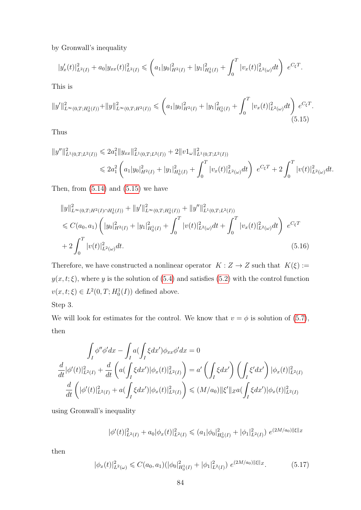by Gronwall's inequality

$$
|y_x'(t)|_{L^2(I)}^2 + a_0 |y_{xx}(t)|_{L^2(I)}^2 \leqslant \left(a_1 |y_0|_{H^2(I)}^2 + |y_1|_{H_0^1(I)}^2 + \int_0^T |v_x(t)|_{L^2(\omega)}^2 dt\right) e^{C_{\xi}T}.
$$

<span id="page-91-0"></span>This is

$$
||y'||_{L^{\infty}(0,T;H_0^1(I))}^2 + ||y||_{L^{\infty}(0,T;H^2(I))}^2 \leq (a_1|y_0|_{H^2(I)}^2 + |y_1|_{H_0^1(I)}^2 + \int_0^T |v_x(t)|_{L^2(\omega)}^2 dt) e^{C_{\xi}T}.
$$
\n(5.15)

Thus

$$
||y''||_{L^{1}(0,T;L^{2}(I))}^{2} \leq 2a_{1}^{2}||y_{xx}||_{L^{1}(0,T;L^{2}(I))}^{2} + 2||v1_{\omega}||_{L^{1}(0,T;L^{2}(I))}^{2}
$$
  

$$
\leq 2a_{1}^{2}\left(a_{1}|y_{0}|_{H^{2}(I)}^{2} + |y_{1}|_{H_{0}^{1}(I)}^{2} + \int_{0}^{T}|v_{x}(t)|_{L^{2}(\omega)}^{2}dt\right) e^{C_{\xi}T} + 2\int_{0}^{T}|v(t)|_{L^{2}(\omega)}^{2}dt.
$$

Then, from  $(5.14)$  and  $(5.15)$  we have

<span id="page-91-2"></span>
$$
||y||_{L^{\infty}(0,T;H^{2}(I)\cap H^{1}_{0}(I))}^{2} + ||y'||_{L^{\infty}(0,T;H^{1}_{0}(I))}^{2} + ||y''||_{L^{1}(0,T;L^{2}(I))}^{2}
$$
  
\n
$$
\leq C(a_{0},a_{1}) \left( |y_{0}|_{H^{2}(I)}^{2} + |y_{1}|_{H^{1}_{0}(I)}^{2} + \int_{0}^{T} |v(t)|_{L^{2}(\omega)}^{2}dt + \int_{0}^{T} |v_{x}(t)|_{L^{2}(\omega)}^{2}dt \right) e^{C_{\xi}T}
$$
  
\n
$$
+ 2 \int_{0}^{T} |v(t)|_{L^{2}(\omega)}^{2}dt.
$$
\n(5.16)

Therefore, we have constructed a nonlinear operator  $K: Z \to Z$  such that  $K(\xi) :=$  $y(x, t; \xi)$ , where y is the solution of [\(5.4\)](#page-86-4) and satisfies [\(5.2\)](#page-85-1) with the control function  $v(x, t; \xi) \in L^2(0, T; H_0^1(I))$  defined above.

Step 3.

We will look for estimates for the control. We know that  $v = \phi$  is solution of [\(5.7\)](#page-87-1), then

$$
\int_{I} \phi'' \phi' dx - \int_{I} a(\int_{I} \xi dx') \phi_{xx} \phi' dx = 0
$$
  

$$
\frac{d}{dt} |\phi'(t)|_{L^{2}(I)}^{2} + \frac{d}{dt} \left( a(\int_{I} \xi dx') |\phi_{x}(t)|_{L^{2}(I)}^{2} \right) = a' \left( \int_{I} \xi dx' \right) \left( \int_{I} \xi' dx' \right) |\phi_{x}(t)|_{L^{2}(I)}^{2}
$$
  

$$
\frac{d}{dt} \left( |\phi'(t)|_{L^{2}(I)}^{2} + a(\int_{I} \xi dx') |\phi_{x}(t)|_{L^{2}(I)}^{2} \right) \leq (M/a_{0}) ||\xi'||_{Z} a(\int_{I} \xi dx') |\phi_{x}(t)|_{L^{2}(I)}^{2}
$$

using Gronwall's inequality

$$
|\phi'(t)|_{L^2(I)}^2 + a_0 |\phi_x(t)|_{L^2(I)}^2 \leq (a_1 |\phi_0|_{H_0^1(I)}^2 + |\phi_1|_{L^2(I)}^2) e^{(2M/a_0)\|\xi\|_Z}
$$

<span id="page-91-1"></span>then

$$
|\phi_x(t)|_{L^2(\omega)}^2 \leq C(a_0, a_1)(|\phi_0|_{H_0^1(I)}^2 + |\phi_1|_{L^2(I)}^2) e^{(2M/a_0)\|\xi\|_Z}.
$$
 (5.17)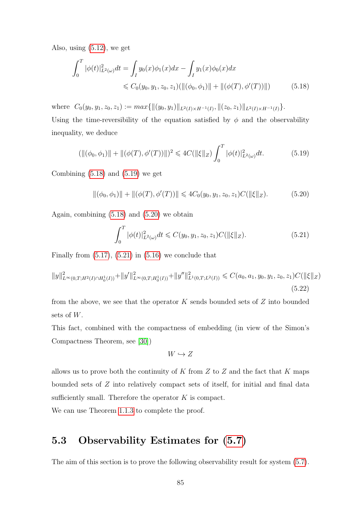Also, using [\(5.12\)](#page-88-2), we get

<span id="page-92-1"></span>
$$
\int_0^T |\phi(t)|^2_{L^2(\omega)} dt = \int_I y_0(x)\phi_1(x)dx - \int_I y_1(x)\phi_0(x)dx
$$
  
\$\leq C\_0(y\_0, y\_1, z\_0, z\_1)(\|(\phi\_0, \phi\_1)\| + \|(\phi(T), \phi'(T))\|)\$ (5.18)

where  $C_0(y_0, y_1, z_0, z_1) := max \{ ||(y_0, y_1)||_{L^2(I) \times H^{-1}(I)}, ||(z_0, z_1)||_{L^2(I) \times H^{-1}(I)} \}.$ Using the time-reversibility of the equation satisfied by  $\phi$  and the observability inequality, we deduce

$$
(\|(\phi_0, \phi_1)\| + \|(\phi(T), \phi'(T))\|)^2 \le 4C(\|\xi\|_Z) \int_0^T |\phi(t)|^2_{L^2(\omega)} dt.
$$
 (5.19)

Combining  $(5.18)$  and  $(5.19)$  we get

$$
\|(\phi_0, \phi_1)\| + \|(\phi(T), \phi'(T))\| \leq 4C_0(y_0, y_1, z_0, z_1)C(\|\xi\|_Z). \tag{5.20}
$$

Again, combining [\(5.18\)](#page-92-1) and [\(5.20\)](#page-92-3) we obtain

<span id="page-92-4"></span><span id="page-92-3"></span><span id="page-92-2"></span>
$$
\int_0^T |\phi(t)|^2_{L^2(\omega)} dt \leq C(y_0, y_1, z_0, z_1) C(||\xi||_Z). \tag{5.21}
$$

Finally from  $(5.17)$ ,  $(5.21)$  in  $(5.16)$  we conclude that

$$
||y||_{L^{\infty}(0,T;H^{2}(I)\cap H^{1}_{0}(I))}^{2} + ||y'||_{L^{\infty}(0,T;H^{1}_{0}(I))}^{2} + ||y''||_{L^{1}(0,T;L^{2}(I))}^{2} \leq C(a_{0},a_{1},y_{0},y_{1},z_{0},z_{1})C(||\xi||_{Z})
$$
\n(5.22)

from the above, we see that the operator  $K$  sends bounded sets of  $Z$  into bounded sets of W.

This fact, combined with the compactness of embedding (in view of the Simon's Compactness Theorem, see [\[30\]](#page-99-1))

$$
W\hookrightarrow Z
$$

allows us to prove both the continuity of  $K$  from  $Z$  to  $Z$  and the fact that  $K$  maps bounded sets of Z into relatively compact sets of itself, for initial and final data sufficiently small. Therefore the operator  $K$  is compact.

We can use Theorem [1.1.3](#page-11-1) to complete the proof.

#### <span id="page-92-0"></span>5.3 Observability Estimates for [\(5.7\)](#page-87-1)

The aim of this section is to prove the following observability result for system [\(5.7\)](#page-87-1).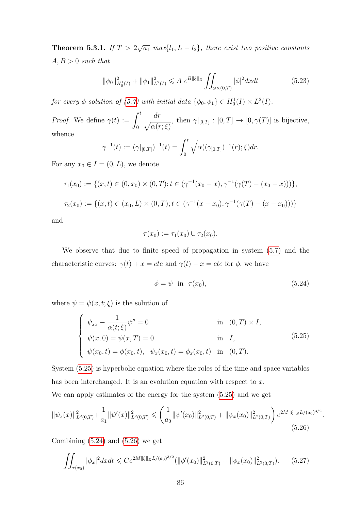**Theorem 5.3.1.** If  $T > 2\sqrt{a_1}$  max $\{l_1, L - l_2\}$ , there exist two positive constants  $A, B > 0$  such that

<span id="page-93-4"></span>
$$
\|\phi_0\|_{H_0^1(I)}^2 + \|\phi_1\|_{L^2(I)}^2 \le A \ e^{B\|\xi\|_Z} \iint_{\omega \times (0,T)} |\phi|^2 dx dt \tag{5.23}
$$

for every  $\phi$  solution of [\(5.7\)](#page-87-1) with initial data  $\{\phi_0, \phi_1\} \in H_0^1(I) \times L^2(I)$ .

*Proof.* We define  $\gamma(t) := \int_0^t$  $\boldsymbol{0}$ dr  $\sqrt{\alpha(r;\xi)}$ , then  $\gamma|_{[0,T]} : [0,T] \to [0,\gamma(T)]$  is bijective, whence

$$
\gamma^{-1}(t) := (\gamma|_{[0,T]})^{-1}(t) = \int_0^t \sqrt{\alpha((\gamma_{[0,T]})^{-1}(r);\xi)} dr.
$$

For any  $x_0 \in I = (0, L)$ , we denote

$$
\tau_1(x_0) := \{ (x, t) \in (0, x_0) \times (0, T); t \in (\gamma^{-1}(x_0 - x), \gamma^{-1}(\gamma(T) - (x_0 - x))) \},\
$$
  

$$
\tau_2(x_0) := \{ (x, t) \in (x_0, L) \times (0, T); t \in (\gamma^{-1}(x - x_0), \gamma^{-1}(\gamma(T) - (x - x_0))) \}
$$

and

$$
\tau(x_0) := \tau_1(x_0) \cup \tau_2(x_0).
$$

We observe that due to finite speed of propagation in system [\(5.7\)](#page-87-1) and the characteristic curves:  $\gamma(t) + x = cte$  and  $\gamma(t) - x = cte$  for  $\phi$ , we have

<span id="page-93-2"></span><span id="page-93-1"></span><span id="page-93-0"></span>
$$
\phi = \psi \quad \text{in} \quad \tau(x_0),\tag{5.24}
$$

where  $\psi = \psi(x, t; \xi)$  is the solution of

$$
\begin{cases}\n\psi_{xx} - \frac{1}{\alpha(t;\xi)} \psi'' = 0 & \text{in } (0,T) \times I, \\
\psi(x,0) = \psi(x,T) = 0 & \text{in } I, \\
\psi(x_0,t) = \phi(x_0,t), \quad \psi_x(x_0,t) = \phi_x(x_0,t) & \text{in } (0,T).\n\end{cases}
$$
\n(5.25)

System [\(5.25\)](#page-93-0) is hyperbolic equation where the roles of the time and space variables has been interchanged. It is an evolution equation with respect to  $x$ .

We can apply estimates of the energy for the system [\(5.25\)](#page-93-0) and we get

$$
\|\psi_x(x)\|_{L^2(0,T)}^2 + \frac{1}{a_1} \|\psi'(x)\|_{L^2(0,T)}^2 \leq \left(\frac{1}{a_0} \|\psi'(x_0)\|_{L^2(0,T)}^2 + \|\psi_x(x_0)\|_{L^2(0,T)}^2\right) e^{2M\|\xi\|_Z L/(a_0)^{3/2}}.
$$
\n
$$
(5.26)
$$

Combining  $(5.24)$  and  $(5.26)$  we get

<span id="page-93-3"></span>
$$
\iint_{\tau(x_0)} |\phi_x|^2 dx dt \leq C e^{2M \|\xi\|_Z L/(a_0)^{3/2}} (\|\phi'(x_0)\|_{L^2(0,T)}^2 + \|\phi_x(x_0)\|_{L^2(0,T)}^2). \tag{5.27}
$$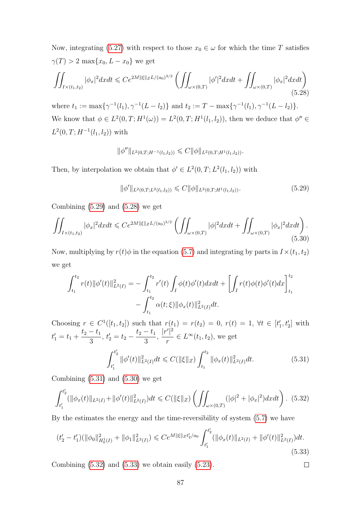Now, integrating [\(5.27\)](#page-93-3) with respect to those  $x_0 \in \omega$  for which the time T satisfies  $\gamma(T) > 2 \max\{x_0, L - x_0\}$  we get

$$
\iint_{I \times (t_1, t_2)} |\phi_x|^2 dx dt \leq C e^{2M \|\xi\|_Z L/(a_0)^{3/2}} \left( \iint_{\omega \times (0, T)} |\phi'|^2 dx dt + \iint_{\omega \times (0, T)} |\phi_x|^2 dx dt \right) \tag{5.28}
$$

where  $t_1 := \max\{\gamma^{-1}(l_1), \gamma^{-1}(L - l_2)\}\$  and  $t_2 := T - \max\{\gamma^{-1}(l_1), \gamma^{-1}(L - l_2)\}\$ . We know that  $\phi \in L^2(0,T;H^1(\omega)) = L^2(0,T;H^1(l_1,l_2))$ , then we deduce that  $\phi'' \in$  $L^2(0,T;H^{-1}(l_1,l_2))$  with

<span id="page-94-1"></span>
$$
\|\phi''\|_{L^2(0,T;H^{-1}(l_1,l_2))} \leqslant C \|\phi\|_{L^2(0,T;H^1(l_1,l_2))}.
$$

Then, by interpolation we obtain that  $\phi' \in L^2(0,T; L^2(l_1, l_2))$  with

<span id="page-94-3"></span><span id="page-94-0"></span>
$$
\|\phi'\|_{L^2(0,T;L^2(l_1,l_2))} \leqslant C \|\phi\|_{L^2(0,T;H^1(l_1,l_2))}.\tag{5.29}
$$

Combining  $(5.29)$  and  $(5.28)$  we get

$$
\iint_{I \times (t_1, t_2)} |\phi_x|^2 dx dt \leq C e^{2M ||\xi||_Z L / (a_0)^{3/2}} \left( \iint_{\omega \times (0, T)} |\phi|^2 dx dt + \iint_{\omega \times (0, T)} |\phi_x|^2 dx dt \right).
$$
\n(5.30)

Now, multiplying by  $r(t)\phi$  in the equation [\(5.7\)](#page-87-1) and integrating by parts in  $I\times(t_1, t_2)$ we get

$$
\int_{t_1}^{t_2} r(t) \|\phi'(t)\|_{L^2(I)}^2 = -\int_{t_1}^{t_2} r'(t) \int_I \phi(t) \phi'(t) dx dt + \left[ \int_I r(t) \phi(t) \phi'(t) dx \right]_{t_1}^{t_2} -\int_{t_1}^{t_2} \alpha(t; \xi) \|\phi_x(t)\|_{L^2(I)}^2 dt.
$$

Choosing  $r \in C^1([t_1, t_2])$  such that  $r(t_1) = r(t_2) = 0, r(t) = 1, \forall t \in [t'_1, t'_2]$  with  $t'_1 = t_1 +$  $t_2 - t_1$ 3 ,  $t'_2 = t_2$  $t_2 - t_1$ 3 ,  $|r'|^2$ r  $\in L^{\infty}(t_1, t_2)$ , we get  $\int_0^{t'_2}$  $\int_{t_1'}^{t_2'}\|\phi'(t)\|_{L^2(I)}^2dt\leqslant C(\|\xi\|_Z)\int_{t_1}^{t_2}$ 1  $t_1$  $\|\phi_x(t)\|_{L^2(I)}^2$  $(5.31)$ 

Combining  $(5.31)$  and  $(5.30)$  we get

<span id="page-94-4"></span>
$$
\int_{t_1'}^{t_2'} (\|\phi_x(t)\|_{L^2(I)} + \|\phi'(t)\|_{L^2(I)}^2) dt \leq C(\|\xi\|_Z) \left( \iint_{\omega \times (0,T)} (|\phi|^2 + |\phi_x|^2) dx dt \right). \tag{5.32}
$$

By the estimates the energy and the time-reversibility of system [\(5.7\)](#page-87-1) we have

$$
(t'_{2} - t'_{1})(\|\phi_{0}\|_{H_{0}^{1}(I)}^{2} + \|\phi_{1}\|_{L^{2}(I)}^{2}) \leq C e^{M\|\xi\|_{Z}t'_{2}/a_{0}} \int_{t'_{1}}^{t'_{2}} (\|\phi_{x}(t)\|_{L^{2}(I)} + \|\phi'(t)\|_{L^{2}(I)}^{2}) dt.
$$
\n(5.33)

<span id="page-94-5"></span><span id="page-94-2"></span> $\Box$ 

Combining  $(5.32)$  and  $(5.33)$  we obtain easily  $(5.23)$ .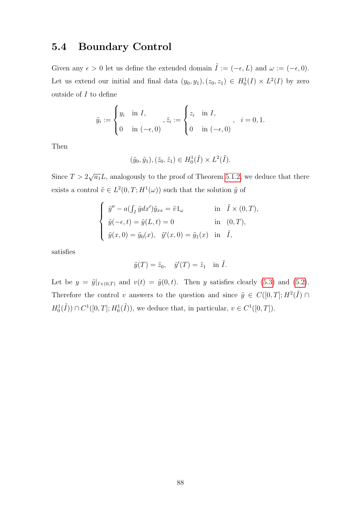#### <span id="page-95-0"></span>5.4 Boundary Control

Given any  $\epsilon > 0$  let us define the extended domain  $\tilde{I} := (-\epsilon, L)$  and  $\omega := (-\epsilon, 0)$ . Let us extend our initial and final data  $(y_0, y_1), (z_0, z_1) \in H_0^1(I) \times L^2(I)$  by zero outside of  $I$  to define

$$
\tilde{y}_i := \begin{cases} y_i & \text{in } I, \\ 0 & \text{in } (-\epsilon, 0) \end{cases}, \tilde{z}_i := \begin{cases} z_i & \text{in } I, \\ 0 & \text{in } (-\epsilon, 0) \end{cases}, i = 0, 1.
$$

Then

$$
(\tilde{y}_0, \tilde{y}_1), (\tilde{z}_0, \tilde{z}_1) \in H_0^1(\tilde{I}) \times L^2(\tilde{I}).
$$

Since  $T > 2\sqrt{a_1}L$ , analogously to the proof of Theorem [5.1.2,](#page-86-1) we deduce that there exists a control  $\tilde{v} \in L^2(0,T;H^1(\omega))$  such that the solution  $\tilde{y}$  of

$$
\begin{cases}\n\tilde{y}'' - a(\int_I \tilde{y} dx') \tilde{y}_{xx} = \tilde{v} 1_{\omega} & \text{in } \tilde{I} \times (0, T), \\
\tilde{y}(-\epsilon, t) = \tilde{y}(L, t) = 0 & \text{in } (0, T), \\
\tilde{y}(x, 0) = \tilde{y}_0(x), \quad \tilde{y}'(x, 0) = \tilde{y}_1(x) & \text{in } \tilde{I},\n\end{cases}
$$

satisfies

$$
\tilde{y}(T) = \tilde{z}_0, \quad \tilde{y}'(T) = \tilde{z}_1 \quad \text{in } \tilde{I}.
$$

Let be  $y = \tilde{y}|_{I\times(0,T)}$  and  $v(t) = \tilde{y}(0,t)$ . Then y satisfies clearly [\(5.3\)](#page-86-0) and [\(5.2\)](#page-85-1). Therefore the control v answers to the question and since  $\tilde{y} \in C([0,T]; H^2(\tilde{I}) \cap$  $H_0^1(\tilde{I})\cap C^1([0,T];H_0^1(\tilde{I})),$  we deduce that, in particular,  $v \in C^1([0,T]).$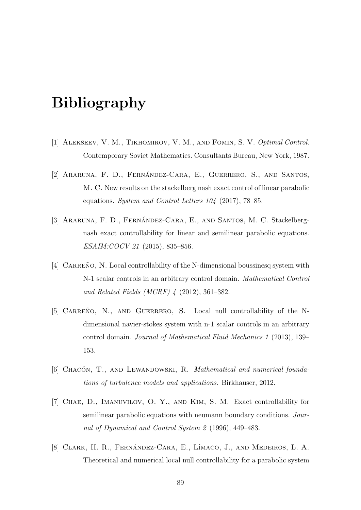## Bibliography

- [1] ALEKSEEV, V. M., TIKHOMIROV, V. M., AND FOMIN, S. V. Optimal Control. Contemporary Soviet Mathematics. Consultants Bureau, New York, 1987.
- [2] ARARUNA, F. D., FERNÁNDEZ-CARA, E., GUERRERO, S., AND SANTOS, M. C. New results on the stackelberg nash exact control of linear parabolic equations. System and Control Letters 104 (2017), 78–85.
- [3] ARARUNA, F. D., FERNÁNDEZ-CARA, E., AND SANTOS, M. C. Stackelbergnash exact controllability for linear and semilinear parabolic equations. ESAIM:COCV 21 (2015), 835–856.
- [4] CARREÑO, N. Local controllability of the N-dimensional boussinesq system with N-1 scalar controls in an arbitrary control domain. Mathematical Control and Related Fields (MCRF) 4 (2012), 361–382.
- [5] CARREÑO, N., AND GUERRERO, S. Local null controllability of the Ndimensional navier-stokes system with n-1 scalar controls in an arbitrary control domain. Journal of Mathematical Fluid Mechanics 1 (2013), 139– 153.
- [6] CHACÓN, T., AND LEWANDOWSKI, R. Mathematical and numerical foundations of turbulence models and applications. Birkhauser, 2012.
- [7] Chae, D., Imanuvilov, O. Y., and Kim, S. M. Exact controllability for semilinear parabolic equations with neumann boundary conditions. Journal of Dynamical and Control System 2 (1996), 449–483.
- [8] CLARK, H. R., FERNÁNDEZ-CARA, E., LÍMACO, J., AND MEDEIROS, L. A. Theoretical and numerical local null controllability for a parabolic system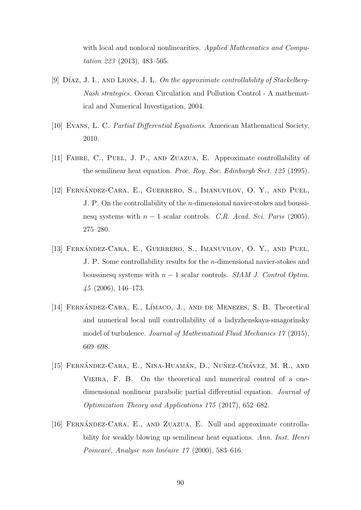with local and nonlocal nonlinearities. Applied Mathematics and Computation 223 (2013), 483–505.

- [9]  $DíAZ, J. I., AND LIONS, J. L. On the approximate controllability of Stackelberg-$ Nash strategies. Ocean Circulation and Pollution Control - A mathematical and Numerical Investigation, 2004.
- [10] Evans, L. C. Partial Differential Equations. American Mathematical Society, 2010.
- [11] Fabre, C., Puel, J. P., and Zuazua, E. Approximate controllability of the semilinear heat equation. Proc. Roy. Soc. Edinburgh Sect. 125 (1995).
- [12] FERNANDEZ-CARA, E., GUERRERO, S., IMANUVILOV, O. Y., AND PUEL, J. P. On the controllability of the n-dimensional navier-stokes and boussinesq systems with  $n-1$  scalar controls. C.R. Acad. Sci. Paris (2005), 275–280.
- [13] FERNÁNDEZ-CARA, E., GUERRERO, S., IMANUVILOV, O. Y., AND PUEL, J. P. Some controllability results for the n-dimensional navier-stokes and boussinesq systems with  $n - 1$  scalar controls. SIAM J. Control Optim. 45 (2006), 146–173.
- [14] FERNÁNDEZ-CARA, E., LÍMACO, J., AND DE MENEZES, S. B. Theoretical and numerical local null controllability of a ladyzhenskaya-smagorinsky model of turbulence. Journal of Mathematical Fluid Mechanics 17 (2015), 669–698.
- [15] FERNÁNDEZ-CARA, E., NINA-HUAMÁN, D., NUÑEZ-CHÁVEZ, M. R., AND VIEIRA, F. B. On the theoretical and numerical control of a onedimensional nonlinear parabolic partial differential equation. Journal of Optimization Theory and Applications 175 (2017), 652–682.
- [16] FERNANDEZ-CARA, E., AND ZUAZUA, E. Null and approximate controllability for weakly blowing up semilinear heat equations. Ann. Inst. Henri Poincaré, Analyse non linéaire  $17$  (2000), 583–616.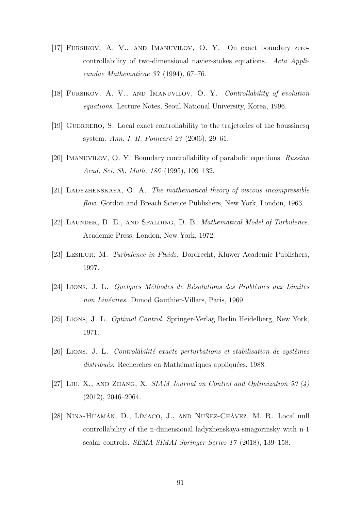- [17] Fursikov, A. V., and Imanuvilov, O. Y. On exact boundary zerocontrollability of two-dimensional navier-stokes equations. Acta Applicandae Mathematicae 37 (1994), 67–76.
- [18] Fursikov, A. V., and Imanuvilov, O. Y. Controllability of evolution equations. Lecture Notes, Seoul National University, Korea, 1996.
- [19] GUERRERO, S. Local exact controllability to the trajetories of the boussinesq system. Ann. I. H. Poincaré 23 (2006), 29–61.
- [20] Imanuvilov, O. Y. Boundary controllability of parabolic equations. Russian Acad. Sci. Sb. Math. 186 (1995), 109–132.
- [21] Ladyzhenskaya, O. A. The mathematical theory of viscous incompressible flow. Gordon and Breach Science Publishers, New York, London, 1963.
- [22] LAUNDER, B. E., AND SPALDING, D. B. Mathematical Model of Turbulence. Academic Press, London, New York, 1972.
- [23] LESIEUR, M. Turbulence in Fluids. Dordrecht, Kluwer Academic Publishers, 1997.
- $[24]$  LIONS, J. L. Quelques Méthodes de Résolutions des Problèmes aux Limites non Linéaires. Dunod Gauthier-Villars, Paris, 1969.
- [25] Lions, J. L. Optimal Control. Springer-Verlag Berlin Heidelberg, New York, 1971.
- <span id="page-98-0"></span> $[26]$  LIONS, J. L. Controlâbilité exacte perturbations et stabilisation de systèmes distribués. Recherches en Mathématiques appliquées, 1988.
- [27] LIU, X., AND ZHANG, X. SIAM Journal on Control and Optimization 50  $(4)$ (2012), 2046–2064.
- [28] NINA-HUAMÁN, D., LÍMACO, J., AND NUÑEZ-CHÁVEZ, M. R. Local null controllability of the n-dimensional ladyzhenskaya-smagorinsky with n-1 scalar controls. SEMA SIMAI Springer Series 17 (2018), 139–158.